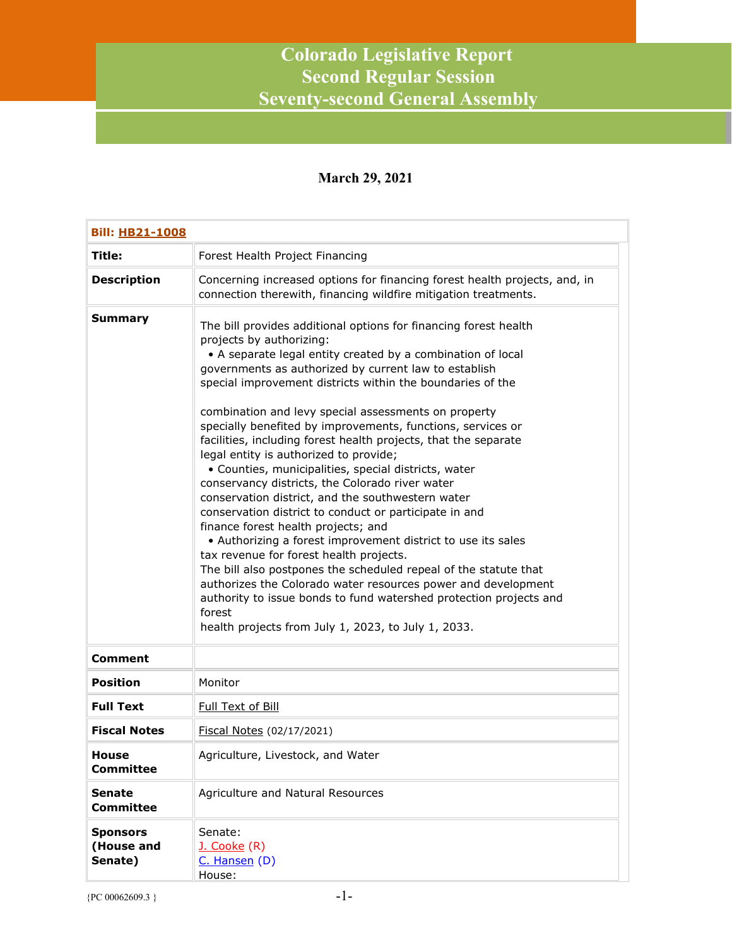## **Colorado Legislative Report Second Regular Session Seventy-second General Assembly**

## **March 29, 2021**

| <b>Bill: HB21-1008</b>                   |                                                                                                                                                                                                                                                                                                                                                                                                                                                                                                                                                                                                                                                                                                                                                                                                                                                                                                                                                                                                                                                                                                                                                                                |
|------------------------------------------|--------------------------------------------------------------------------------------------------------------------------------------------------------------------------------------------------------------------------------------------------------------------------------------------------------------------------------------------------------------------------------------------------------------------------------------------------------------------------------------------------------------------------------------------------------------------------------------------------------------------------------------------------------------------------------------------------------------------------------------------------------------------------------------------------------------------------------------------------------------------------------------------------------------------------------------------------------------------------------------------------------------------------------------------------------------------------------------------------------------------------------------------------------------------------------|
| <b>Title:</b>                            | Forest Health Project Financing                                                                                                                                                                                                                                                                                                                                                                                                                                                                                                                                                                                                                                                                                                                                                                                                                                                                                                                                                                                                                                                                                                                                                |
| <b>Description</b>                       | Concerning increased options for financing forest health projects, and, in<br>connection therewith, financing wildfire mitigation treatments.                                                                                                                                                                                                                                                                                                                                                                                                                                                                                                                                                                                                                                                                                                                                                                                                                                                                                                                                                                                                                                  |
| <b>Summary</b>                           | The bill provides additional options for financing forest health<br>projects by authorizing:<br>• A separate legal entity created by a combination of local<br>governments as authorized by current law to establish<br>special improvement districts within the boundaries of the<br>combination and levy special assessments on property<br>specially benefited by improvements, functions, services or<br>facilities, including forest health projects, that the separate<br>legal entity is authorized to provide;<br>• Counties, municipalities, special districts, water<br>conservancy districts, the Colorado river water<br>conservation district, and the southwestern water<br>conservation district to conduct or participate in and<br>finance forest health projects; and<br>• Authorizing a forest improvement district to use its sales<br>tax revenue for forest health projects.<br>The bill also postpones the scheduled repeal of the statute that<br>authorizes the Colorado water resources power and development<br>authority to issue bonds to fund watershed protection projects and<br>forest<br>health projects from July 1, 2023, to July 1, 2033. |
| <b>Comment</b>                           |                                                                                                                                                                                                                                                                                                                                                                                                                                                                                                                                                                                                                                                                                                                                                                                                                                                                                                                                                                                                                                                                                                                                                                                |
| <b>Position</b>                          | Monitor                                                                                                                                                                                                                                                                                                                                                                                                                                                                                                                                                                                                                                                                                                                                                                                                                                                                                                                                                                                                                                                                                                                                                                        |
| <b>Full Text</b>                         | Full Text of Bill                                                                                                                                                                                                                                                                                                                                                                                                                                                                                                                                                                                                                                                                                                                                                                                                                                                                                                                                                                                                                                                                                                                                                              |
| <b>Fiscal Notes</b>                      | Fiscal Notes (02/17/2021)                                                                                                                                                                                                                                                                                                                                                                                                                                                                                                                                                                                                                                                                                                                                                                                                                                                                                                                                                                                                                                                                                                                                                      |
| House<br><b>Committee</b>                | Agriculture, Livestock, and Water                                                                                                                                                                                                                                                                                                                                                                                                                                                                                                                                                                                                                                                                                                                                                                                                                                                                                                                                                                                                                                                                                                                                              |
| <b>Senate</b><br><b>Committee</b>        | Agriculture and Natural Resources                                                                                                                                                                                                                                                                                                                                                                                                                                                                                                                                                                                                                                                                                                                                                                                                                                                                                                                                                                                                                                                                                                                                              |
| <b>Sponsors</b><br>(House and<br>Senate) | Senate:<br>J. Cooke (R)<br>C. Hansen (D)<br>House:                                                                                                                                                                                                                                                                                                                                                                                                                                                                                                                                                                                                                                                                                                                                                                                                                                                                                                                                                                                                                                                                                                                             |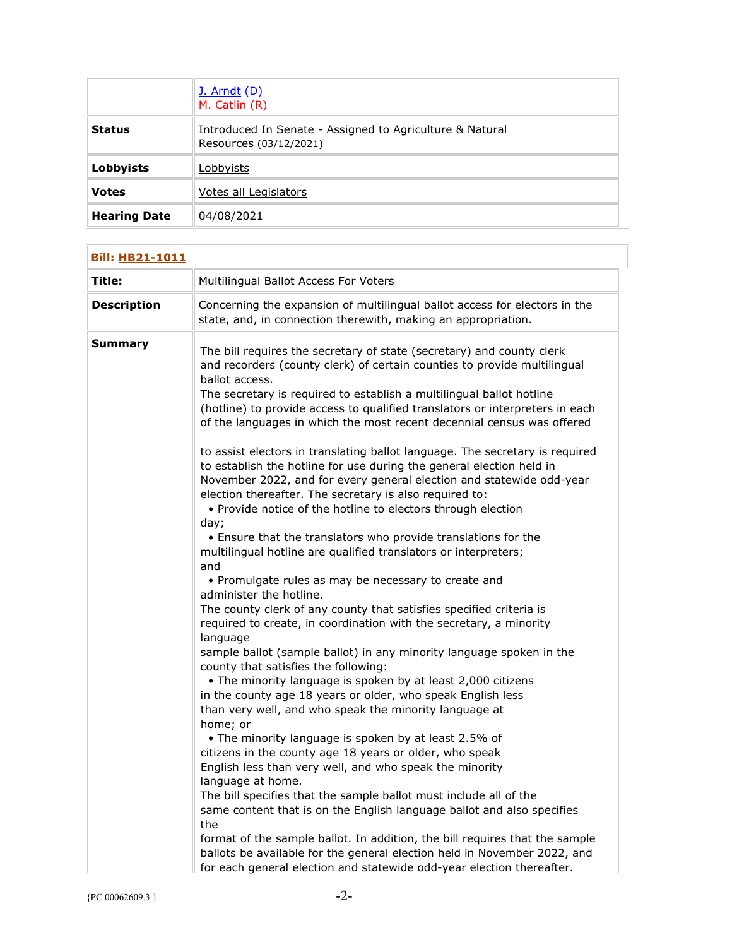|                     | <b>J.</b> Arndt (D)<br>M. Catlin (R)                                               |
|---------------------|------------------------------------------------------------------------------------|
| <b>Status</b>       | Introduced In Senate - Assigned to Agriculture & Natural<br>Resources (03/12/2021) |
| Lobbyists           | Lobbyists                                                                          |
| <b>Votes</b>        | Votes all Legislators                                                              |
| <b>Hearing Date</b> | 04/08/2021                                                                         |

| <b>Bill: HB21-1011</b> |                                                                                                                                                                                                                                                                                                                                                                                                                                                                                                                                                                                                                                                                                                                                                                                                                                                                                                                                                                                                                                                                                                                                                                                                                                                                                                                                                                                                                                                                                                                                                                                                                                                                                           |
|------------------------|-------------------------------------------------------------------------------------------------------------------------------------------------------------------------------------------------------------------------------------------------------------------------------------------------------------------------------------------------------------------------------------------------------------------------------------------------------------------------------------------------------------------------------------------------------------------------------------------------------------------------------------------------------------------------------------------------------------------------------------------------------------------------------------------------------------------------------------------------------------------------------------------------------------------------------------------------------------------------------------------------------------------------------------------------------------------------------------------------------------------------------------------------------------------------------------------------------------------------------------------------------------------------------------------------------------------------------------------------------------------------------------------------------------------------------------------------------------------------------------------------------------------------------------------------------------------------------------------------------------------------------------------------------------------------------------------|
| Title:                 | Multilingual Ballot Access For Voters                                                                                                                                                                                                                                                                                                                                                                                                                                                                                                                                                                                                                                                                                                                                                                                                                                                                                                                                                                                                                                                                                                                                                                                                                                                                                                                                                                                                                                                                                                                                                                                                                                                     |
| <b>Description</b>     | Concerning the expansion of multilingual ballot access for electors in the<br>state, and, in connection therewith, making an appropriation.                                                                                                                                                                                                                                                                                                                                                                                                                                                                                                                                                                                                                                                                                                                                                                                                                                                                                                                                                                                                                                                                                                                                                                                                                                                                                                                                                                                                                                                                                                                                               |
| Summary                | The bill requires the secretary of state (secretary) and county clerk<br>and recorders (county clerk) of certain counties to provide multilingual<br>ballot access.<br>The secretary is required to establish a multilingual ballot hotline<br>(hotline) to provide access to qualified translators or interpreters in each<br>of the languages in which the most recent decennial census was offered<br>to assist electors in translating ballot language. The secretary is required<br>to establish the hotline for use during the general election held in<br>November 2022, and for every general election and statewide odd-year<br>election thereafter. The secretary is also required to:<br>• Provide notice of the hotline to electors through election<br>day;<br>• Ensure that the translators who provide translations for the<br>multilingual hotline are qualified translators or interpreters;<br>and<br>• Promulgate rules as may be necessary to create and<br>administer the hotline.<br>The county clerk of any county that satisfies specified criteria is<br>required to create, in coordination with the secretary, a minority<br>language<br>sample ballot (sample ballot) in any minority language spoken in the<br>county that satisfies the following:<br>• The minority language is spoken by at least 2,000 citizens<br>in the county age 18 years or older, who speak English less<br>than very well, and who speak the minority language at<br>home; or<br>• The minority language is spoken by at least 2.5% of<br>citizens in the county age 18 years or older, who speak<br>English less than very well, and who speak the minority<br>language at home. |
|                        | The bill specifies that the sample ballot must include all of the<br>same content that is on the English language ballot and also specifies                                                                                                                                                                                                                                                                                                                                                                                                                                                                                                                                                                                                                                                                                                                                                                                                                                                                                                                                                                                                                                                                                                                                                                                                                                                                                                                                                                                                                                                                                                                                               |
|                        | the<br>format of the sample ballot. In addition, the bill requires that the sample                                                                                                                                                                                                                                                                                                                                                                                                                                                                                                                                                                                                                                                                                                                                                                                                                                                                                                                                                                                                                                                                                                                                                                                                                                                                                                                                                                                                                                                                                                                                                                                                        |
|                        | ballots be available for the general election held in November 2022, and<br>for each general election and statewide odd-year election thereafter.                                                                                                                                                                                                                                                                                                                                                                                                                                                                                                                                                                                                                                                                                                                                                                                                                                                                                                                                                                                                                                                                                                                                                                                                                                                                                                                                                                                                                                                                                                                                         |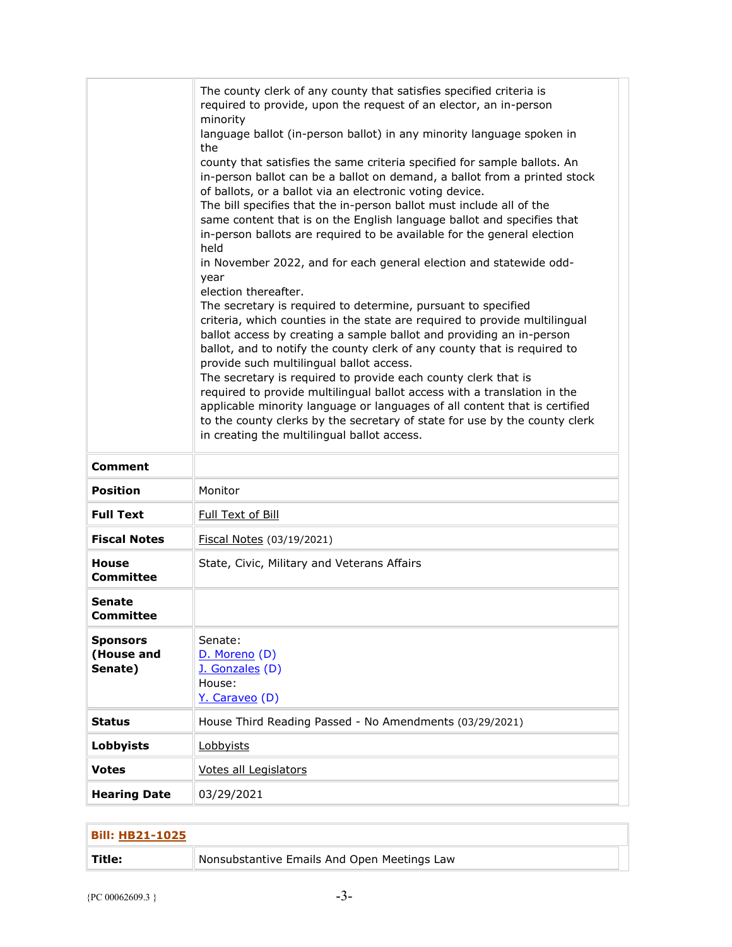|                                          | The county clerk of any county that satisfies specified criteria is<br>required to provide, upon the request of an elector, an in-person<br>minority<br>language ballot (in-person ballot) in any minority language spoken in<br>the<br>county that satisfies the same criteria specified for sample ballots. An<br>in-person ballot can be a ballot on demand, a ballot from a printed stock<br>of ballots, or a ballot via an electronic voting device.<br>The bill specifies that the in-person ballot must include all of the<br>same content that is on the English language ballot and specifies that<br>in-person ballots are required to be available for the general election<br>held<br>in November 2022, and for each general election and statewide odd-<br>year<br>election thereafter.<br>The secretary is required to determine, pursuant to specified<br>criteria, which counties in the state are required to provide multilingual<br>ballot access by creating a sample ballot and providing an in-person<br>ballot, and to notify the county clerk of any county that is required to<br>provide such multilingual ballot access.<br>The secretary is required to provide each county clerk that is<br>required to provide multilingual ballot access with a translation in the<br>applicable minority language or languages of all content that is certified<br>to the county clerks by the secretary of state for use by the county clerk<br>in creating the multilingual ballot access. |
|------------------------------------------|--------------------------------------------------------------------------------------------------------------------------------------------------------------------------------------------------------------------------------------------------------------------------------------------------------------------------------------------------------------------------------------------------------------------------------------------------------------------------------------------------------------------------------------------------------------------------------------------------------------------------------------------------------------------------------------------------------------------------------------------------------------------------------------------------------------------------------------------------------------------------------------------------------------------------------------------------------------------------------------------------------------------------------------------------------------------------------------------------------------------------------------------------------------------------------------------------------------------------------------------------------------------------------------------------------------------------------------------------------------------------------------------------------------------------------------------------------------------------------------------------------------|
| <b>Comment</b>                           |                                                                                                                                                                                                                                                                                                                                                                                                                                                                                                                                                                                                                                                                                                                                                                                                                                                                                                                                                                                                                                                                                                                                                                                                                                                                                                                                                                                                                                                                                                              |
| <b>Position</b>                          | Monitor                                                                                                                                                                                                                                                                                                                                                                                                                                                                                                                                                                                                                                                                                                                                                                                                                                                                                                                                                                                                                                                                                                                                                                                                                                                                                                                                                                                                                                                                                                      |
| <b>Full Text</b>                         | Full Text of Bill                                                                                                                                                                                                                                                                                                                                                                                                                                                                                                                                                                                                                                                                                                                                                                                                                                                                                                                                                                                                                                                                                                                                                                                                                                                                                                                                                                                                                                                                                            |
| <b>Fiscal Notes</b>                      | Fiscal Notes (03/19/2021)                                                                                                                                                                                                                                                                                                                                                                                                                                                                                                                                                                                                                                                                                                                                                                                                                                                                                                                                                                                                                                                                                                                                                                                                                                                                                                                                                                                                                                                                                    |
| <b>House</b><br><b>Committee</b>         | State, Civic, Military and Veterans Affairs                                                                                                                                                                                                                                                                                                                                                                                                                                                                                                                                                                                                                                                                                                                                                                                                                                                                                                                                                                                                                                                                                                                                                                                                                                                                                                                                                                                                                                                                  |
| Senate<br>Committee                      |                                                                                                                                                                                                                                                                                                                                                                                                                                                                                                                                                                                                                                                                                                                                                                                                                                                                                                                                                                                                                                                                                                                                                                                                                                                                                                                                                                                                                                                                                                              |
| <b>Sponsors</b><br>(House and<br>Senate) | Senate:<br>D. Moreno (D)<br>J. Gonzales (D)<br>House:<br>Y. Caraveo (D)                                                                                                                                                                                                                                                                                                                                                                                                                                                                                                                                                                                                                                                                                                                                                                                                                                                                                                                                                                                                                                                                                                                                                                                                                                                                                                                                                                                                                                      |
| <b>Status</b>                            | House Third Reading Passed - No Amendments (03/29/2021)                                                                                                                                                                                                                                                                                                                                                                                                                                                                                                                                                                                                                                                                                                                                                                                                                                                                                                                                                                                                                                                                                                                                                                                                                                                                                                                                                                                                                                                      |
| <b>Lobbyists</b>                         | Lobbyists                                                                                                                                                                                                                                                                                                                                                                                                                                                                                                                                                                                                                                                                                                                                                                                                                                                                                                                                                                                                                                                                                                                                                                                                                                                                                                                                                                                                                                                                                                    |
| <b>Votes</b>                             | Votes all Legislators                                                                                                                                                                                                                                                                                                                                                                                                                                                                                                                                                                                                                                                                                                                                                                                                                                                                                                                                                                                                                                                                                                                                                                                                                                                                                                                                                                                                                                                                                        |
| <b>Hearing Date</b>                      | 03/29/2021                                                                                                                                                                                                                                                                                                                                                                                                                                                                                                                                                                                                                                                                                                                                                                                                                                                                                                                                                                                                                                                                                                                                                                                                                                                                                                                                                                                                                                                                                                   |

| <b>Bill: HB21-1025</b> |                                             |
|------------------------|---------------------------------------------|
| $^{\dagger}$ Title:    | Nonsubstantive Emails And Open Meetings Law |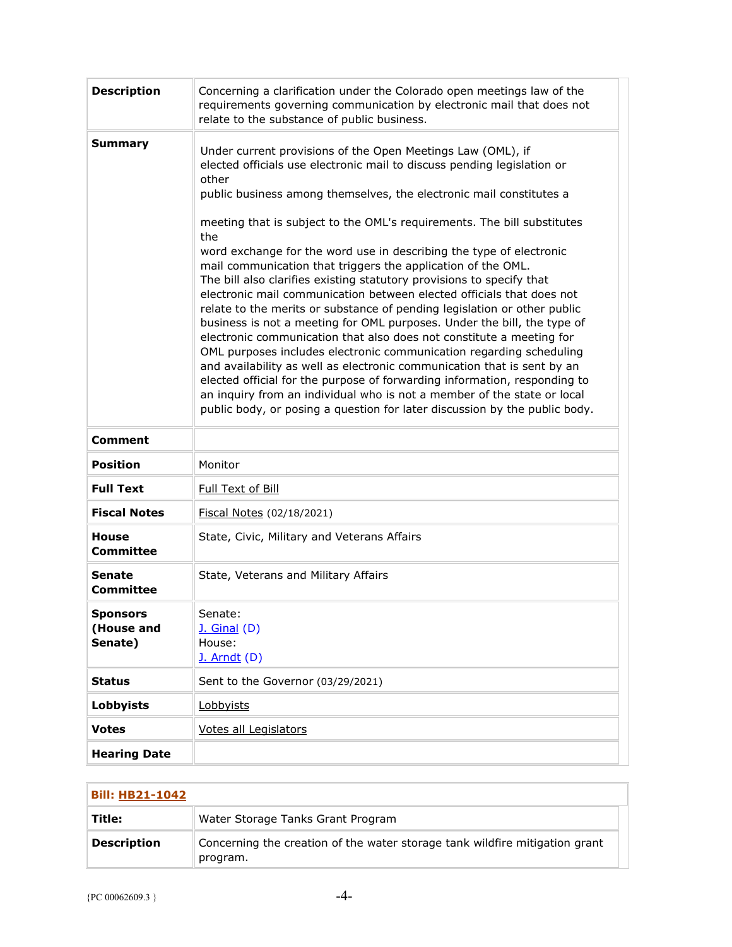| <b>Description</b>                       | Concerning a clarification under the Colorado open meetings law of the<br>requirements governing communication by electronic mail that does not<br>relate to the substance of public business.                                                                                                                                                                                                                                                                                                                                                                                                                                                                                                                                                                                                                                                                                                                                                                                                                                                                                                                                                                                                                           |
|------------------------------------------|--------------------------------------------------------------------------------------------------------------------------------------------------------------------------------------------------------------------------------------------------------------------------------------------------------------------------------------------------------------------------------------------------------------------------------------------------------------------------------------------------------------------------------------------------------------------------------------------------------------------------------------------------------------------------------------------------------------------------------------------------------------------------------------------------------------------------------------------------------------------------------------------------------------------------------------------------------------------------------------------------------------------------------------------------------------------------------------------------------------------------------------------------------------------------------------------------------------------------|
| <b>Summary</b>                           | Under current provisions of the Open Meetings Law (OML), if<br>elected officials use electronic mail to discuss pending legislation or<br>other<br>public business among themselves, the electronic mail constitutes a<br>meeting that is subject to the OML's requirements. The bill substitutes<br>the<br>word exchange for the word use in describing the type of electronic<br>mail communication that triggers the application of the OML.<br>The bill also clarifies existing statutory provisions to specify that<br>electronic mail communication between elected officials that does not<br>relate to the merits or substance of pending legislation or other public<br>business is not a meeting for OML purposes. Under the bill, the type of<br>electronic communication that also does not constitute a meeting for<br>OML purposes includes electronic communication regarding scheduling<br>and availability as well as electronic communication that is sent by an<br>elected official for the purpose of forwarding information, responding to<br>an inquiry from an individual who is not a member of the state or local<br>public body, or posing a question for later discussion by the public body. |
| <b>Comment</b>                           |                                                                                                                                                                                                                                                                                                                                                                                                                                                                                                                                                                                                                                                                                                                                                                                                                                                                                                                                                                                                                                                                                                                                                                                                                          |
| <b>Position</b>                          | Monitor                                                                                                                                                                                                                                                                                                                                                                                                                                                                                                                                                                                                                                                                                                                                                                                                                                                                                                                                                                                                                                                                                                                                                                                                                  |
| <b>Full Text</b>                         | Full Text of Bill                                                                                                                                                                                                                                                                                                                                                                                                                                                                                                                                                                                                                                                                                                                                                                                                                                                                                                                                                                                                                                                                                                                                                                                                        |
| <b>Fiscal Notes</b>                      | Fiscal Notes (02/18/2021)                                                                                                                                                                                                                                                                                                                                                                                                                                                                                                                                                                                                                                                                                                                                                                                                                                                                                                                                                                                                                                                                                                                                                                                                |
| <b>House</b><br><b>Committee</b>         | State, Civic, Military and Veterans Affairs                                                                                                                                                                                                                                                                                                                                                                                                                                                                                                                                                                                                                                                                                                                                                                                                                                                                                                                                                                                                                                                                                                                                                                              |
| <b>Senate</b><br><b>Committee</b>        | State, Veterans and Military Affairs                                                                                                                                                                                                                                                                                                                                                                                                                                                                                                                                                                                                                                                                                                                                                                                                                                                                                                                                                                                                                                                                                                                                                                                     |
| <b>Sponsors</b><br>(House and<br>Senate) | Senate:<br><b>J. Ginal (D)</b><br>House:<br>$J.$ Arndt $(D)$                                                                                                                                                                                                                                                                                                                                                                                                                                                                                                                                                                                                                                                                                                                                                                                                                                                                                                                                                                                                                                                                                                                                                             |
| <b>Status</b>                            | Sent to the Governor (03/29/2021)                                                                                                                                                                                                                                                                                                                                                                                                                                                                                                                                                                                                                                                                                                                                                                                                                                                                                                                                                                                                                                                                                                                                                                                        |
| <b>Lobbyists</b>                         | Lobbyists                                                                                                                                                                                                                                                                                                                                                                                                                                                                                                                                                                                                                                                                                                                                                                                                                                                                                                                                                                                                                                                                                                                                                                                                                |
| <b>Votes</b>                             | Votes all Legislators                                                                                                                                                                                                                                                                                                                                                                                                                                                                                                                                                                                                                                                                                                                                                                                                                                                                                                                                                                                                                                                                                                                                                                                                    |
| <b>Hearing Date</b>                      |                                                                                                                                                                                                                                                                                                                                                                                                                                                                                                                                                                                                                                                                                                                                                                                                                                                                                                                                                                                                                                                                                                                                                                                                                          |

| <b>Bill: HB21-1042</b> |                                                                                         |
|------------------------|-----------------------------------------------------------------------------------------|
| Title:                 | Water Storage Tanks Grant Program                                                       |
| <b>Description</b>     | Concerning the creation of the water storage tank wildfire mitigation grant<br>program. |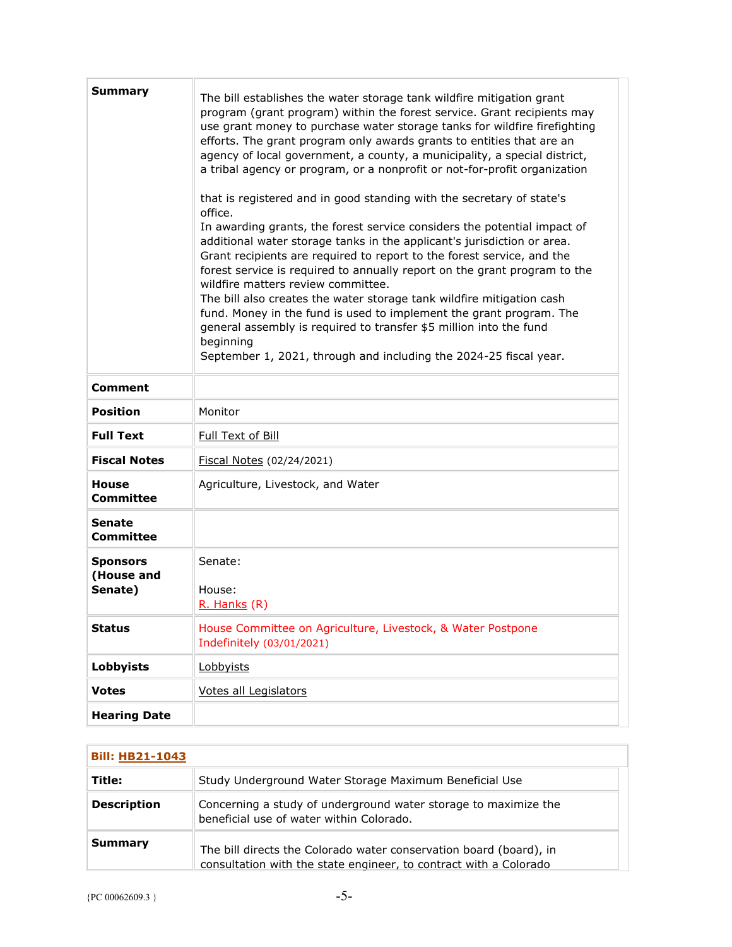| <b>Summary</b>                           | The bill establishes the water storage tank wildfire mitigation grant<br>program (grant program) within the forest service. Grant recipients may<br>use grant money to purchase water storage tanks for wildfire firefighting<br>efforts. The grant program only awards grants to entities that are an<br>agency of local government, a county, a municipality, a special district,<br>a tribal agency or program, or a nonprofit or not-for-profit organization<br>that is registered and in good standing with the secretary of state's<br>office.<br>In awarding grants, the forest service considers the potential impact of<br>additional water storage tanks in the applicant's jurisdiction or area.<br>Grant recipients are required to report to the forest service, and the<br>forest service is required to annually report on the grant program to the<br>wildfire matters review committee.<br>The bill also creates the water storage tank wildfire mitigation cash<br>fund. Money in the fund is used to implement the grant program. The<br>general assembly is required to transfer \$5 million into the fund<br>beginning<br>September 1, 2021, through and including the 2024-25 fiscal year. |
|------------------------------------------|------------------------------------------------------------------------------------------------------------------------------------------------------------------------------------------------------------------------------------------------------------------------------------------------------------------------------------------------------------------------------------------------------------------------------------------------------------------------------------------------------------------------------------------------------------------------------------------------------------------------------------------------------------------------------------------------------------------------------------------------------------------------------------------------------------------------------------------------------------------------------------------------------------------------------------------------------------------------------------------------------------------------------------------------------------------------------------------------------------------------------------------------------------------------------------------------------------------|
| <b>Comment</b>                           |                                                                                                                                                                                                                                                                                                                                                                                                                                                                                                                                                                                                                                                                                                                                                                                                                                                                                                                                                                                                                                                                                                                                                                                                                  |
| <b>Position</b>                          | Monitor                                                                                                                                                                                                                                                                                                                                                                                                                                                                                                                                                                                                                                                                                                                                                                                                                                                                                                                                                                                                                                                                                                                                                                                                          |
| <b>Full Text</b>                         | Full Text of Bill                                                                                                                                                                                                                                                                                                                                                                                                                                                                                                                                                                                                                                                                                                                                                                                                                                                                                                                                                                                                                                                                                                                                                                                                |
| <b>Fiscal Notes</b>                      | Fiscal Notes (02/24/2021)                                                                                                                                                                                                                                                                                                                                                                                                                                                                                                                                                                                                                                                                                                                                                                                                                                                                                                                                                                                                                                                                                                                                                                                        |
| <b>House</b><br><b>Committee</b>         | Agriculture, Livestock, and Water                                                                                                                                                                                                                                                                                                                                                                                                                                                                                                                                                                                                                                                                                                                                                                                                                                                                                                                                                                                                                                                                                                                                                                                |
| <b>Senate</b><br><b>Committee</b>        |                                                                                                                                                                                                                                                                                                                                                                                                                                                                                                                                                                                                                                                                                                                                                                                                                                                                                                                                                                                                                                                                                                                                                                                                                  |
| <b>Sponsors</b><br>(House and<br>Senate) | Senate:<br>House:<br>R. Hanks (R)                                                                                                                                                                                                                                                                                                                                                                                                                                                                                                                                                                                                                                                                                                                                                                                                                                                                                                                                                                                                                                                                                                                                                                                |
| <b>Status</b>                            | House Committee on Agriculture, Livestock, & Water Postpone<br>Indefinitely (03/01/2021)                                                                                                                                                                                                                                                                                                                                                                                                                                                                                                                                                                                                                                                                                                                                                                                                                                                                                                                                                                                                                                                                                                                         |
| Lobbyists                                | Lobbyists                                                                                                                                                                                                                                                                                                                                                                                                                                                                                                                                                                                                                                                                                                                                                                                                                                                                                                                                                                                                                                                                                                                                                                                                        |
| <b>Votes</b>                             | Votes all Legislators                                                                                                                                                                                                                                                                                                                                                                                                                                                                                                                                                                                                                                                                                                                                                                                                                                                                                                                                                                                                                                                                                                                                                                                            |
| <b>Hearing Date</b>                      |                                                                                                                                                                                                                                                                                                                                                                                                                                                                                                                                                                                                                                                                                                                                                                                                                                                                                                                                                                                                                                                                                                                                                                                                                  |

| <b>Bill: HB21-1043</b> |                                                                                                                                         |
|------------------------|-----------------------------------------------------------------------------------------------------------------------------------------|
| Title:                 | Study Underground Water Storage Maximum Beneficial Use                                                                                  |
| <b>Description</b>     | Concerning a study of underground water storage to maximize the<br>beneficial use of water within Colorado.                             |
| Summary                | The bill directs the Colorado water conservation board (board), in<br>consultation with the state engineer, to contract with a Colorado |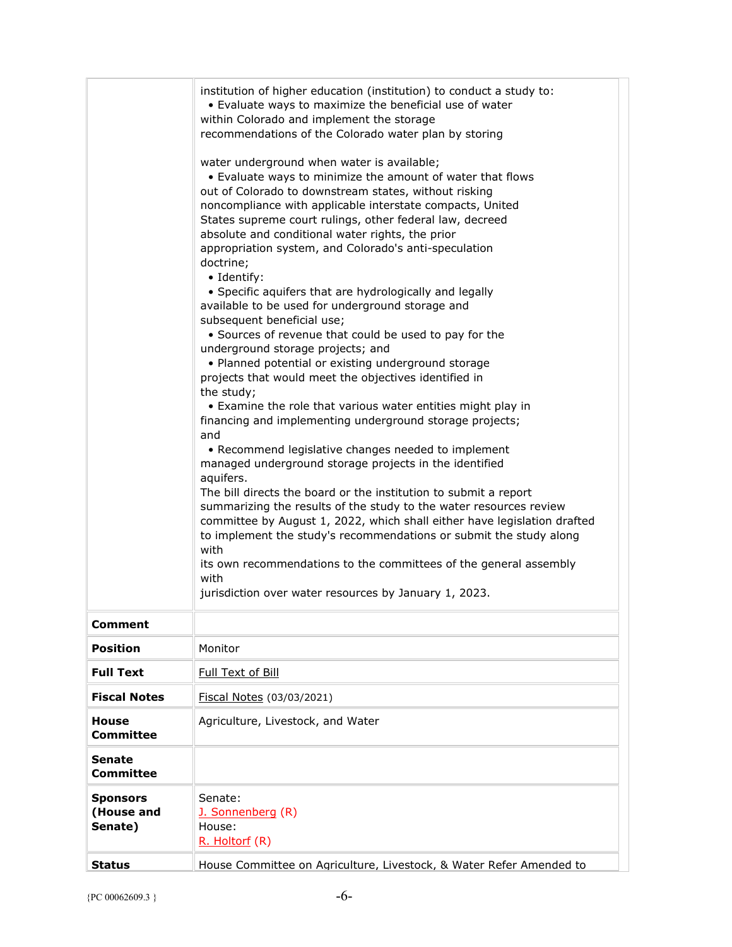|                                          | institution of higher education (institution) to conduct a study to:<br>• Evaluate ways to maximize the beneficial use of water<br>within Colorado and implement the storage<br>recommendations of the Colorado water plan by storing<br>water underground when water is available;<br>• Evaluate ways to minimize the amount of water that flows<br>out of Colorado to downstream states, without risking<br>noncompliance with applicable interstate compacts, United<br>States supreme court rulings, other federal law, decreed<br>absolute and conditional water rights, the prior<br>appropriation system, and Colorado's anti-speculation<br>doctrine;<br>• Identify:<br>• Specific aquifers that are hydrologically and legally<br>available to be used for underground storage and<br>subsequent beneficial use;<br>• Sources of revenue that could be used to pay for the<br>underground storage projects; and<br>• Planned potential or existing underground storage<br>projects that would meet the objectives identified in<br>the study;<br>• Examine the role that various water entities might play in<br>financing and implementing underground storage projects;<br>and<br>• Recommend legislative changes needed to implement<br>managed underground storage projects in the identified<br>aquifers.<br>The bill directs the board or the institution to submit a report<br>summarizing the results of the study to the water resources review<br>committee by August 1, 2022, which shall either have legislation drafted<br>to implement the study's recommendations or submit the study along<br>with<br>its own recommendations to the committees of the general assembly<br>with<br>jurisdiction over water resources by January 1, 2023. |
|------------------------------------------|-------------------------------------------------------------------------------------------------------------------------------------------------------------------------------------------------------------------------------------------------------------------------------------------------------------------------------------------------------------------------------------------------------------------------------------------------------------------------------------------------------------------------------------------------------------------------------------------------------------------------------------------------------------------------------------------------------------------------------------------------------------------------------------------------------------------------------------------------------------------------------------------------------------------------------------------------------------------------------------------------------------------------------------------------------------------------------------------------------------------------------------------------------------------------------------------------------------------------------------------------------------------------------------------------------------------------------------------------------------------------------------------------------------------------------------------------------------------------------------------------------------------------------------------------------------------------------------------------------------------------------------------------------------------------------------------------------------------------------------------------------------------|
| <b>Comment</b>                           |                                                                                                                                                                                                                                                                                                                                                                                                                                                                                                                                                                                                                                                                                                                                                                                                                                                                                                                                                                                                                                                                                                                                                                                                                                                                                                                                                                                                                                                                                                                                                                                                                                                                                                                                                                   |
| <b>Position</b>                          | Monitor                                                                                                                                                                                                                                                                                                                                                                                                                                                                                                                                                                                                                                                                                                                                                                                                                                                                                                                                                                                                                                                                                                                                                                                                                                                                                                                                                                                                                                                                                                                                                                                                                                                                                                                                                           |
| <b>Full Text</b>                         | Full Text of Bill                                                                                                                                                                                                                                                                                                                                                                                                                                                                                                                                                                                                                                                                                                                                                                                                                                                                                                                                                                                                                                                                                                                                                                                                                                                                                                                                                                                                                                                                                                                                                                                                                                                                                                                                                 |
| <b>Fiscal Notes</b>                      | Fiscal Notes (03/03/2021)                                                                                                                                                                                                                                                                                                                                                                                                                                                                                                                                                                                                                                                                                                                                                                                                                                                                                                                                                                                                                                                                                                                                                                                                                                                                                                                                                                                                                                                                                                                                                                                                                                                                                                                                         |
| House<br><b>Committee</b>                | Agriculture, Livestock, and Water                                                                                                                                                                                                                                                                                                                                                                                                                                                                                                                                                                                                                                                                                                                                                                                                                                                                                                                                                                                                                                                                                                                                                                                                                                                                                                                                                                                                                                                                                                                                                                                                                                                                                                                                 |
| <b>Senate</b><br>Committee               |                                                                                                                                                                                                                                                                                                                                                                                                                                                                                                                                                                                                                                                                                                                                                                                                                                                                                                                                                                                                                                                                                                                                                                                                                                                                                                                                                                                                                                                                                                                                                                                                                                                                                                                                                                   |
| <b>Sponsors</b><br>(House and<br>Senate) | Senate:<br>J. Sonnenberg (R)<br>House:<br>R. Holtorf (R)                                                                                                                                                                                                                                                                                                                                                                                                                                                                                                                                                                                                                                                                                                                                                                                                                                                                                                                                                                                                                                                                                                                                                                                                                                                                                                                                                                                                                                                                                                                                                                                                                                                                                                          |
| <b>Status</b>                            | House Committee on Agriculture, Livestock, & Water Refer Amended to                                                                                                                                                                                                                                                                                                                                                                                                                                                                                                                                                                                                                                                                                                                                                                                                                                                                                                                                                                                                                                                                                                                                                                                                                                                                                                                                                                                                                                                                                                                                                                                                                                                                                               |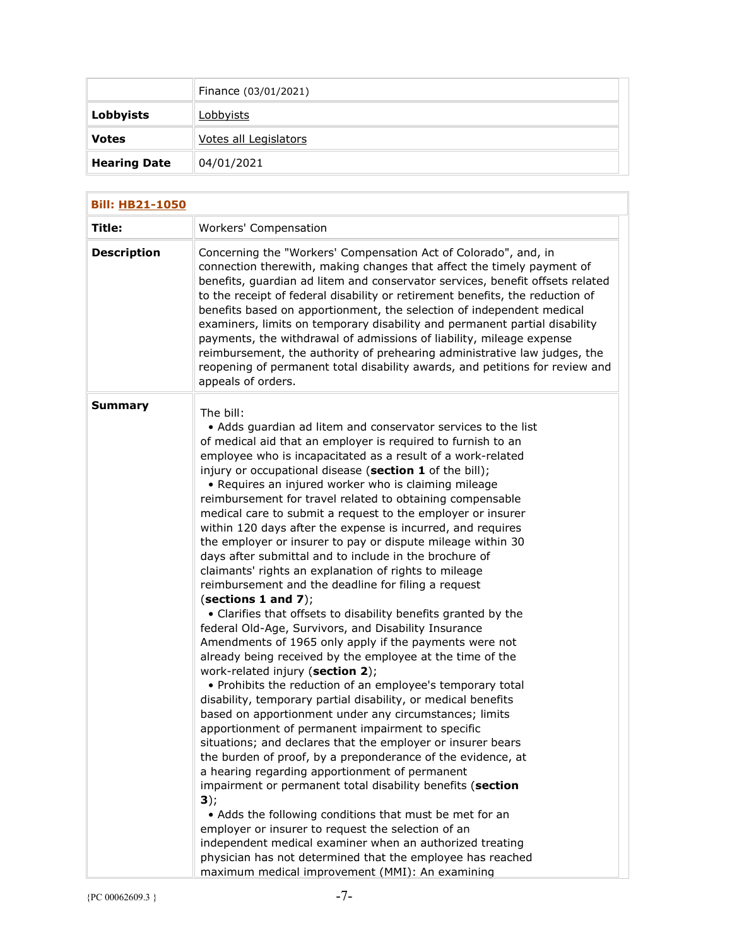|                     | Finance (03/01/2021)  |
|---------------------|-----------------------|
| <b>Lobbyists</b>    | <u>Lobbyists</u>      |
| <b>Votes</b>        | Votes all Legislators |
| <b>Hearing Date</b> | 04/01/2021            |

| <b>Bill: HB21-1050</b> |                                                                                                                                                                                                                                                                                                                                                                                                                                                                                                                                                                                                                                                                                                                                                                                                                                                                                                                                                                                                                                                                                                                                                                                                                                                                                                                                                                                                                                                                                                                                                                                                                                                                                                                                                                                                                                                                                     |
|------------------------|-------------------------------------------------------------------------------------------------------------------------------------------------------------------------------------------------------------------------------------------------------------------------------------------------------------------------------------------------------------------------------------------------------------------------------------------------------------------------------------------------------------------------------------------------------------------------------------------------------------------------------------------------------------------------------------------------------------------------------------------------------------------------------------------------------------------------------------------------------------------------------------------------------------------------------------------------------------------------------------------------------------------------------------------------------------------------------------------------------------------------------------------------------------------------------------------------------------------------------------------------------------------------------------------------------------------------------------------------------------------------------------------------------------------------------------------------------------------------------------------------------------------------------------------------------------------------------------------------------------------------------------------------------------------------------------------------------------------------------------------------------------------------------------------------------------------------------------------------------------------------------------|
| Title:                 | Workers' Compensation                                                                                                                                                                                                                                                                                                                                                                                                                                                                                                                                                                                                                                                                                                                                                                                                                                                                                                                                                                                                                                                                                                                                                                                                                                                                                                                                                                                                                                                                                                                                                                                                                                                                                                                                                                                                                                                               |
| <b>Description</b>     | Concerning the "Workers' Compensation Act of Colorado", and, in<br>connection therewith, making changes that affect the timely payment of<br>benefits, guardian ad litem and conservator services, benefit offsets related<br>to the receipt of federal disability or retirement benefits, the reduction of<br>benefits based on apportionment, the selection of independent medical<br>examiners, limits on temporary disability and permanent partial disability<br>payments, the withdrawal of admissions of liability, mileage expense<br>reimbursement, the authority of prehearing administrative law judges, the<br>reopening of permanent total disability awards, and petitions for review and<br>appeals of orders.                                                                                                                                                                                                                                                                                                                                                                                                                                                                                                                                                                                                                                                                                                                                                                                                                                                                                                                                                                                                                                                                                                                                                       |
| Summary                | The bill:<br>• Adds guardian ad litem and conservator services to the list<br>of medical aid that an employer is required to furnish to an<br>employee who is incapacitated as a result of a work-related<br>injury or occupational disease (section 1 of the bill);<br>• Requires an injured worker who is claiming mileage<br>reimbursement for travel related to obtaining compensable<br>medical care to submit a request to the employer or insurer<br>within 120 days after the expense is incurred, and requires<br>the employer or insurer to pay or dispute mileage within 30<br>days after submittal and to include in the brochure of<br>claimants' rights an explanation of rights to mileage<br>reimbursement and the deadline for filing a request<br>(sections 1 and $7$ );<br>• Clarifies that offsets to disability benefits granted by the<br>federal Old-Age, Survivors, and Disability Insurance<br>Amendments of 1965 only apply if the payments were not<br>already being received by the employee at the time of the<br>work-related injury (section 2);<br>• Prohibits the reduction of an employee's temporary total<br>disability, temporary partial disability, or medical benefits<br>based on apportionment under any circumstances; limits<br>apportionment of permanent impairment to specific<br>situations; and declares that the employer or insurer bears<br>the burden of proof, by a preponderance of the evidence, at<br>a hearing regarding apportionment of permanent<br>impairment or permanent total disability benefits (section<br>$3)$ ;<br>• Adds the following conditions that must be met for an<br>employer or insurer to request the selection of an<br>independent medical examiner when an authorized treating<br>physician has not determined that the employee has reached<br>maximum medical improvement (MMI): An examining |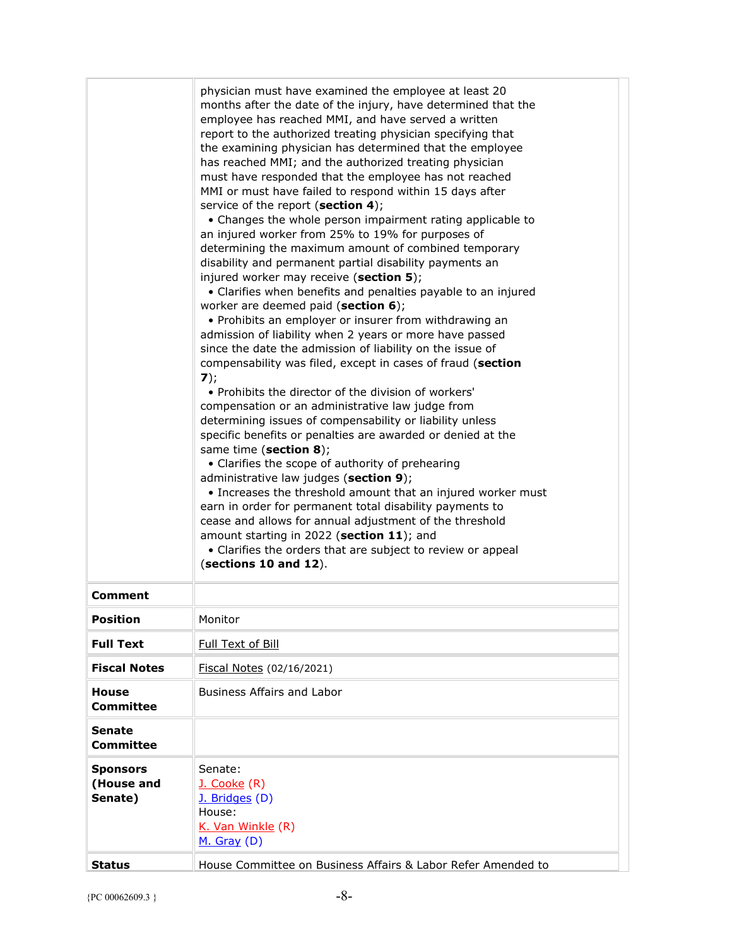|                                          | physician must have examined the employee at least 20<br>months after the date of the injury, have determined that the<br>employee has reached MMI, and have served a written<br>report to the authorized treating physician specifying that<br>the examining physician has determined that the employee<br>has reached MMI; and the authorized treating physician<br>must have responded that the employee has not reached<br>MMI or must have failed to respond within 15 days after<br>service of the report (section 4);<br>• Changes the whole person impairment rating applicable to<br>an injured worker from 25% to 19% for purposes of<br>determining the maximum amount of combined temporary<br>disability and permanent partial disability payments an<br>injured worker may receive (section 5);<br>• Clarifies when benefits and penalties payable to an injured<br>worker are deemed paid (section 6);<br>• Prohibits an employer or insurer from withdrawing an<br>admission of liability when 2 years or more have passed<br>since the date the admission of liability on the issue of<br>compensability was filed, except in cases of fraud (section<br>7);<br>• Prohibits the director of the division of workers'<br>compensation or an administrative law judge from<br>determining issues of compensability or liability unless<br>specific benefits or penalties are awarded or denied at the<br>same time (section 8);<br>• Clarifies the scope of authority of prehearing<br>administrative law judges (section 9);<br>• Increases the threshold amount that an injured worker must<br>earn in order for permanent total disability payments to<br>cease and allows for annual adjustment of the threshold<br>amount starting in 2022 (section 11); and<br>• Clarifies the orders that are subject to review or appeal<br>$(\text{sections } 10 \text{ and } 12).$ |
|------------------------------------------|---------------------------------------------------------------------------------------------------------------------------------------------------------------------------------------------------------------------------------------------------------------------------------------------------------------------------------------------------------------------------------------------------------------------------------------------------------------------------------------------------------------------------------------------------------------------------------------------------------------------------------------------------------------------------------------------------------------------------------------------------------------------------------------------------------------------------------------------------------------------------------------------------------------------------------------------------------------------------------------------------------------------------------------------------------------------------------------------------------------------------------------------------------------------------------------------------------------------------------------------------------------------------------------------------------------------------------------------------------------------------------------------------------------------------------------------------------------------------------------------------------------------------------------------------------------------------------------------------------------------------------------------------------------------------------------------------------------------------------------------------------------------------------------------------------------------------------------------------------------------------------------------|
| <b>Comment</b>                           |                                                                                                                                                                                                                                                                                                                                                                                                                                                                                                                                                                                                                                                                                                                                                                                                                                                                                                                                                                                                                                                                                                                                                                                                                                                                                                                                                                                                                                                                                                                                                                                                                                                                                                                                                                                                                                                                                             |
| <b>Position</b>                          | Monitor                                                                                                                                                                                                                                                                                                                                                                                                                                                                                                                                                                                                                                                                                                                                                                                                                                                                                                                                                                                                                                                                                                                                                                                                                                                                                                                                                                                                                                                                                                                                                                                                                                                                                                                                                                                                                                                                                     |
| <b>Full Text</b>                         | Full Text of Bill                                                                                                                                                                                                                                                                                                                                                                                                                                                                                                                                                                                                                                                                                                                                                                                                                                                                                                                                                                                                                                                                                                                                                                                                                                                                                                                                                                                                                                                                                                                                                                                                                                                                                                                                                                                                                                                                           |
| <b>Fiscal Notes</b>                      | Fiscal Notes (02/16/2021)                                                                                                                                                                                                                                                                                                                                                                                                                                                                                                                                                                                                                                                                                                                                                                                                                                                                                                                                                                                                                                                                                                                                                                                                                                                                                                                                                                                                                                                                                                                                                                                                                                                                                                                                                                                                                                                                   |
| House<br>Committee                       | <b>Business Affairs and Labor</b>                                                                                                                                                                                                                                                                                                                                                                                                                                                                                                                                                                                                                                                                                                                                                                                                                                                                                                                                                                                                                                                                                                                                                                                                                                                                                                                                                                                                                                                                                                                                                                                                                                                                                                                                                                                                                                                           |
| Senate<br>Committee                      |                                                                                                                                                                                                                                                                                                                                                                                                                                                                                                                                                                                                                                                                                                                                                                                                                                                                                                                                                                                                                                                                                                                                                                                                                                                                                                                                                                                                                                                                                                                                                                                                                                                                                                                                                                                                                                                                                             |
| <b>Sponsors</b><br>(House and<br>Senate) | Senate:<br>J. Cooke (R)<br>J. Bridges (D)<br>House:<br>K. Van Winkle (R)<br>M. Gray (D)                                                                                                                                                                                                                                                                                                                                                                                                                                                                                                                                                                                                                                                                                                                                                                                                                                                                                                                                                                                                                                                                                                                                                                                                                                                                                                                                                                                                                                                                                                                                                                                                                                                                                                                                                                                                     |
| Status                                   | House Committee on Business Affairs & Labor Refer Amended to                                                                                                                                                                                                                                                                                                                                                                                                                                                                                                                                                                                                                                                                                                                                                                                                                                                                                                                                                                                                                                                                                                                                                                                                                                                                                                                                                                                                                                                                                                                                                                                                                                                                                                                                                                                                                                |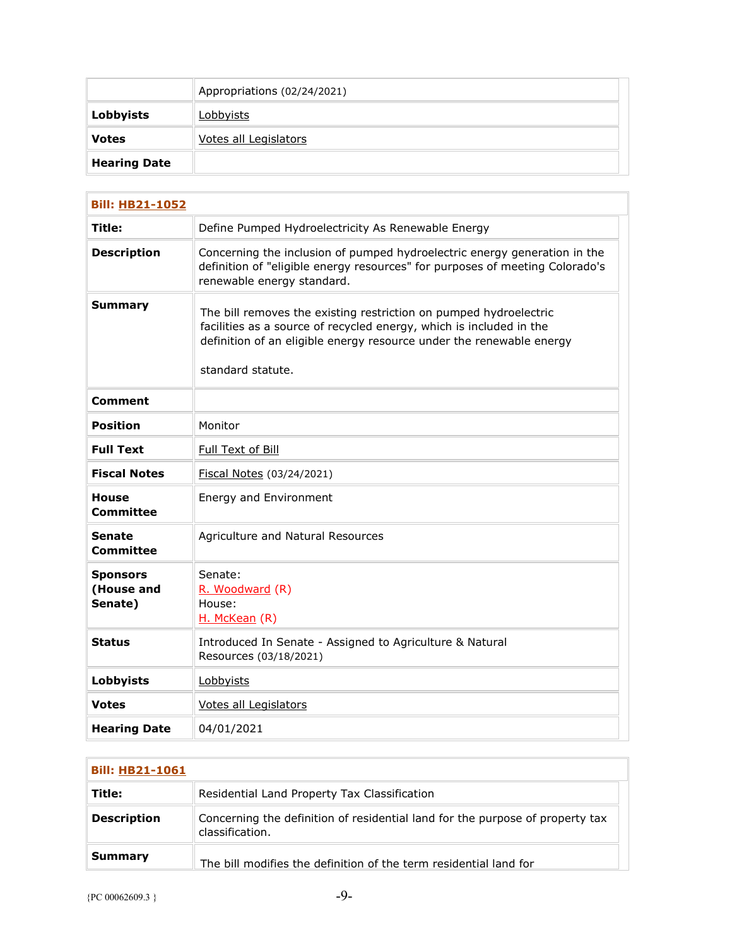|                     | Appropriations (02/24/2021)  |
|---------------------|------------------------------|
| Lobbyists           | <u>Lobbyists</u>             |
| <b>Votes</b>        | <b>Votes all Legislators</b> |
| <b>Hearing Date</b> |                              |

| <b>Bill: HB21-1052</b>                   |                                                                                                                                                                                                                                       |  |
|------------------------------------------|---------------------------------------------------------------------------------------------------------------------------------------------------------------------------------------------------------------------------------------|--|
| Title:                                   | Define Pumped Hydroelectricity As Renewable Energy                                                                                                                                                                                    |  |
| <b>Description</b>                       | Concerning the inclusion of pumped hydroelectric energy generation in the<br>definition of "eligible energy resources" for purposes of meeting Colorado's<br>renewable energy standard.                                               |  |
| <b>Summary</b>                           | The bill removes the existing restriction on pumped hydroelectric<br>facilities as a source of recycled energy, which is included in the<br>definition of an eligible energy resource under the renewable energy<br>standard statute. |  |
| Comment                                  |                                                                                                                                                                                                                                       |  |
| Position                                 | Monitor                                                                                                                                                                                                                               |  |
| <b>Full Text</b>                         | Full Text of Bill                                                                                                                                                                                                                     |  |
| <b>Fiscal Notes</b>                      | Fiscal Notes (03/24/2021)                                                                                                                                                                                                             |  |
| <b>House</b><br><b>Committee</b>         | Energy and Environment                                                                                                                                                                                                                |  |
| <b>Senate</b><br>Committee               | Agriculture and Natural Resources                                                                                                                                                                                                     |  |
| <b>Sponsors</b><br>(House and<br>Senate) | Senate:<br>R. Woodward (R)<br>House:<br>H. McKean (R)                                                                                                                                                                                 |  |
| <b>Status</b>                            | Introduced In Senate - Assigned to Agriculture & Natural<br>Resources (03/18/2021)                                                                                                                                                    |  |
| <b>Lobbyists</b>                         | Lobbyists                                                                                                                                                                                                                             |  |
| <b>Votes</b>                             | <b>Votes all Legislators</b>                                                                                                                                                                                                          |  |
| <b>Hearing Date</b>                      | 04/01/2021                                                                                                                                                                                                                            |  |

| <b>Bill: HB21-1061</b> |                                                                                                  |
|------------------------|--------------------------------------------------------------------------------------------------|
| Title:                 | Residential Land Property Tax Classification                                                     |
| <b>Description</b>     | Concerning the definition of residential land for the purpose of property tax<br>classification. |
| Summary                | The bill modifies the definition of the term residential land for                                |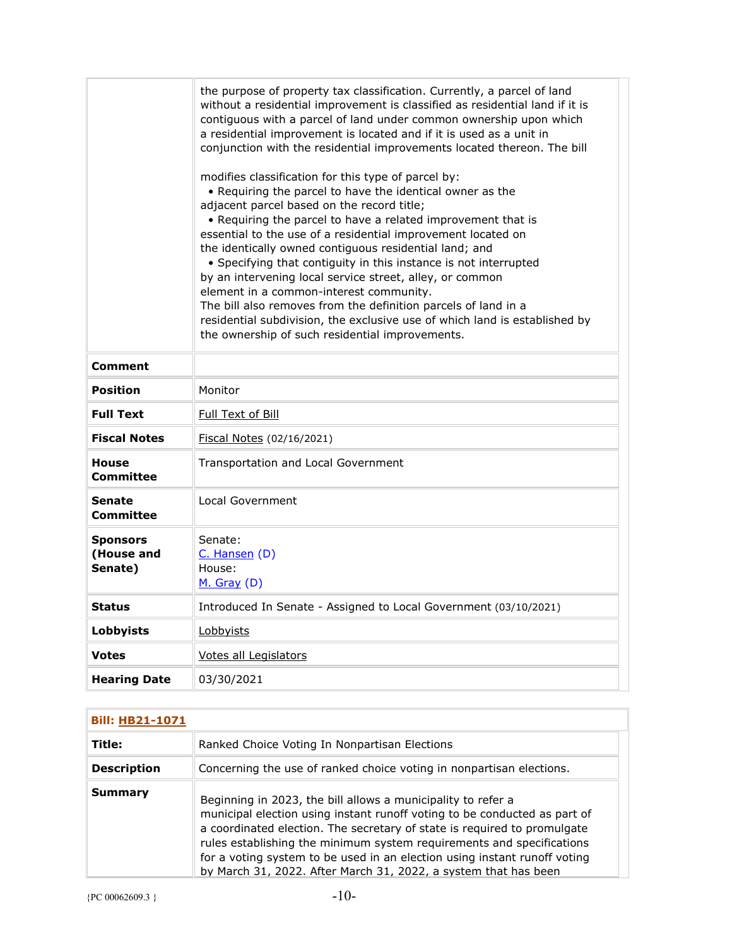|                                          | the purpose of property tax classification. Currently, a parcel of land<br>without a residential improvement is classified as residential land if it is<br>contiguous with a parcel of land under common ownership upon which<br>a residential improvement is located and if it is used as a unit in<br>conjunction with the residential improvements located thereon. The bill<br>modifies classification for this type of parcel by:<br>• Requiring the parcel to have the identical owner as the<br>adjacent parcel based on the record title;<br>• Requiring the parcel to have a related improvement that is<br>essential to the use of a residential improvement located on<br>the identically owned contiguous residential land; and<br>• Specifying that contiguity in this instance is not interrupted<br>by an intervening local service street, alley, or common<br>element in a common-interest community.<br>The bill also removes from the definition parcels of land in a<br>residential subdivision, the exclusive use of which land is established by<br>the ownership of such residential improvements. |
|------------------------------------------|---------------------------------------------------------------------------------------------------------------------------------------------------------------------------------------------------------------------------------------------------------------------------------------------------------------------------------------------------------------------------------------------------------------------------------------------------------------------------------------------------------------------------------------------------------------------------------------------------------------------------------------------------------------------------------------------------------------------------------------------------------------------------------------------------------------------------------------------------------------------------------------------------------------------------------------------------------------------------------------------------------------------------------------------------------------------------------------------------------------------------|
| <b>Comment</b>                           |                                                                                                                                                                                                                                                                                                                                                                                                                                                                                                                                                                                                                                                                                                                                                                                                                                                                                                                                                                                                                                                                                                                           |
| <b>Position</b>                          | Monitor                                                                                                                                                                                                                                                                                                                                                                                                                                                                                                                                                                                                                                                                                                                                                                                                                                                                                                                                                                                                                                                                                                                   |
| <b>Full Text</b>                         | Full Text of Bill                                                                                                                                                                                                                                                                                                                                                                                                                                                                                                                                                                                                                                                                                                                                                                                                                                                                                                                                                                                                                                                                                                         |
| <b>Fiscal Notes</b>                      | Fiscal Notes (02/16/2021)                                                                                                                                                                                                                                                                                                                                                                                                                                                                                                                                                                                                                                                                                                                                                                                                                                                                                                                                                                                                                                                                                                 |
| <b>House</b><br>Committee                | Transportation and Local Government                                                                                                                                                                                                                                                                                                                                                                                                                                                                                                                                                                                                                                                                                                                                                                                                                                                                                                                                                                                                                                                                                       |
| Senate<br><b>Committee</b>               | Local Government                                                                                                                                                                                                                                                                                                                                                                                                                                                                                                                                                                                                                                                                                                                                                                                                                                                                                                                                                                                                                                                                                                          |
| <b>Sponsors</b><br>(House and<br>Senate) | Senate:<br>$C.$ Hansen $(D)$<br>House:<br>$M.$ Gray (D)                                                                                                                                                                                                                                                                                                                                                                                                                                                                                                                                                                                                                                                                                                                                                                                                                                                                                                                                                                                                                                                                   |
| <b>Status</b>                            | Introduced In Senate - Assigned to Local Government (03/10/2021)                                                                                                                                                                                                                                                                                                                                                                                                                                                                                                                                                                                                                                                                                                                                                                                                                                                                                                                                                                                                                                                          |
| Lobbyists                                | Lobbyists                                                                                                                                                                                                                                                                                                                                                                                                                                                                                                                                                                                                                                                                                                                                                                                                                                                                                                                                                                                                                                                                                                                 |
| <b>Votes</b>                             | Votes all Legislators                                                                                                                                                                                                                                                                                                                                                                                                                                                                                                                                                                                                                                                                                                                                                                                                                                                                                                                                                                                                                                                                                                     |
| <b>Hearing Date</b>                      | 03/30/2021                                                                                                                                                                                                                                                                                                                                                                                                                                                                                                                                                                                                                                                                                                                                                                                                                                                                                                                                                                                                                                                                                                                |

| <b>Bill: HB21-1071</b> |                                                                                                                                                                                                                                                                                                                                                                                                                                                |
|------------------------|------------------------------------------------------------------------------------------------------------------------------------------------------------------------------------------------------------------------------------------------------------------------------------------------------------------------------------------------------------------------------------------------------------------------------------------------|
| Title:                 | Ranked Choice Voting In Nonpartisan Elections                                                                                                                                                                                                                                                                                                                                                                                                  |
| <b>Description</b>     | Concerning the use of ranked choice voting in nonpartisan elections.                                                                                                                                                                                                                                                                                                                                                                           |
| Summary                | Beginning in 2023, the bill allows a municipality to refer a<br>municipal election using instant runoff voting to be conducted as part of<br>a coordinated election. The secretary of state is required to promulgate<br>rules establishing the minimum system requirements and specifications<br>for a voting system to be used in an election using instant runoff voting<br>by March 31, 2022. After March 31, 2022, a system that has been |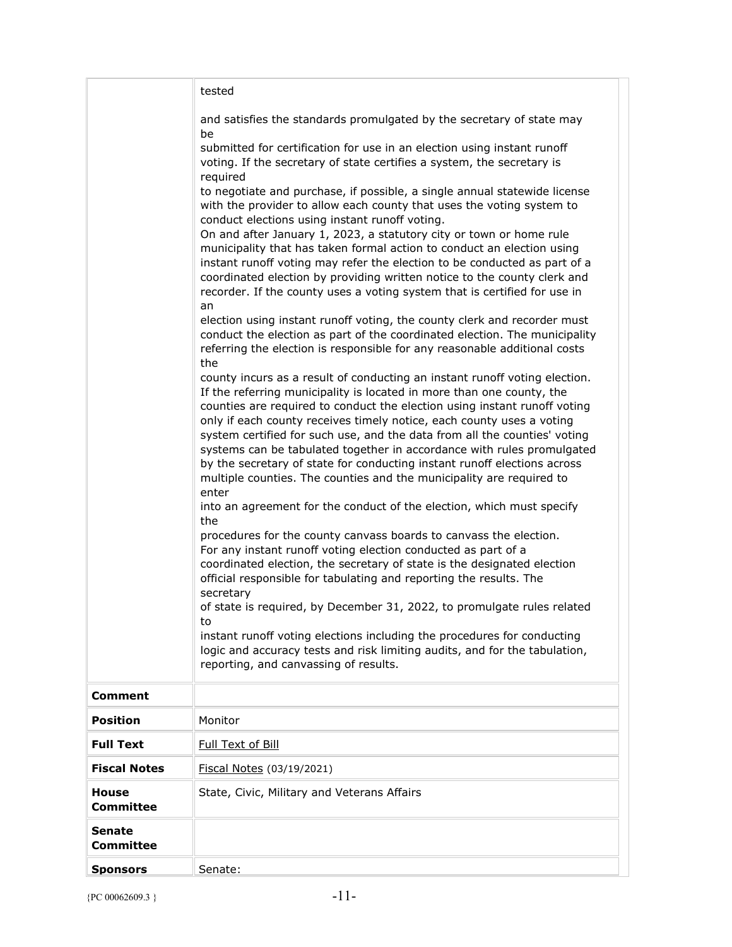|                                  | tested                                                                                                                                                                                                                                                                                                                                                                                                                                                                                                                                                                                                                                                                                                                                                                                                                                                                                                                                                                                                                                                                                                                                                                                                                                                             |
|----------------------------------|--------------------------------------------------------------------------------------------------------------------------------------------------------------------------------------------------------------------------------------------------------------------------------------------------------------------------------------------------------------------------------------------------------------------------------------------------------------------------------------------------------------------------------------------------------------------------------------------------------------------------------------------------------------------------------------------------------------------------------------------------------------------------------------------------------------------------------------------------------------------------------------------------------------------------------------------------------------------------------------------------------------------------------------------------------------------------------------------------------------------------------------------------------------------------------------------------------------------------------------------------------------------|
|                                  | and satisfies the standards promulgated by the secretary of state may<br>be                                                                                                                                                                                                                                                                                                                                                                                                                                                                                                                                                                                                                                                                                                                                                                                                                                                                                                                                                                                                                                                                                                                                                                                        |
|                                  | submitted for certification for use in an election using instant runoff<br>voting. If the secretary of state certifies a system, the secretary is<br>required                                                                                                                                                                                                                                                                                                                                                                                                                                                                                                                                                                                                                                                                                                                                                                                                                                                                                                                                                                                                                                                                                                      |
|                                  | to negotiate and purchase, if possible, a single annual statewide license<br>with the provider to allow each county that uses the voting system to<br>conduct elections using instant runoff voting.                                                                                                                                                                                                                                                                                                                                                                                                                                                                                                                                                                                                                                                                                                                                                                                                                                                                                                                                                                                                                                                               |
|                                  | On and after January 1, 2023, a statutory city or town or home rule<br>municipality that has taken formal action to conduct an election using<br>instant runoff voting may refer the election to be conducted as part of a<br>coordinated election by providing written notice to the county clerk and<br>recorder. If the county uses a voting system that is certified for use in<br>an                                                                                                                                                                                                                                                                                                                                                                                                                                                                                                                                                                                                                                                                                                                                                                                                                                                                          |
|                                  | election using instant runoff voting, the county clerk and recorder must<br>conduct the election as part of the coordinated election. The municipality<br>referring the election is responsible for any reasonable additional costs                                                                                                                                                                                                                                                                                                                                                                                                                                                                                                                                                                                                                                                                                                                                                                                                                                                                                                                                                                                                                                |
|                                  | the<br>county incurs as a result of conducting an instant runoff voting election.<br>If the referring municipality is located in more than one county, the<br>counties are required to conduct the election using instant runoff voting<br>only if each county receives timely notice, each county uses a voting<br>system certified for such use, and the data from all the counties' voting<br>systems can be tabulated together in accordance with rules promulgated<br>by the secretary of state for conducting instant runoff elections across<br>multiple counties. The counties and the municipality are required to<br>enter<br>into an agreement for the conduct of the election, which must specify<br>the<br>procedures for the county canvass boards to canvass the election.<br>For any instant runoff voting election conducted as part of a<br>coordinated election, the secretary of state is the designated election<br>official responsible for tabulating and reporting the results. The<br>secretary<br>of state is required, by December 31, 2022, to promulgate rules related<br>to<br>instant runoff voting elections including the procedures for conducting<br>logic and accuracy tests and risk limiting audits, and for the tabulation, |
|                                  | reporting, and canvassing of results.                                                                                                                                                                                                                                                                                                                                                                                                                                                                                                                                                                                                                                                                                                                                                                                                                                                                                                                                                                                                                                                                                                                                                                                                                              |
| <b>Comment</b>                   |                                                                                                                                                                                                                                                                                                                                                                                                                                                                                                                                                                                                                                                                                                                                                                                                                                                                                                                                                                                                                                                                                                                                                                                                                                                                    |
| <b>Position</b>                  | Monitor                                                                                                                                                                                                                                                                                                                                                                                                                                                                                                                                                                                                                                                                                                                                                                                                                                                                                                                                                                                                                                                                                                                                                                                                                                                            |
| <b>Full Text</b>                 | Full Text of Bill                                                                                                                                                                                                                                                                                                                                                                                                                                                                                                                                                                                                                                                                                                                                                                                                                                                                                                                                                                                                                                                                                                                                                                                                                                                  |
| <b>Fiscal Notes</b>              | Fiscal Notes (03/19/2021)                                                                                                                                                                                                                                                                                                                                                                                                                                                                                                                                                                                                                                                                                                                                                                                                                                                                                                                                                                                                                                                                                                                                                                                                                                          |
| <b>House</b><br><b>Committee</b> | State, Civic, Military and Veterans Affairs                                                                                                                                                                                                                                                                                                                                                                                                                                                                                                                                                                                                                                                                                                                                                                                                                                                                                                                                                                                                                                                                                                                                                                                                                        |
| <b>Senate</b><br>Committee       |                                                                                                                                                                                                                                                                                                                                                                                                                                                                                                                                                                                                                                                                                                                                                                                                                                                                                                                                                                                                                                                                                                                                                                                                                                                                    |
| <b>Sponsors</b>                  | Senate:                                                                                                                                                                                                                                                                                                                                                                                                                                                                                                                                                                                                                                                                                                                                                                                                                                                                                                                                                                                                                                                                                                                                                                                                                                                            |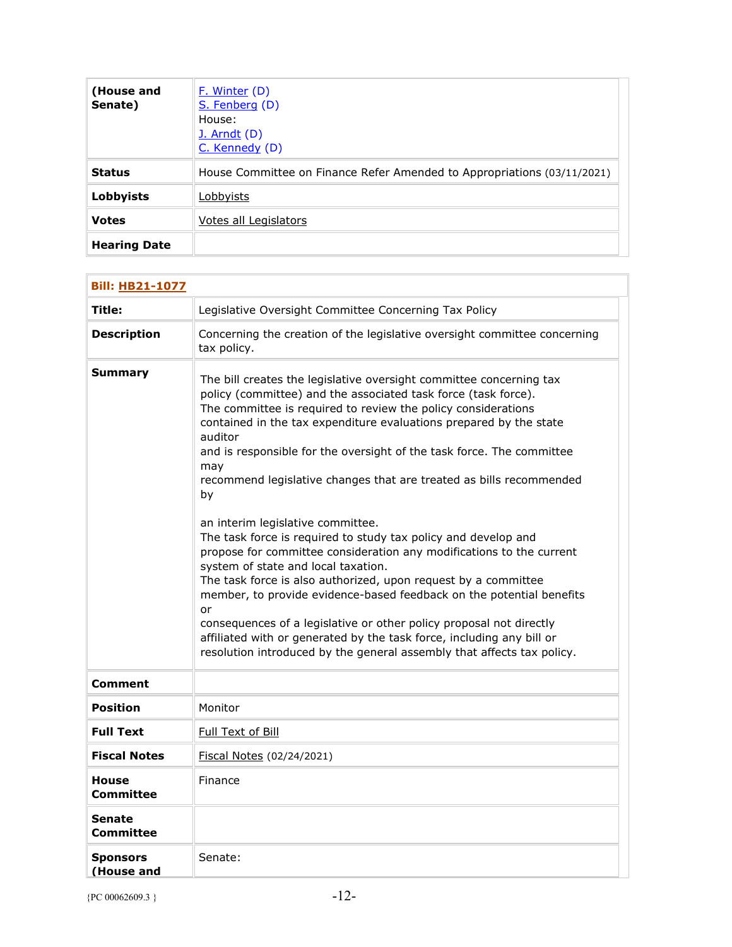| (House and<br>Senate) | F. Winter (D)<br>S. Fenberg (D)<br>House:<br><b>J.</b> Arndt (D)<br>C. Kennedy (D) |
|-----------------------|------------------------------------------------------------------------------------|
| <b>Status</b>         | House Committee on Finance Refer Amended to Appropriations (03/11/2021)            |
| Lobbyists             | Lobbyists                                                                          |
| <b>Votes</b>          | Votes all Legislators                                                              |
| <b>Hearing Date</b>   |                                                                                    |

| <b>Bill: HB21-1077</b>        |                                                                                                                                                                                                                                                                                                                                                                                                                                                                                                                                                                                                                                                                                                                                                                                                                                                                                                                                                                                                                                                      |
|-------------------------------|------------------------------------------------------------------------------------------------------------------------------------------------------------------------------------------------------------------------------------------------------------------------------------------------------------------------------------------------------------------------------------------------------------------------------------------------------------------------------------------------------------------------------------------------------------------------------------------------------------------------------------------------------------------------------------------------------------------------------------------------------------------------------------------------------------------------------------------------------------------------------------------------------------------------------------------------------------------------------------------------------------------------------------------------------|
| Title:                        | Legislative Oversight Committee Concerning Tax Policy                                                                                                                                                                                                                                                                                                                                                                                                                                                                                                                                                                                                                                                                                                                                                                                                                                                                                                                                                                                                |
| <b>Description</b>            | Concerning the creation of the legislative oversight committee concerning<br>tax policy.                                                                                                                                                                                                                                                                                                                                                                                                                                                                                                                                                                                                                                                                                                                                                                                                                                                                                                                                                             |
| <b>Summary</b>                | The bill creates the legislative oversight committee concerning tax<br>policy (committee) and the associated task force (task force).<br>The committee is required to review the policy considerations<br>contained in the tax expenditure evaluations prepared by the state<br>auditor<br>and is responsible for the oversight of the task force. The committee<br>may<br>recommend legislative changes that are treated as bills recommended<br>by<br>an interim legislative committee.<br>The task force is required to study tax policy and develop and<br>propose for committee consideration any modifications to the current<br>system of state and local taxation.<br>The task force is also authorized, upon request by a committee<br>member, to provide evidence-based feedback on the potential benefits<br>or<br>consequences of a legislative or other policy proposal not directly<br>affiliated with or generated by the task force, including any bill or<br>resolution introduced by the general assembly that affects tax policy. |
| <b>Comment</b>                |                                                                                                                                                                                                                                                                                                                                                                                                                                                                                                                                                                                                                                                                                                                                                                                                                                                                                                                                                                                                                                                      |
| <b>Position</b>               | Monitor                                                                                                                                                                                                                                                                                                                                                                                                                                                                                                                                                                                                                                                                                                                                                                                                                                                                                                                                                                                                                                              |
| <b>Full Text</b>              | Full Text of Bill                                                                                                                                                                                                                                                                                                                                                                                                                                                                                                                                                                                                                                                                                                                                                                                                                                                                                                                                                                                                                                    |
| <b>Fiscal Notes</b>           | Fiscal Notes (02/24/2021)                                                                                                                                                                                                                                                                                                                                                                                                                                                                                                                                                                                                                                                                                                                                                                                                                                                                                                                                                                                                                            |
| <b>House</b><br>Committee     | Finance                                                                                                                                                                                                                                                                                                                                                                                                                                                                                                                                                                                                                                                                                                                                                                                                                                                                                                                                                                                                                                              |
| Senate<br>Committee           |                                                                                                                                                                                                                                                                                                                                                                                                                                                                                                                                                                                                                                                                                                                                                                                                                                                                                                                                                                                                                                                      |
| <b>Sponsors</b><br>(House and | Senate:                                                                                                                                                                                                                                                                                                                                                                                                                                                                                                                                                                                                                                                                                                                                                                                                                                                                                                                                                                                                                                              |

Ē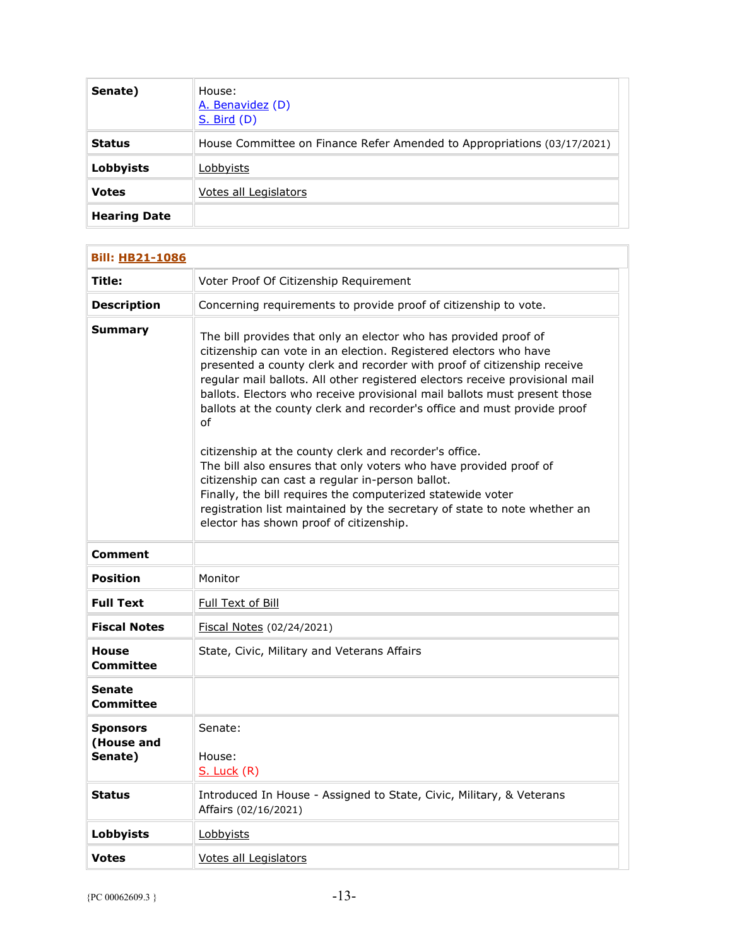| Senate)             | House:<br>A. Benavidez (D)<br><b>S. Bird (D)</b>                        |
|---------------------|-------------------------------------------------------------------------|
| <b>Status</b>       | House Committee on Finance Refer Amended to Appropriations (03/17/2021) |
| <b>Lobbyists</b>    | Lobbyists                                                               |
| <b>Votes</b>        | Votes all Legislators                                                   |
| <b>Hearing Date</b> |                                                                         |

| <b>Bill: HB21-1086</b>                   |                                                                                                                                                                                                                                                                                                                                                                                                                                                                                                                           |
|------------------------------------------|---------------------------------------------------------------------------------------------------------------------------------------------------------------------------------------------------------------------------------------------------------------------------------------------------------------------------------------------------------------------------------------------------------------------------------------------------------------------------------------------------------------------------|
| Title:                                   | Voter Proof Of Citizenship Requirement                                                                                                                                                                                                                                                                                                                                                                                                                                                                                    |
| <b>Description</b>                       | Concerning requirements to provide proof of citizenship to vote.                                                                                                                                                                                                                                                                                                                                                                                                                                                          |
| Summary                                  | The bill provides that only an elector who has provided proof of<br>citizenship can vote in an election. Registered electors who have<br>presented a county clerk and recorder with proof of citizenship receive<br>regular mail ballots. All other registered electors receive provisional mail<br>ballots. Electors who receive provisional mail ballots must present those<br>ballots at the county clerk and recorder's office and must provide proof<br>οf<br>citizenship at the county clerk and recorder's office. |
|                                          | The bill also ensures that only voters who have provided proof of<br>citizenship can cast a regular in-person ballot.<br>Finally, the bill requires the computerized statewide voter<br>registration list maintained by the secretary of state to note whether an<br>elector has shown proof of citizenship.                                                                                                                                                                                                              |
| Comment                                  |                                                                                                                                                                                                                                                                                                                                                                                                                                                                                                                           |
| Position                                 | Monitor                                                                                                                                                                                                                                                                                                                                                                                                                                                                                                                   |
| <b>Full Text</b>                         | Full Text of Bill                                                                                                                                                                                                                                                                                                                                                                                                                                                                                                         |
| <b>Fiscal Notes</b>                      | Fiscal Notes (02/24/2021)                                                                                                                                                                                                                                                                                                                                                                                                                                                                                                 |
| <b>House</b><br>Committee                | State, Civic, Military and Veterans Affairs                                                                                                                                                                                                                                                                                                                                                                                                                                                                               |
| Senate<br>Committee                      |                                                                                                                                                                                                                                                                                                                                                                                                                                                                                                                           |
| <b>Sponsors</b><br>(House and<br>Senate) | Senate:<br>House:<br>$S.$ Luck $(R)$                                                                                                                                                                                                                                                                                                                                                                                                                                                                                      |
| Status                                   | Introduced In House - Assigned to State, Civic, Military, & Veterans<br>Affairs (02/16/2021)                                                                                                                                                                                                                                                                                                                                                                                                                              |
| <b>Lobbyists</b>                         | Lobbyists                                                                                                                                                                                                                                                                                                                                                                                                                                                                                                                 |
| <b>Votes</b>                             | Votes all Legislators                                                                                                                                                                                                                                                                                                                                                                                                                                                                                                     |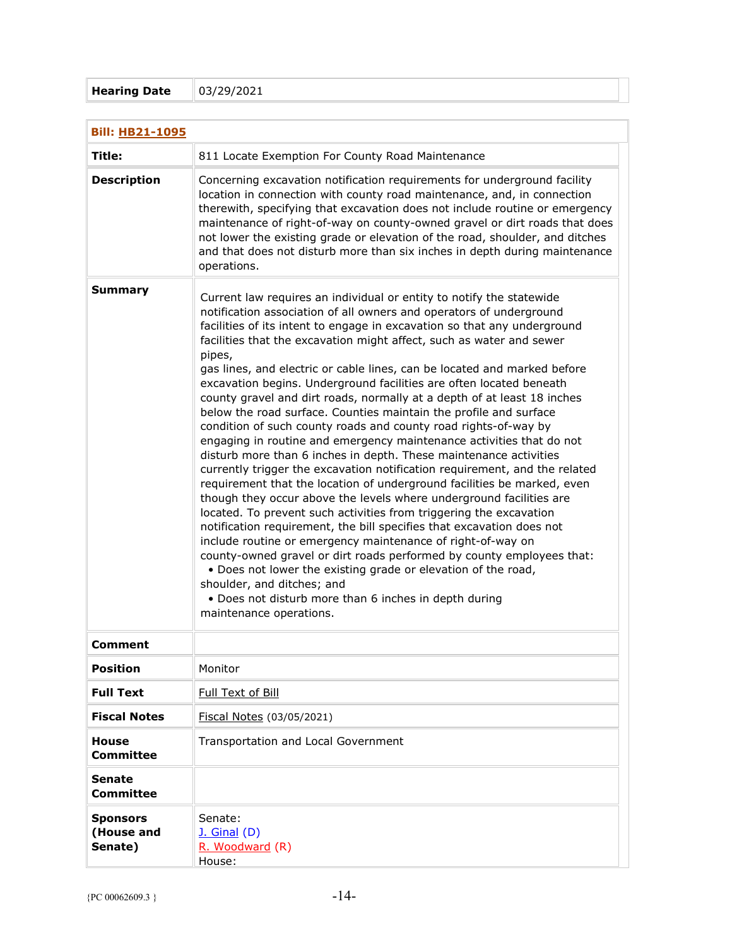## **Hearing Date** 03/29/2021

| <b>Bill: HB21-1095</b>                   |                                                                                                                                                                                                                                                                                                                                                                                                                                                                                                                                                                                                                                                                                                                                                                                                                                                                                                                                                                                                                                                                                                                                                                                                                                                                                                                                                                                                                                                                                                                                        |  |
|------------------------------------------|----------------------------------------------------------------------------------------------------------------------------------------------------------------------------------------------------------------------------------------------------------------------------------------------------------------------------------------------------------------------------------------------------------------------------------------------------------------------------------------------------------------------------------------------------------------------------------------------------------------------------------------------------------------------------------------------------------------------------------------------------------------------------------------------------------------------------------------------------------------------------------------------------------------------------------------------------------------------------------------------------------------------------------------------------------------------------------------------------------------------------------------------------------------------------------------------------------------------------------------------------------------------------------------------------------------------------------------------------------------------------------------------------------------------------------------------------------------------------------------------------------------------------------------|--|
| Title:                                   | 811 Locate Exemption For County Road Maintenance                                                                                                                                                                                                                                                                                                                                                                                                                                                                                                                                                                                                                                                                                                                                                                                                                                                                                                                                                                                                                                                                                                                                                                                                                                                                                                                                                                                                                                                                                       |  |
| <b>Description</b>                       | Concerning excavation notification requirements for underground facility<br>location in connection with county road maintenance, and, in connection<br>therewith, specifying that excavation does not include routine or emergency<br>maintenance of right-of-way on county-owned gravel or dirt roads that does<br>not lower the existing grade or elevation of the road, shoulder, and ditches<br>and that does not disturb more than six inches in depth during maintenance<br>operations.                                                                                                                                                                                                                                                                                                                                                                                                                                                                                                                                                                                                                                                                                                                                                                                                                                                                                                                                                                                                                                          |  |
| <b>Summary</b>                           | Current law requires an individual or entity to notify the statewide<br>notification association of all owners and operators of underground<br>facilities of its intent to engage in excavation so that any underground<br>facilities that the excavation might affect, such as water and sewer<br>pipes,<br>gas lines, and electric or cable lines, can be located and marked before<br>excavation begins. Underground facilities are often located beneath<br>county gravel and dirt roads, normally at a depth of at least 18 inches<br>below the road surface. Counties maintain the profile and surface<br>condition of such county roads and county road rights-of-way by<br>engaging in routine and emergency maintenance activities that do not<br>disturb more than 6 inches in depth. These maintenance activities<br>currently trigger the excavation notification requirement, and the related<br>requirement that the location of underground facilities be marked, even<br>though they occur above the levels where underground facilities are<br>located. To prevent such activities from triggering the excavation<br>notification requirement, the bill specifies that excavation does not<br>include routine or emergency maintenance of right-of-way on<br>county-owned gravel or dirt roads performed by county employees that:<br>. Does not lower the existing grade or elevation of the road,<br>shoulder, and ditches; and<br>• Does not disturb more than 6 inches in depth during<br>maintenance operations. |  |
| <b>Comment</b>                           |                                                                                                                                                                                                                                                                                                                                                                                                                                                                                                                                                                                                                                                                                                                                                                                                                                                                                                                                                                                                                                                                                                                                                                                                                                                                                                                                                                                                                                                                                                                                        |  |
| <b>Position</b>                          | Monitor                                                                                                                                                                                                                                                                                                                                                                                                                                                                                                                                                                                                                                                                                                                                                                                                                                                                                                                                                                                                                                                                                                                                                                                                                                                                                                                                                                                                                                                                                                                                |  |
| <b>Full Text</b>                         | Full Text of Bill                                                                                                                                                                                                                                                                                                                                                                                                                                                                                                                                                                                                                                                                                                                                                                                                                                                                                                                                                                                                                                                                                                                                                                                                                                                                                                                                                                                                                                                                                                                      |  |
| <b>Fiscal Notes</b>                      | Fiscal Notes (03/05/2021)                                                                                                                                                                                                                                                                                                                                                                                                                                                                                                                                                                                                                                                                                                                                                                                                                                                                                                                                                                                                                                                                                                                                                                                                                                                                                                                                                                                                                                                                                                              |  |
| <b>House</b><br><b>Committee</b>         | Transportation and Local Government                                                                                                                                                                                                                                                                                                                                                                                                                                                                                                                                                                                                                                                                                                                                                                                                                                                                                                                                                                                                                                                                                                                                                                                                                                                                                                                                                                                                                                                                                                    |  |
| <b>Senate</b><br><b>Committee</b>        |                                                                                                                                                                                                                                                                                                                                                                                                                                                                                                                                                                                                                                                                                                                                                                                                                                                                                                                                                                                                                                                                                                                                                                                                                                                                                                                                                                                                                                                                                                                                        |  |
| <b>Sponsors</b><br>(House and<br>Senate) | Senate:<br><b>J. Ginal (D)</b><br>R. Woodward (R)<br>House:                                                                                                                                                                                                                                                                                                                                                                                                                                                                                                                                                                                                                                                                                                                                                                                                                                                                                                                                                                                                                                                                                                                                                                                                                                                                                                                                                                                                                                                                            |  |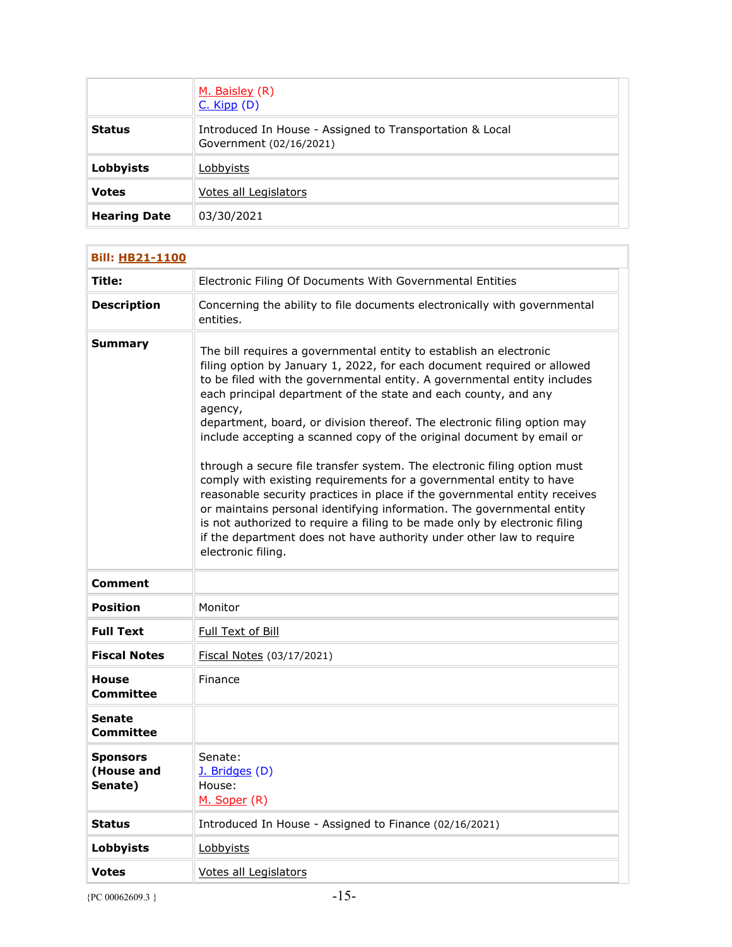|                     | M. Baisley (R)<br>$C.$ Kipp $(D)$                                                   |
|---------------------|-------------------------------------------------------------------------------------|
| <b>Status</b>       | Introduced In House - Assigned to Transportation & Local<br>Government (02/16/2021) |
| Lobbyists           | Lobbyists                                                                           |
| <b>Votes</b>        | Votes all Legislators                                                               |
| <b>Hearing Date</b> | 03/30/2021                                                                          |

| <b>Bill: HB21-1100</b>                   |                                                                                                                                                                                                                                                                                                                                                                                                                                                                                                                                                                                                                                                                                                                                                                                                                                                                                                                                                     |
|------------------------------------------|-----------------------------------------------------------------------------------------------------------------------------------------------------------------------------------------------------------------------------------------------------------------------------------------------------------------------------------------------------------------------------------------------------------------------------------------------------------------------------------------------------------------------------------------------------------------------------------------------------------------------------------------------------------------------------------------------------------------------------------------------------------------------------------------------------------------------------------------------------------------------------------------------------------------------------------------------------|
| <b>Title:</b>                            | Electronic Filing Of Documents With Governmental Entities                                                                                                                                                                                                                                                                                                                                                                                                                                                                                                                                                                                                                                                                                                                                                                                                                                                                                           |
| <b>Description</b>                       | Concerning the ability to file documents electronically with governmental<br>entities.                                                                                                                                                                                                                                                                                                                                                                                                                                                                                                                                                                                                                                                                                                                                                                                                                                                              |
| Summary                                  | The bill requires a governmental entity to establish an electronic<br>filing option by January 1, 2022, for each document required or allowed<br>to be filed with the governmental entity. A governmental entity includes<br>each principal department of the state and each county, and any<br>agency,<br>department, board, or division thereof. The electronic filing option may<br>include accepting a scanned copy of the original document by email or<br>through a secure file transfer system. The electronic filing option must<br>comply with existing requirements for a governmental entity to have<br>reasonable security practices in place if the governmental entity receives<br>or maintains personal identifying information. The governmental entity<br>is not authorized to require a filing to be made only by electronic filing<br>if the department does not have authority under other law to require<br>electronic filing. |
| <b>Comment</b>                           |                                                                                                                                                                                                                                                                                                                                                                                                                                                                                                                                                                                                                                                                                                                                                                                                                                                                                                                                                     |
| <b>Position</b>                          | Monitor                                                                                                                                                                                                                                                                                                                                                                                                                                                                                                                                                                                                                                                                                                                                                                                                                                                                                                                                             |
| <b>Full Text</b>                         | Full Text of Bill                                                                                                                                                                                                                                                                                                                                                                                                                                                                                                                                                                                                                                                                                                                                                                                                                                                                                                                                   |
| <b>Fiscal Notes</b>                      | Fiscal Notes (03/17/2021)                                                                                                                                                                                                                                                                                                                                                                                                                                                                                                                                                                                                                                                                                                                                                                                                                                                                                                                           |
| <b>House</b><br><b>Committee</b>         | Finance                                                                                                                                                                                                                                                                                                                                                                                                                                                                                                                                                                                                                                                                                                                                                                                                                                                                                                                                             |
| Senate<br>Committee                      |                                                                                                                                                                                                                                                                                                                                                                                                                                                                                                                                                                                                                                                                                                                                                                                                                                                                                                                                                     |
| <b>Sponsors</b><br>(House and<br>Senate) | Senate:<br>J. Bridges (D)<br>House:<br>M. Soper (R)                                                                                                                                                                                                                                                                                                                                                                                                                                                                                                                                                                                                                                                                                                                                                                                                                                                                                                 |
| <b>Status</b>                            | Introduced In House - Assigned to Finance (02/16/2021)                                                                                                                                                                                                                                                                                                                                                                                                                                                                                                                                                                                                                                                                                                                                                                                                                                                                                              |
| <b>Lobbyists</b>                         | Lobbyists                                                                                                                                                                                                                                                                                                                                                                                                                                                                                                                                                                                                                                                                                                                                                                                                                                                                                                                                           |
| <b>Votes</b>                             | Votes all Legislators                                                                                                                                                                                                                                                                                                                                                                                                                                                                                                                                                                                                                                                                                                                                                                                                                                                                                                                               |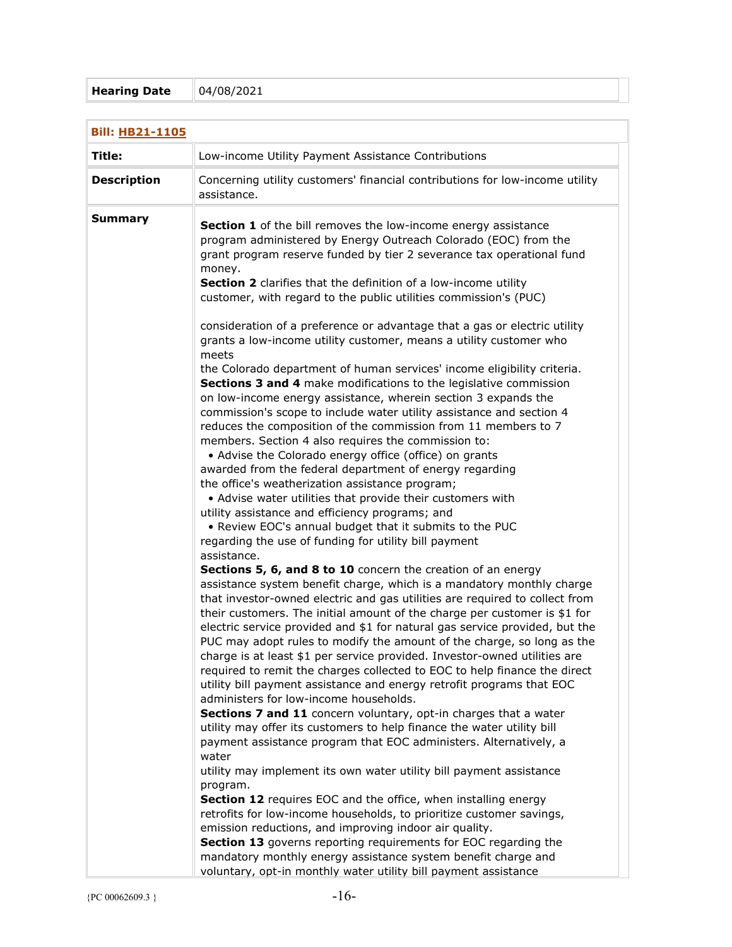| <b>Bill: HB21-1105</b> |                                                                                                                                                                                                                                                                                                                                                                                                                                                                                                                                                                                                                                                                                                                                                                                                                                                                                                                                                                                                                                                                                                                                                                                                                                           |
|------------------------|-------------------------------------------------------------------------------------------------------------------------------------------------------------------------------------------------------------------------------------------------------------------------------------------------------------------------------------------------------------------------------------------------------------------------------------------------------------------------------------------------------------------------------------------------------------------------------------------------------------------------------------------------------------------------------------------------------------------------------------------------------------------------------------------------------------------------------------------------------------------------------------------------------------------------------------------------------------------------------------------------------------------------------------------------------------------------------------------------------------------------------------------------------------------------------------------------------------------------------------------|
| Title:                 | Low-income Utility Payment Assistance Contributions                                                                                                                                                                                                                                                                                                                                                                                                                                                                                                                                                                                                                                                                                                                                                                                                                                                                                                                                                                                                                                                                                                                                                                                       |
| <b>Description</b>     | Concerning utility customers' financial contributions for low-income utility<br>assistance.                                                                                                                                                                                                                                                                                                                                                                                                                                                                                                                                                                                                                                                                                                                                                                                                                                                                                                                                                                                                                                                                                                                                               |
| <b>Summary</b>         | Section 1 of the bill removes the low-income energy assistance<br>program administered by Energy Outreach Colorado (EOC) from the<br>grant program reserve funded by tier 2 severance tax operational fund<br>money.<br>Section 2 clarifies that the definition of a low-income utility<br>customer, with regard to the public utilities commission's (PUC)                                                                                                                                                                                                                                                                                                                                                                                                                                                                                                                                                                                                                                                                                                                                                                                                                                                                               |
|                        | consideration of a preference or advantage that a gas or electric utility<br>grants a low-income utility customer, means a utility customer who<br>meets<br>the Colorado department of human services' income eligibility criteria.<br>Sections 3 and 4 make modifications to the legislative commission<br>on low-income energy assistance, wherein section 3 expands the<br>commission's scope to include water utility assistance and section 4<br>reduces the composition of the commission from 11 members to 7<br>members. Section 4 also requires the commission to:<br>• Advise the Colorado energy office (office) on grants<br>awarded from the federal department of energy regarding<br>the office's weatherization assistance program;<br>• Advise water utilities that provide their customers with<br>utility assistance and efficiency programs; and<br>. Review EOC's annual budget that it submits to the PUC<br>regarding the use of funding for utility bill payment<br>assistance.<br>Sections 5, 6, and 8 to 10 concern the creation of an energy<br>assistance system benefit charge, which is a mandatory monthly charge<br>that investor-owned electric and gas utilities are required to collect from           |
|                        | their customers. The initial amount of the charge per customer is \$1 for<br>electric service provided and \$1 for natural gas service provided, but the<br>PUC may adopt rules to modify the amount of the charge, so long as the<br>charge is at least \$1 per service provided. Investor-owned utilities are<br>required to remit the charges collected to EOC to help finance the direct<br>utility bill payment assistance and energy retrofit programs that EOC<br>administers for low-income households.<br>Sections 7 and 11 concern voluntary, opt-in charges that a water<br>utility may offer its customers to help finance the water utility bill<br>payment assistance program that EOC administers. Alternatively, a<br>water<br>utility may implement its own water utility bill payment assistance<br>program.<br>Section 12 requires EOC and the office, when installing energy<br>retrofits for low-income households, to prioritize customer savings,<br>emission reductions, and improving indoor air quality.<br>Section 13 governs reporting requirements for EOC regarding the<br>mandatory monthly energy assistance system benefit charge and<br>voluntary, opt-in monthly water utility bill payment assistance |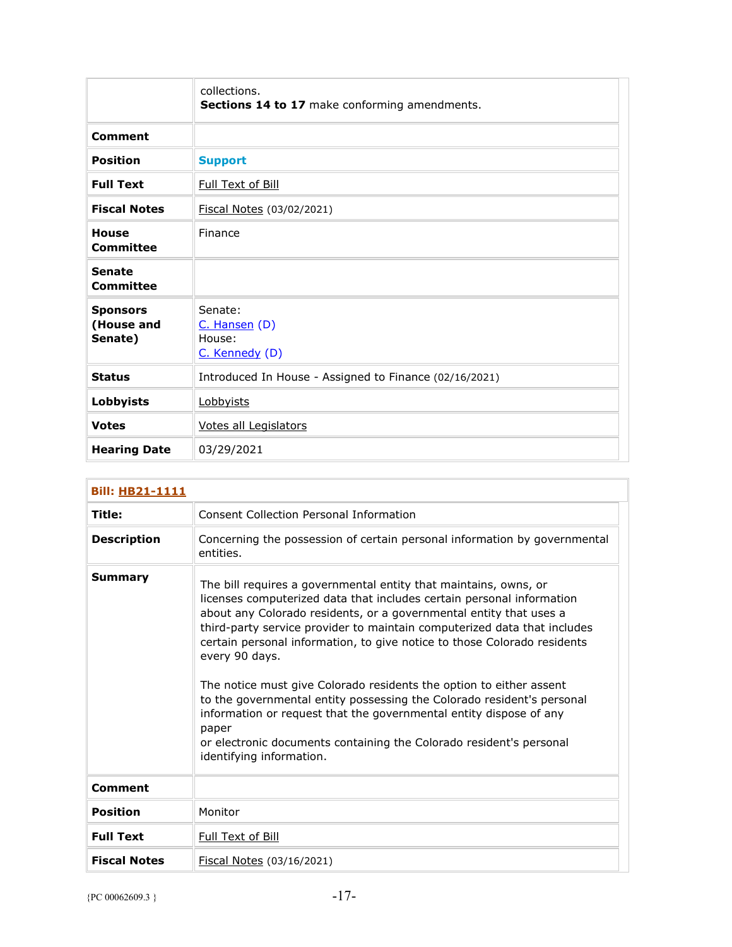|                                          | collections.<br>Sections 14 to 17 make conforming amendments. |
|------------------------------------------|---------------------------------------------------------------|
| <b>Comment</b>                           |                                                               |
| <b>Position</b>                          | <b>Support</b>                                                |
| <b>Full Text</b>                         | Full Text of Bill                                             |
| <b>Fiscal Notes</b>                      | Fiscal Notes (03/02/2021)                                     |
| House<br>Committee                       | Finance                                                       |
| <b>Senate</b><br>Committee               |                                                               |
| <b>Sponsors</b><br>(House and<br>Senate) | Senate:<br>C. Hansen (D)<br>House:<br>C. Kennedy (D)          |
| <b>Status</b>                            | Introduced In House - Assigned to Finance (02/16/2021)        |
| <b>Lobbyists</b>                         | Lobbyists                                                     |
| <b>Votes</b>                             | Votes all Legislators                                         |
| <b>Hearing Date</b>                      | 03/29/2021                                                    |

| <b>Bill: HB21-1111</b> |                                                                                                                                                                                                                                                                                                                                                                                                                                                                                                                                                                                                                                                                                                                              |  |
|------------------------|------------------------------------------------------------------------------------------------------------------------------------------------------------------------------------------------------------------------------------------------------------------------------------------------------------------------------------------------------------------------------------------------------------------------------------------------------------------------------------------------------------------------------------------------------------------------------------------------------------------------------------------------------------------------------------------------------------------------------|--|
| Title:                 | <b>Consent Collection Personal Information</b>                                                                                                                                                                                                                                                                                                                                                                                                                                                                                                                                                                                                                                                                               |  |
| <b>Description</b>     | Concerning the possession of certain personal information by governmental<br>entities.                                                                                                                                                                                                                                                                                                                                                                                                                                                                                                                                                                                                                                       |  |
| Summary                | The bill requires a governmental entity that maintains, owns, or<br>licenses computerized data that includes certain personal information<br>about any Colorado residents, or a governmental entity that uses a<br>third-party service provider to maintain computerized data that includes<br>certain personal information, to give notice to those Colorado residents<br>every 90 days.<br>The notice must give Colorado residents the option to either assent<br>to the governmental entity possessing the Colorado resident's personal<br>information or request that the governmental entity dispose of any<br>paper<br>or electronic documents containing the Colorado resident's personal<br>identifying information. |  |
| Comment                |                                                                                                                                                                                                                                                                                                                                                                                                                                                                                                                                                                                                                                                                                                                              |  |
| <b>Position</b>        | Monitor                                                                                                                                                                                                                                                                                                                                                                                                                                                                                                                                                                                                                                                                                                                      |  |
| <b>Full Text</b>       | Full Text of Bill                                                                                                                                                                                                                                                                                                                                                                                                                                                                                                                                                                                                                                                                                                            |  |
| <b>Fiscal Notes</b>    | Fiscal Notes (03/16/2021)                                                                                                                                                                                                                                                                                                                                                                                                                                                                                                                                                                                                                                                                                                    |  |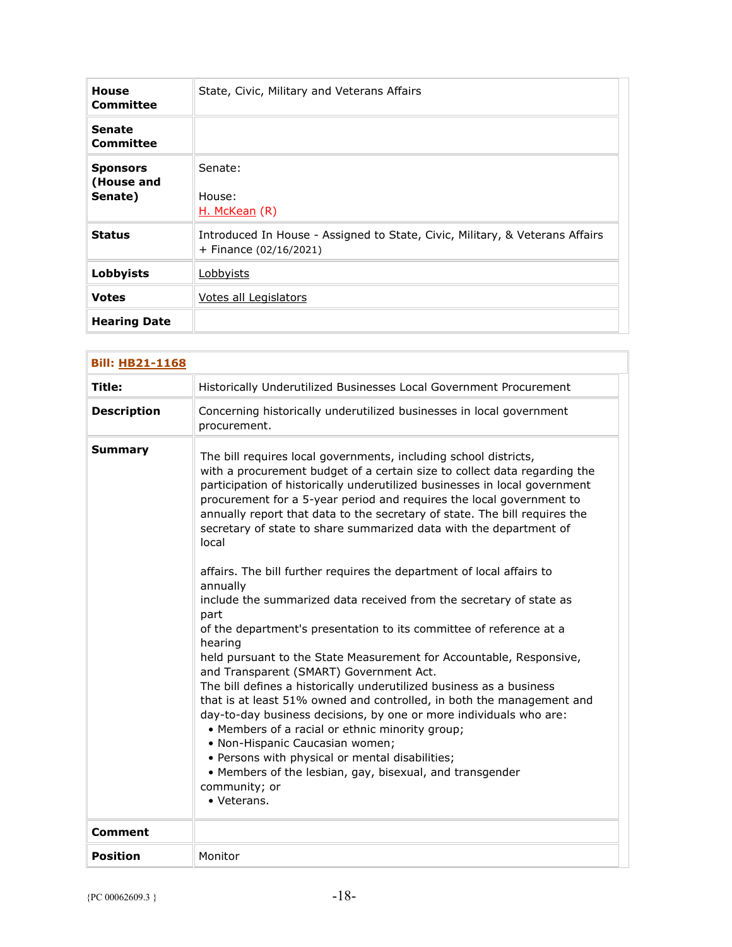| <b>House</b><br>Committee                | State, Civic, Military and Veterans Affairs                                                              |
|------------------------------------------|----------------------------------------------------------------------------------------------------------|
| <b>Senate</b><br>Committee               |                                                                                                          |
| <b>Sponsors</b><br>(House and<br>Senate) | Senate:<br>House:<br>H. McKean (R)                                                                       |
| <b>Status</b>                            | Introduced In House - Assigned to State, Civic, Military, & Veterans Affairs<br>+ Finance $(02/16/2021)$ |
| Lobbyists                                | Lobbyists                                                                                                |
| <b>Votes</b>                             | Votes all Legislators                                                                                    |
| <b>Hearing Date</b>                      |                                                                                                          |

| <b>Bill: HB21-1168</b> |                                                                                                                                                                                                                                                                                                                                                                                                                                                                                                                                                                                                                                                                                                                                                                                                                                                                                                                                                                                                                                                                                                                                                                                                                                                                                                      |
|------------------------|------------------------------------------------------------------------------------------------------------------------------------------------------------------------------------------------------------------------------------------------------------------------------------------------------------------------------------------------------------------------------------------------------------------------------------------------------------------------------------------------------------------------------------------------------------------------------------------------------------------------------------------------------------------------------------------------------------------------------------------------------------------------------------------------------------------------------------------------------------------------------------------------------------------------------------------------------------------------------------------------------------------------------------------------------------------------------------------------------------------------------------------------------------------------------------------------------------------------------------------------------------------------------------------------------|
| Title:                 | Historically Underutilized Businesses Local Government Procurement                                                                                                                                                                                                                                                                                                                                                                                                                                                                                                                                                                                                                                                                                                                                                                                                                                                                                                                                                                                                                                                                                                                                                                                                                                   |
| <b>Description</b>     | Concerning historically underutilized businesses in local government<br>procurement.                                                                                                                                                                                                                                                                                                                                                                                                                                                                                                                                                                                                                                                                                                                                                                                                                                                                                                                                                                                                                                                                                                                                                                                                                 |
| <b>Summary</b>         | The bill requires local governments, including school districts,<br>with a procurement budget of a certain size to collect data regarding the<br>participation of historically underutilized businesses in local government<br>procurement for a 5-year period and requires the local government to<br>annually report that data to the secretary of state. The bill requires the<br>secretary of state to share summarized data with the department of<br>local<br>affairs. The bill further requires the department of local affairs to<br>annually<br>include the summarized data received from the secretary of state as<br>part<br>of the department's presentation to its committee of reference at a<br>hearing<br>held pursuant to the State Measurement for Accountable, Responsive,<br>and Transparent (SMART) Government Act.<br>The bill defines a historically underutilized business as a business<br>that is at least 51% owned and controlled, in both the management and<br>day-to-day business decisions, by one or more individuals who are:<br>• Members of a racial or ethnic minority group;<br>• Non-Hispanic Caucasian women;<br>• Persons with physical or mental disabilities;<br>• Members of the lesbian, gay, bisexual, and transgender<br>community; or<br>• Veterans. |
| Comment                |                                                                                                                                                                                                                                                                                                                                                                                                                                                                                                                                                                                                                                                                                                                                                                                                                                                                                                                                                                                                                                                                                                                                                                                                                                                                                                      |
| <b>Position</b>        | Monitor                                                                                                                                                                                                                                                                                                                                                                                                                                                                                                                                                                                                                                                                                                                                                                                                                                                                                                                                                                                                                                                                                                                                                                                                                                                                                              |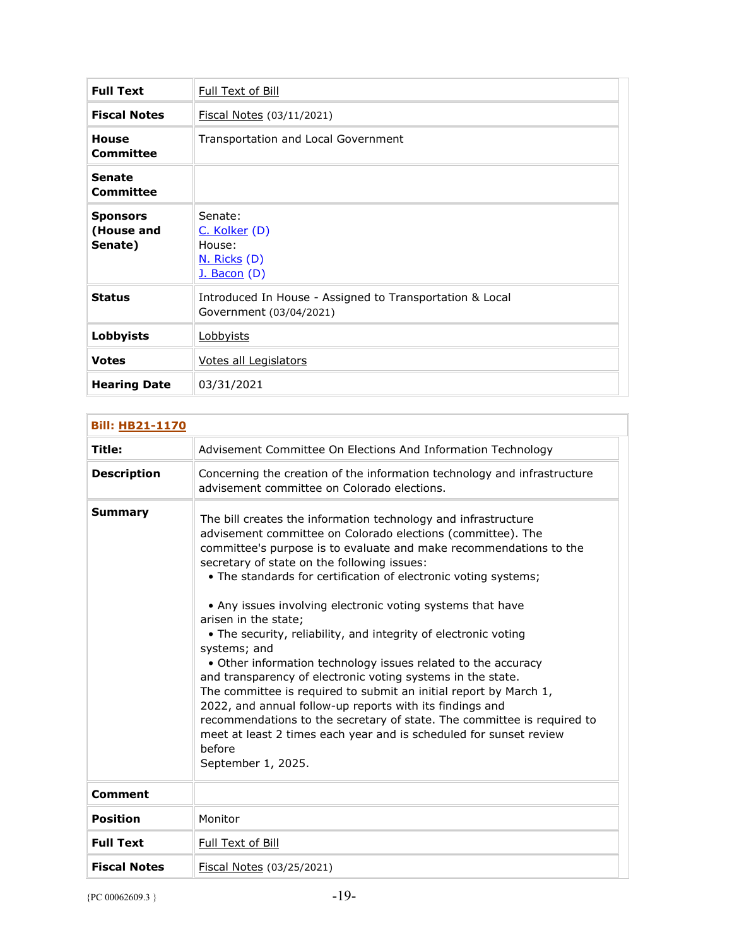| <b>Full Text</b>                         | Full Text of Bill                                                                   |
|------------------------------------------|-------------------------------------------------------------------------------------|
| <b>Fiscal Notes</b>                      | Fiscal Notes (03/11/2021)                                                           |
| House<br>Committee                       | Transportation and Local Government                                                 |
| <b>Senate</b><br>Committee               |                                                                                     |
| <b>Sponsors</b><br>(House and<br>Senate) | Senate:<br>C. Kolker (D)<br>House:<br>N. Ricks (D)<br><u>J. Bacon</u> (D)           |
| <b>Status</b>                            | Introduced In House - Assigned to Transportation & Local<br>Government (03/04/2021) |
| <b>Lobbyists</b>                         | Lobbyists                                                                           |
| <b>Votes</b>                             | Votes all Legislators                                                               |
| <b>Hearing Date</b>                      | 03/31/2021                                                                          |

| <b>Bill: HB21-1170</b> |                                                                                                                                                                                                                                                                                                                                                                                                                                                                                                                                                                                                                                                                                                                                                                                                                                                                                                                                                  |
|------------------------|--------------------------------------------------------------------------------------------------------------------------------------------------------------------------------------------------------------------------------------------------------------------------------------------------------------------------------------------------------------------------------------------------------------------------------------------------------------------------------------------------------------------------------------------------------------------------------------------------------------------------------------------------------------------------------------------------------------------------------------------------------------------------------------------------------------------------------------------------------------------------------------------------------------------------------------------------|
| Title:                 | Advisement Committee On Elections And Information Technology                                                                                                                                                                                                                                                                                                                                                                                                                                                                                                                                                                                                                                                                                                                                                                                                                                                                                     |
| <b>Description</b>     | Concerning the creation of the information technology and infrastructure<br>advisement committee on Colorado elections.                                                                                                                                                                                                                                                                                                                                                                                                                                                                                                                                                                                                                                                                                                                                                                                                                          |
| <b>Summary</b>         | The bill creates the information technology and infrastructure<br>advisement committee on Colorado elections (committee). The<br>committee's purpose is to evaluate and make recommendations to the<br>secretary of state on the following issues:<br>• The standards for certification of electronic voting systems;<br>• Any issues involving electronic voting systems that have<br>arisen in the state;<br>• The security, reliability, and integrity of electronic voting<br>systems; and<br>• Other information technology issues related to the accuracy<br>and transparency of electronic voting systems in the state.<br>The committee is required to submit an initial report by March 1,<br>2022, and annual follow-up reports with its findings and<br>recommendations to the secretary of state. The committee is required to<br>meet at least 2 times each year and is scheduled for sunset review<br>before<br>September 1, 2025. |
| <b>Comment</b>         |                                                                                                                                                                                                                                                                                                                                                                                                                                                                                                                                                                                                                                                                                                                                                                                                                                                                                                                                                  |
| <b>Position</b>        | Monitor                                                                                                                                                                                                                                                                                                                                                                                                                                                                                                                                                                                                                                                                                                                                                                                                                                                                                                                                          |
| <b>Full Text</b>       | Full Text of Bill                                                                                                                                                                                                                                                                                                                                                                                                                                                                                                                                                                                                                                                                                                                                                                                                                                                                                                                                |
| <b>Fiscal Notes</b>    | Fiscal Notes (03/25/2021)                                                                                                                                                                                                                                                                                                                                                                                                                                                                                                                                                                                                                                                                                                                                                                                                                                                                                                                        |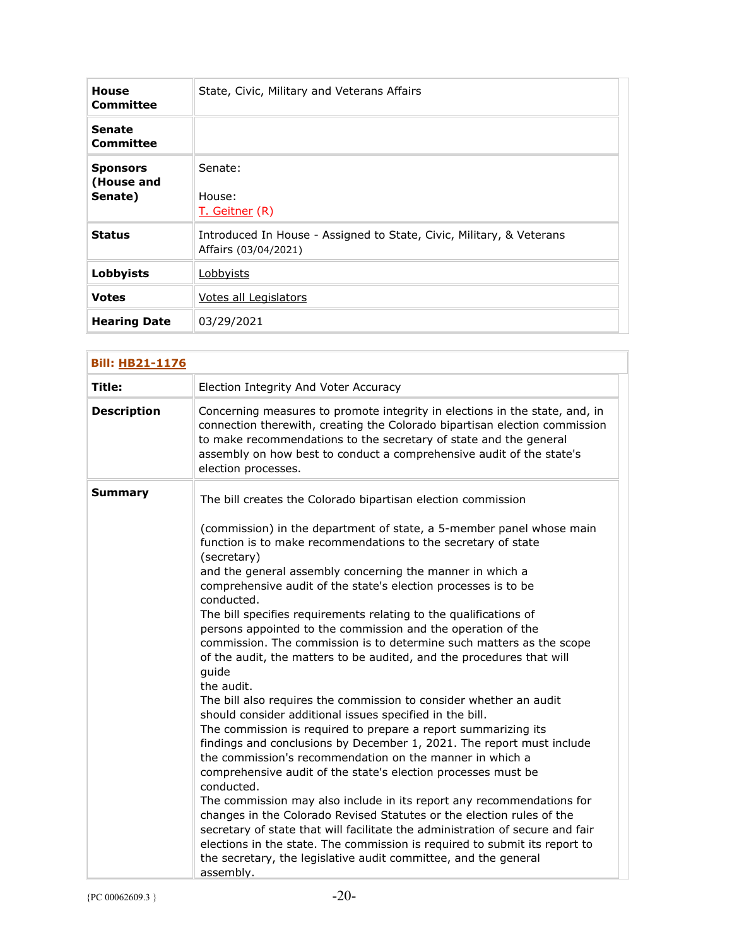| <b>House</b><br>Committee                | State, Civic, Military and Veterans Affairs                                                  |
|------------------------------------------|----------------------------------------------------------------------------------------------|
| <b>Senate</b><br>Committee               |                                                                                              |
| <b>Sponsors</b><br>(House and<br>Senate) | Senate:<br>House:<br>T. Geitner (R)                                                          |
| <b>Status</b>                            | Introduced In House - Assigned to State, Civic, Military, & Veterans<br>Affairs (03/04/2021) |
| Lobbyists                                | Lobbyists                                                                                    |
| <b>Votes</b>                             | Votes all Legislators                                                                        |
| <b>Hearing Date</b>                      | 03/29/2021                                                                                   |

| <b>Bill: HB21-1176</b> |                                                                                                                                                                                                                                                                                                                                                                                                                                                                                                                                                                                                                                                                                                                                                                                                                                                                                                                                                                                                                                                                                                                                                                                                                                                                                                                                                                                                                                                                                            |  |
|------------------------|--------------------------------------------------------------------------------------------------------------------------------------------------------------------------------------------------------------------------------------------------------------------------------------------------------------------------------------------------------------------------------------------------------------------------------------------------------------------------------------------------------------------------------------------------------------------------------------------------------------------------------------------------------------------------------------------------------------------------------------------------------------------------------------------------------------------------------------------------------------------------------------------------------------------------------------------------------------------------------------------------------------------------------------------------------------------------------------------------------------------------------------------------------------------------------------------------------------------------------------------------------------------------------------------------------------------------------------------------------------------------------------------------------------------------------------------------------------------------------------------|--|
| Title:                 | Election Integrity And Voter Accuracy                                                                                                                                                                                                                                                                                                                                                                                                                                                                                                                                                                                                                                                                                                                                                                                                                                                                                                                                                                                                                                                                                                                                                                                                                                                                                                                                                                                                                                                      |  |
| <b>Description</b>     | Concerning measures to promote integrity in elections in the state, and, in<br>connection therewith, creating the Colorado bipartisan election commission<br>to make recommendations to the secretary of state and the general<br>assembly on how best to conduct a comprehensive audit of the state's<br>election processes.                                                                                                                                                                                                                                                                                                                                                                                                                                                                                                                                                                                                                                                                                                                                                                                                                                                                                                                                                                                                                                                                                                                                                              |  |
| <b>Summary</b>         | The bill creates the Colorado bipartisan election commission<br>(commission) in the department of state, a 5-member panel whose main<br>function is to make recommendations to the secretary of state<br>(secretary)<br>and the general assembly concerning the manner in which a<br>comprehensive audit of the state's election processes is to be<br>conducted.<br>The bill specifies requirements relating to the qualifications of<br>persons appointed to the commission and the operation of the<br>commission. The commission is to determine such matters as the scope<br>of the audit, the matters to be audited, and the procedures that will<br>guide<br>the audit.<br>The bill also requires the commission to consider whether an audit<br>should consider additional issues specified in the bill.<br>The commission is required to prepare a report summarizing its<br>findings and conclusions by December 1, 2021. The report must include<br>the commission's recommendation on the manner in which a<br>comprehensive audit of the state's election processes must be<br>conducted.<br>The commission may also include in its report any recommendations for<br>changes in the Colorado Revised Statutes or the election rules of the<br>secretary of state that will facilitate the administration of secure and fair<br>elections in the state. The commission is required to submit its report to<br>the secretary, the legislative audit committee, and the general |  |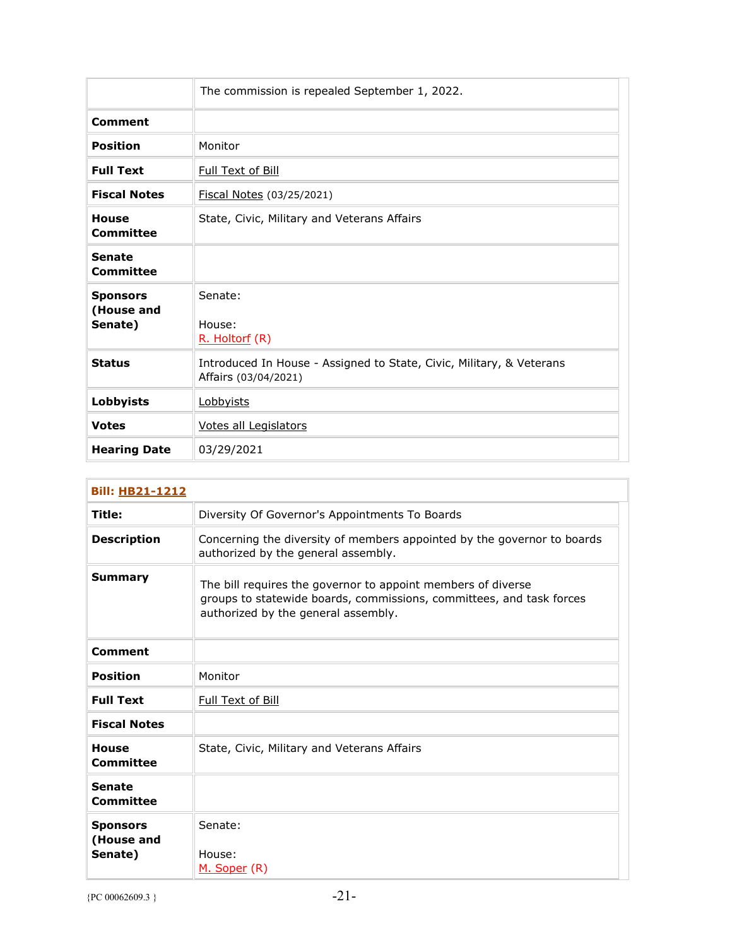|                                          | The commission is repealed September 1, 2022.                                                |
|------------------------------------------|----------------------------------------------------------------------------------------------|
| Comment                                  |                                                                                              |
| <b>Position</b>                          | Monitor                                                                                      |
| <b>Full Text</b>                         | Full Text of Bill                                                                            |
| <b>Fiscal Notes</b>                      | Fiscal Notes (03/25/2021)                                                                    |
| <b>House</b><br>Committee                | State, Civic, Military and Veterans Affairs                                                  |
| <b>Senate</b><br>Committee               |                                                                                              |
| <b>Sponsors</b><br>(House and<br>Senate) | Senate:<br>House:<br>R. Holtorf (R)                                                          |
| <b>Status</b>                            | Introduced In House - Assigned to State, Civic, Military, & Veterans<br>Affairs (03/04/2021) |
| Lobbyists                                | Lobbyists                                                                                    |
| <b>Votes</b>                             | Votes all Legislators                                                                        |
| <b>Hearing Date</b>                      | 03/29/2021                                                                                   |

| <b>Bill: HB21-1212</b>                   |                                                                                                                                                                             |
|------------------------------------------|-----------------------------------------------------------------------------------------------------------------------------------------------------------------------------|
| Title:                                   | Diversity Of Governor's Appointments To Boards                                                                                                                              |
| <b>Description</b>                       | Concerning the diversity of members appointed by the governor to boards<br>authorized by the general assembly.                                                              |
| <b>Summary</b>                           | The bill requires the governor to appoint members of diverse<br>groups to statewide boards, commissions, committees, and task forces<br>authorized by the general assembly. |
| Comment                                  |                                                                                                                                                                             |
| <b>Position</b>                          | Monitor                                                                                                                                                                     |
| <b>Full Text</b>                         | Full Text of Bill                                                                                                                                                           |
| <b>Fiscal Notes</b>                      |                                                                                                                                                                             |
| <b>House</b><br>Committee                | State, Civic, Military and Veterans Affairs                                                                                                                                 |
| <b>Senate</b><br>Committee               |                                                                                                                                                                             |
| <b>Sponsors</b><br>(House and<br>Senate) | Senate:<br>House:<br>M. Soper (R)                                                                                                                                           |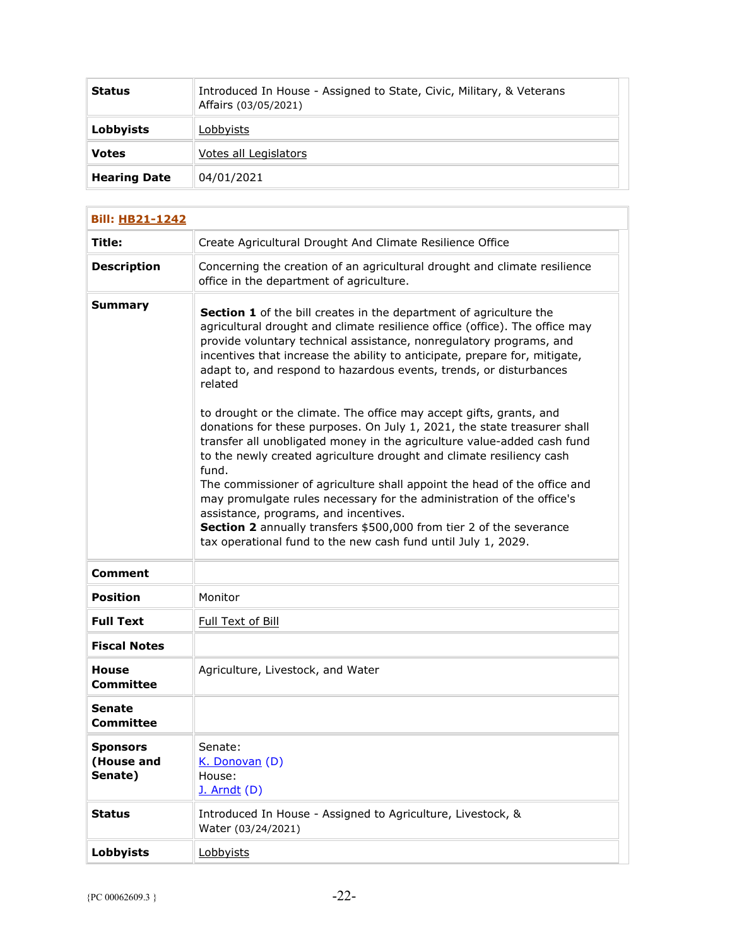| <b>Status</b>       | Introduced In House - Assigned to State, Civic, Military, & Veterans<br>Affairs (03/05/2021) |
|---------------------|----------------------------------------------------------------------------------------------|
| Lobbyists           | Lobbyists                                                                                    |
| <b>Votes</b>        | Votes all Legislators                                                                        |
| <b>Hearing Date</b> | 04/01/2021                                                                                   |

| <b>Bill: HB21-1242</b>                   |                                                                                                                                                                                                                                                                                                                                                                                                                                                                                                                                                                                                                                                                                                                                                                                                                                                                                                                                                                                                                                              |
|------------------------------------------|----------------------------------------------------------------------------------------------------------------------------------------------------------------------------------------------------------------------------------------------------------------------------------------------------------------------------------------------------------------------------------------------------------------------------------------------------------------------------------------------------------------------------------------------------------------------------------------------------------------------------------------------------------------------------------------------------------------------------------------------------------------------------------------------------------------------------------------------------------------------------------------------------------------------------------------------------------------------------------------------------------------------------------------------|
| Title:                                   | Create Agricultural Drought And Climate Resilience Office                                                                                                                                                                                                                                                                                                                                                                                                                                                                                                                                                                                                                                                                                                                                                                                                                                                                                                                                                                                    |
| <b>Description</b>                       | Concerning the creation of an agricultural drought and climate resilience<br>office in the department of agriculture.                                                                                                                                                                                                                                                                                                                                                                                                                                                                                                                                                                                                                                                                                                                                                                                                                                                                                                                        |
| <b>Summary</b>                           | Section 1 of the bill creates in the department of agriculture the<br>agricultural drought and climate resilience office (office). The office may<br>provide voluntary technical assistance, nonregulatory programs, and<br>incentives that increase the ability to anticipate, prepare for, mitigate,<br>adapt to, and respond to hazardous events, trends, or disturbances<br>related<br>to drought or the climate. The office may accept gifts, grants, and<br>donations for these purposes. On July 1, 2021, the state treasurer shall<br>transfer all unobligated money in the agriculture value-added cash fund<br>to the newly created agriculture drought and climate resiliency cash<br>fund.<br>The commissioner of agriculture shall appoint the head of the office and<br>may promulgate rules necessary for the administration of the office's<br>assistance, programs, and incentives.<br>Section 2 annually transfers \$500,000 from tier 2 of the severance<br>tax operational fund to the new cash fund until July 1, 2029. |
| <b>Comment</b>                           |                                                                                                                                                                                                                                                                                                                                                                                                                                                                                                                                                                                                                                                                                                                                                                                                                                                                                                                                                                                                                                              |
| <b>Position</b>                          | Monitor                                                                                                                                                                                                                                                                                                                                                                                                                                                                                                                                                                                                                                                                                                                                                                                                                                                                                                                                                                                                                                      |
| <b>Full Text</b>                         | Full Text of Bill                                                                                                                                                                                                                                                                                                                                                                                                                                                                                                                                                                                                                                                                                                                                                                                                                                                                                                                                                                                                                            |
| <b>Fiscal Notes</b>                      |                                                                                                                                                                                                                                                                                                                                                                                                                                                                                                                                                                                                                                                                                                                                                                                                                                                                                                                                                                                                                                              |
| <b>House</b><br>Committee                | Agriculture, Livestock, and Water                                                                                                                                                                                                                                                                                                                                                                                                                                                                                                                                                                                                                                                                                                                                                                                                                                                                                                                                                                                                            |
| Senate<br><b>Committee</b>               |                                                                                                                                                                                                                                                                                                                                                                                                                                                                                                                                                                                                                                                                                                                                                                                                                                                                                                                                                                                                                                              |
| <b>Sponsors</b><br>(House and<br>Senate) | Senate:<br>K. Donovan (D)<br>House:<br>J. Arndt (D)                                                                                                                                                                                                                                                                                                                                                                                                                                                                                                                                                                                                                                                                                                                                                                                                                                                                                                                                                                                          |
| <b>Status</b>                            | Introduced In House - Assigned to Agriculture, Livestock, &<br>Water (03/24/2021)                                                                                                                                                                                                                                                                                                                                                                                                                                                                                                                                                                                                                                                                                                                                                                                                                                                                                                                                                            |
| <b>Lobbyists</b>                         | Lobbyists                                                                                                                                                                                                                                                                                                                                                                                                                                                                                                                                                                                                                                                                                                                                                                                                                                                                                                                                                                                                                                    |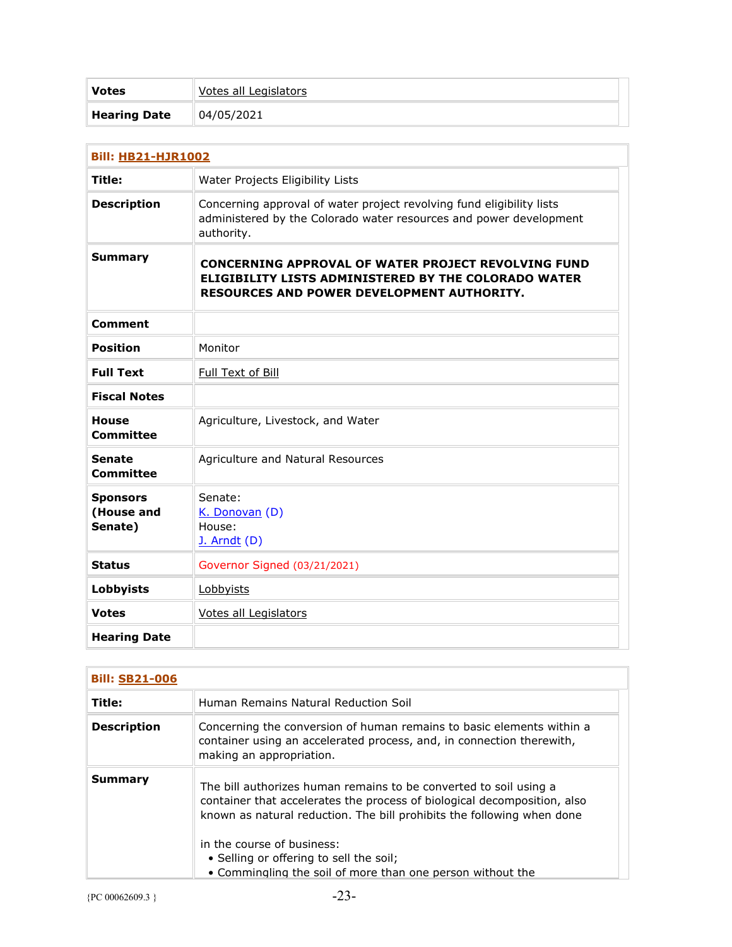| <b>Votes</b>        | Votes all Legislators |
|---------------------|-----------------------|
| <b>Hearing Date</b> | 04/05/2021            |

| <b>Bill: HB21-HJR1002</b>                |                                                                                                                                                                                |
|------------------------------------------|--------------------------------------------------------------------------------------------------------------------------------------------------------------------------------|
| <b>Title:</b>                            | Water Projects Eligibility Lists                                                                                                                                               |
| <b>Description</b>                       | Concerning approval of water project revolving fund eligibility lists<br>administered by the Colorado water resources and power development<br>authority.                      |
| <b>Summary</b>                           | <b>CONCERNING APPROVAL OF WATER PROJECT REVOLVING FUND</b><br><b>ELIGIBILITY LISTS ADMINISTERED BY THE COLORADO WATER</b><br><b>RESOURCES AND POWER DEVELOPMENT AUTHORITY.</b> |
| <b>Comment</b>                           |                                                                                                                                                                                |
| <b>Position</b>                          | Monitor                                                                                                                                                                        |
| <b>Full Text</b>                         | <b>Full Text of Bill</b>                                                                                                                                                       |
| <b>Fiscal Notes</b>                      |                                                                                                                                                                                |
| <b>House</b><br><b>Committee</b>         | Agriculture, Livestock, and Water                                                                                                                                              |
| <b>Senate</b><br><b>Committee</b>        | Agriculture and Natural Resources                                                                                                                                              |
| <b>Sponsors</b><br>(House and<br>Senate) | Senate:<br>K. Donovan (D)<br>House:<br>$J.$ Arndt $(D)$                                                                                                                        |
| <b>Status</b>                            | Governor Signed (03/21/2021)                                                                                                                                                   |
| Lobbyists                                | Lobbyists                                                                                                                                                                      |
| <b>Votes</b>                             | Votes all Legislators                                                                                                                                                          |
| <b>Hearing Date</b>                      |                                                                                                                                                                                |

| <b>Bill: SB21-006</b> |                                                                                                                                                                                                                                                                                                                                                                |
|-----------------------|----------------------------------------------------------------------------------------------------------------------------------------------------------------------------------------------------------------------------------------------------------------------------------------------------------------------------------------------------------------|
| Title:                | Human Remains Natural Reduction Soil                                                                                                                                                                                                                                                                                                                           |
| <b>Description</b>    | Concerning the conversion of human remains to basic elements within a<br>container using an accelerated process, and, in connection therewith,<br>making an appropriation.                                                                                                                                                                                     |
| Summary               | The bill authorizes human remains to be converted to soil using a<br>container that accelerates the process of biological decomposition, also<br>known as natural reduction. The bill prohibits the following when done<br>in the course of business:<br>• Selling or offering to sell the soil;<br>• Commingling the soil of more than one person without the |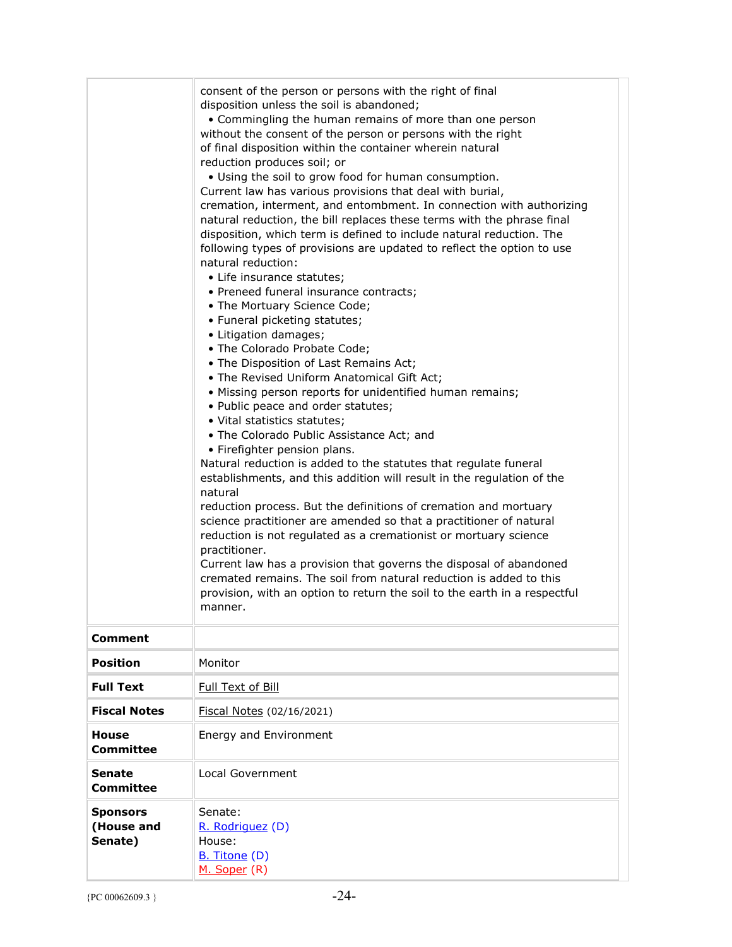|                                          | consent of the person or persons with the right of final<br>disposition unless the soil is abandoned;<br>• Commingling the human remains of more than one person<br>without the consent of the person or persons with the right<br>of final disposition within the container wherein natural<br>reduction produces soil; or<br>. Using the soil to grow food for human consumption.<br>Current law has various provisions that deal with burial,<br>cremation, interment, and entombment. In connection with authorizing<br>natural reduction, the bill replaces these terms with the phrase final<br>disposition, which term is defined to include natural reduction. The<br>following types of provisions are updated to reflect the option to use<br>natural reduction:<br>• Life insurance statutes;<br>• Preneed funeral insurance contracts;<br>• The Mortuary Science Code;<br>• Funeral picketing statutes;<br>• Litigation damages;<br>• The Colorado Probate Code;<br>• The Disposition of Last Remains Act;<br>. The Revised Uniform Anatomical Gift Act;<br>• Missing person reports for unidentified human remains;<br>• Public peace and order statutes;<br>· Vital statistics statutes;<br>• The Colorado Public Assistance Act; and<br>• Firefighter pension plans.<br>Natural reduction is added to the statutes that regulate funeral<br>establishments, and this addition will result in the regulation of the<br>natural<br>reduction process. But the definitions of cremation and mortuary<br>science practitioner are amended so that a practitioner of natural<br>reduction is not regulated as a cremationist or mortuary science<br>practitioner.<br>Current law has a provision that governs the disposal of abandoned<br>cremated remains. The soil from natural reduction is added to this<br>provision, with an option to return the soil to the earth in a respectful<br>manner. |
|------------------------------------------|-----------------------------------------------------------------------------------------------------------------------------------------------------------------------------------------------------------------------------------------------------------------------------------------------------------------------------------------------------------------------------------------------------------------------------------------------------------------------------------------------------------------------------------------------------------------------------------------------------------------------------------------------------------------------------------------------------------------------------------------------------------------------------------------------------------------------------------------------------------------------------------------------------------------------------------------------------------------------------------------------------------------------------------------------------------------------------------------------------------------------------------------------------------------------------------------------------------------------------------------------------------------------------------------------------------------------------------------------------------------------------------------------------------------------------------------------------------------------------------------------------------------------------------------------------------------------------------------------------------------------------------------------------------------------------------------------------------------------------------------------------------------------------------------------------------------------------------------------------------------------------------------------------------------|
| <b>Comment</b>                           |                                                                                                                                                                                                                                                                                                                                                                                                                                                                                                                                                                                                                                                                                                                                                                                                                                                                                                                                                                                                                                                                                                                                                                                                                                                                                                                                                                                                                                                                                                                                                                                                                                                                                                                                                                                                                                                                                                                 |
| <b>Position</b>                          | Monitor                                                                                                                                                                                                                                                                                                                                                                                                                                                                                                                                                                                                                                                                                                                                                                                                                                                                                                                                                                                                                                                                                                                                                                                                                                                                                                                                                                                                                                                                                                                                                                                                                                                                                                                                                                                                                                                                                                         |
| <b>Full Text</b>                         | Full Text of Bill                                                                                                                                                                                                                                                                                                                                                                                                                                                                                                                                                                                                                                                                                                                                                                                                                                                                                                                                                                                                                                                                                                                                                                                                                                                                                                                                                                                                                                                                                                                                                                                                                                                                                                                                                                                                                                                                                               |
| <b>Fiscal Notes</b>                      | Fiscal Notes (02/16/2021)                                                                                                                                                                                                                                                                                                                                                                                                                                                                                                                                                                                                                                                                                                                                                                                                                                                                                                                                                                                                                                                                                                                                                                                                                                                                                                                                                                                                                                                                                                                                                                                                                                                                                                                                                                                                                                                                                       |
| <b>House</b><br>Committee                | Energy and Environment                                                                                                                                                                                                                                                                                                                                                                                                                                                                                                                                                                                                                                                                                                                                                                                                                                                                                                                                                                                                                                                                                                                                                                                                                                                                                                                                                                                                                                                                                                                                                                                                                                                                                                                                                                                                                                                                                          |
| <b>Senate</b><br><b>Committee</b>        | Local Government                                                                                                                                                                                                                                                                                                                                                                                                                                                                                                                                                                                                                                                                                                                                                                                                                                                                                                                                                                                                                                                                                                                                                                                                                                                                                                                                                                                                                                                                                                                                                                                                                                                                                                                                                                                                                                                                                                |
| <b>Sponsors</b><br>(House and<br>Senate) | Senate:<br>R. Rodriguez (D)<br>House:<br><b>B.</b> Titone (D)<br>M. Soper (R)                                                                                                                                                                                                                                                                                                                                                                                                                                                                                                                                                                                                                                                                                                                                                                                                                                                                                                                                                                                                                                                                                                                                                                                                                                                                                                                                                                                                                                                                                                                                                                                                                                                                                                                                                                                                                                   |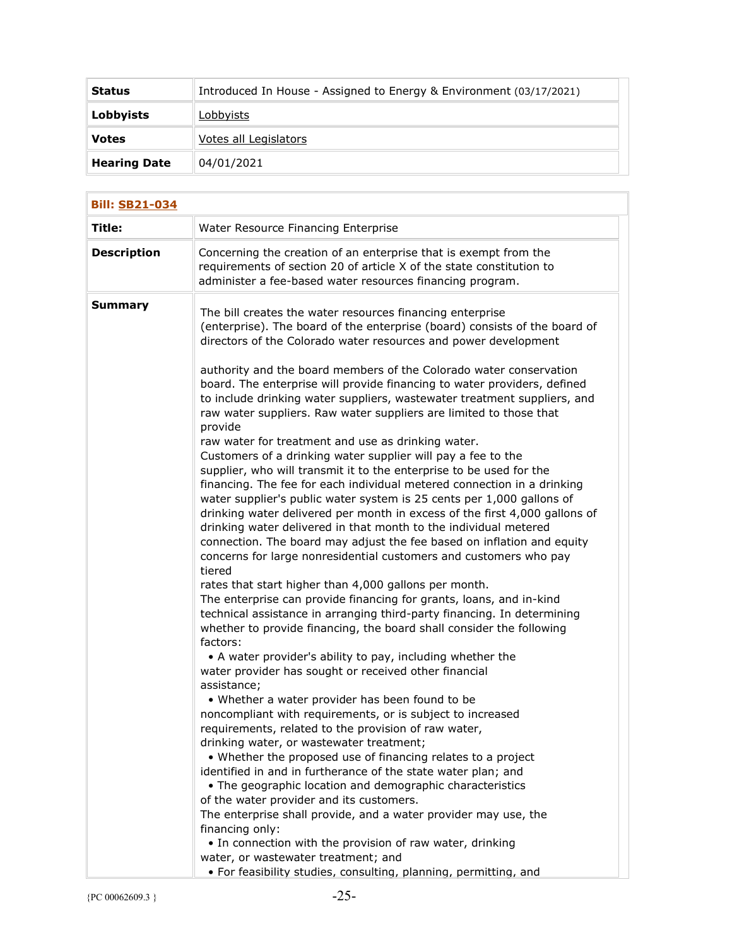| <b>Status</b>       | Introduced In House - Assigned to Energy & Environment (03/17/2021) |
|---------------------|---------------------------------------------------------------------|
| Lobbyists           | Lobbyists                                                           |
| <b>Votes</b>        | Votes all Legislators                                               |
| <b>Hearing Date</b> | 04/01/2021                                                          |

| <b>Bill: SB21-034</b> |                                                                                                                                                                                                                                                                                                                                                                                                                                                                                                                                                                                                                                                                                                                                                                                                                                                                                                                                                                                                                                                                                                                                                                                                                                                                                                                                                                                                                                                                                                                                                                                                                                                                                                                                                                                                                                                                                                                                                                                                                                                                                                                                                                                                                                                                                                                                                         |  |
|-----------------------|---------------------------------------------------------------------------------------------------------------------------------------------------------------------------------------------------------------------------------------------------------------------------------------------------------------------------------------------------------------------------------------------------------------------------------------------------------------------------------------------------------------------------------------------------------------------------------------------------------------------------------------------------------------------------------------------------------------------------------------------------------------------------------------------------------------------------------------------------------------------------------------------------------------------------------------------------------------------------------------------------------------------------------------------------------------------------------------------------------------------------------------------------------------------------------------------------------------------------------------------------------------------------------------------------------------------------------------------------------------------------------------------------------------------------------------------------------------------------------------------------------------------------------------------------------------------------------------------------------------------------------------------------------------------------------------------------------------------------------------------------------------------------------------------------------------------------------------------------------------------------------------------------------------------------------------------------------------------------------------------------------------------------------------------------------------------------------------------------------------------------------------------------------------------------------------------------------------------------------------------------------------------------------------------------------------------------------------------------------|--|
| Title:                | Water Resource Financing Enterprise                                                                                                                                                                                                                                                                                                                                                                                                                                                                                                                                                                                                                                                                                                                                                                                                                                                                                                                                                                                                                                                                                                                                                                                                                                                                                                                                                                                                                                                                                                                                                                                                                                                                                                                                                                                                                                                                                                                                                                                                                                                                                                                                                                                                                                                                                                                     |  |
| <b>Description</b>    | Concerning the creation of an enterprise that is exempt from the<br>requirements of section 20 of article X of the state constitution to<br>administer a fee-based water resources financing program.                                                                                                                                                                                                                                                                                                                                                                                                                                                                                                                                                                                                                                                                                                                                                                                                                                                                                                                                                                                                                                                                                                                                                                                                                                                                                                                                                                                                                                                                                                                                                                                                                                                                                                                                                                                                                                                                                                                                                                                                                                                                                                                                                   |  |
| Summary               | The bill creates the water resources financing enterprise<br>(enterprise). The board of the enterprise (board) consists of the board of<br>directors of the Colorado water resources and power development<br>authority and the board members of the Colorado water conservation<br>board. The enterprise will provide financing to water providers, defined<br>to include drinking water suppliers, wastewater treatment suppliers, and<br>raw water suppliers. Raw water suppliers are limited to those that<br>provide<br>raw water for treatment and use as drinking water.<br>Customers of a drinking water supplier will pay a fee to the<br>supplier, who will transmit it to the enterprise to be used for the<br>financing. The fee for each individual metered connection in a drinking<br>water supplier's public water system is 25 cents per 1,000 gallons of<br>drinking water delivered per month in excess of the first 4,000 gallons of<br>drinking water delivered in that month to the individual metered<br>connection. The board may adjust the fee based on inflation and equity<br>concerns for large nonresidential customers and customers who pay<br>tiered<br>rates that start higher than 4,000 gallons per month.<br>The enterprise can provide financing for grants, loans, and in-kind<br>technical assistance in arranging third-party financing. In determining<br>whether to provide financing, the board shall consider the following<br>factors:<br>• A water provider's ability to pay, including whether the<br>water provider has sought or received other financial<br>assistance;<br>• Whether a water provider has been found to be<br>noncompliant with requirements, or is subject to increased<br>requirements, related to the provision of raw water,<br>drinking water, or wastewater treatment;<br>• Whether the proposed use of financing relates to a project<br>identified in and in furtherance of the state water plan; and<br>• The geographic location and demographic characteristics<br>of the water provider and its customers.<br>The enterprise shall provide, and a water provider may use, the<br>financing only:<br>• In connection with the provision of raw water, drinking<br>water, or wastewater treatment; and<br>· For feasibility studies, consulting, planning, permitting, and |  |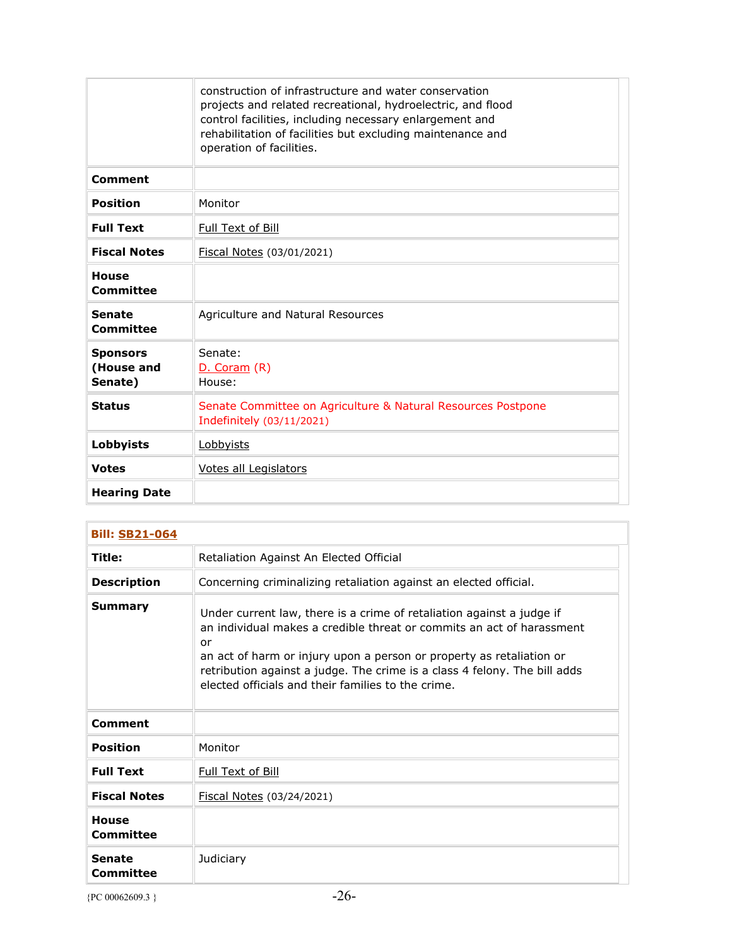|                                          | construction of infrastructure and water conservation<br>projects and related recreational, hydroelectric, and flood<br>control facilities, including necessary enlargement and<br>rehabilitation of facilities but excluding maintenance and<br>operation of facilities. |
|------------------------------------------|---------------------------------------------------------------------------------------------------------------------------------------------------------------------------------------------------------------------------------------------------------------------------|
| <b>Comment</b>                           |                                                                                                                                                                                                                                                                           |
| <b>Position</b>                          | Monitor                                                                                                                                                                                                                                                                   |
| <b>Full Text</b>                         | Full Text of Bill                                                                                                                                                                                                                                                         |
| <b>Fiscal Notes</b>                      | Fiscal Notes (03/01/2021)                                                                                                                                                                                                                                                 |
| <b>House</b><br>Committee                |                                                                                                                                                                                                                                                                           |
| <b>Senate</b><br>Committee               | Agriculture and Natural Resources                                                                                                                                                                                                                                         |
| <b>Sponsors</b><br>(House and<br>Senate) | Senate:<br>D. Coram (R)<br>House:                                                                                                                                                                                                                                         |
| <b>Status</b>                            | Senate Committee on Agriculture & Natural Resources Postpone<br>Indefinitely (03/11/2021)                                                                                                                                                                                 |
| <b>Lobbyists</b>                         | Lobbyists                                                                                                                                                                                                                                                                 |
| <b>Votes</b>                             | Votes all Legislators                                                                                                                                                                                                                                                     |
| <b>Hearing Date</b>                      |                                                                                                                                                                                                                                                                           |

| <b>Bill: SB21-064</b>      |                                                                                                                                                                                                                                                                                                                                                                 |
|----------------------------|-----------------------------------------------------------------------------------------------------------------------------------------------------------------------------------------------------------------------------------------------------------------------------------------------------------------------------------------------------------------|
| Title:                     | Retaliation Against An Elected Official                                                                                                                                                                                                                                                                                                                         |
| <b>Description</b>         | Concerning criminalizing retaliation against an elected official.                                                                                                                                                                                                                                                                                               |
| Summary                    | Under current law, there is a crime of retaliation against a judge if<br>an individual makes a credible threat or commits an act of harassment<br>or<br>an act of harm or injury upon a person or property as retaliation or<br>retribution against a judge. The crime is a class 4 felony. The bill adds<br>elected officials and their families to the crime. |
| Comment                    |                                                                                                                                                                                                                                                                                                                                                                 |
| Position                   | Monitor                                                                                                                                                                                                                                                                                                                                                         |
| <b>Full Text</b>           | Full Text of Bill                                                                                                                                                                                                                                                                                                                                               |
| <b>Fiscal Notes</b>        | Fiscal Notes (03/24/2021)                                                                                                                                                                                                                                                                                                                                       |
| <b>House</b><br>Committee  |                                                                                                                                                                                                                                                                                                                                                                 |
| <b>Senate</b><br>Committee | Judiciary                                                                                                                                                                                                                                                                                                                                                       |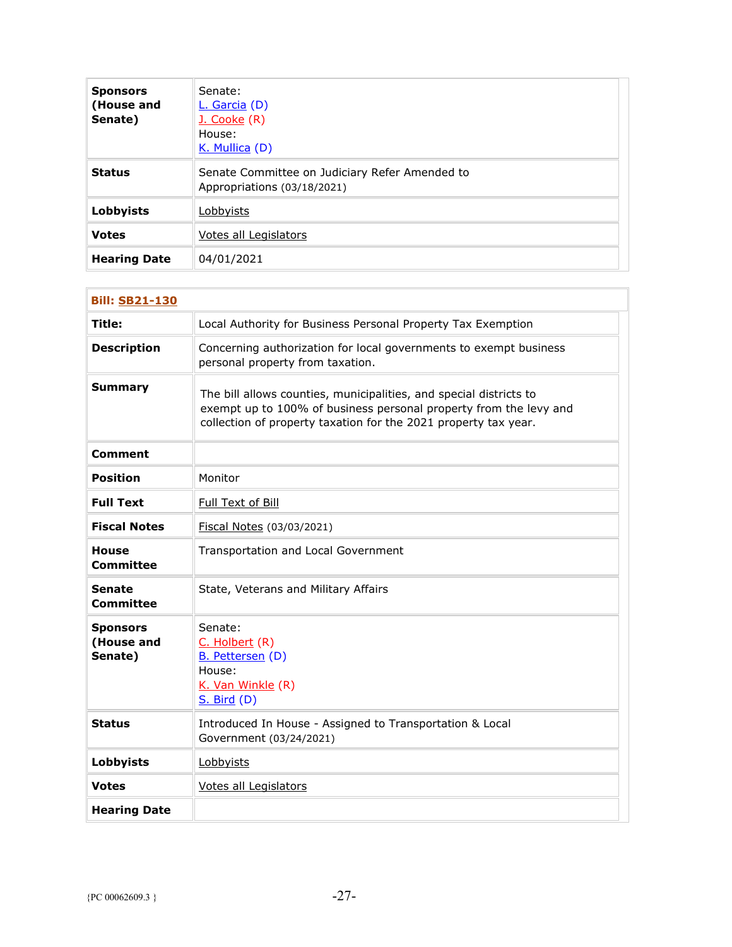| <b>Sponsors</b><br>(House and<br>Senate) | Senate:<br>L. Garcia (D)<br>J. Cooke (R)<br>House:<br>K. Mullica (D)          |
|------------------------------------------|-------------------------------------------------------------------------------|
| <b>Status</b>                            | Senate Committee on Judiciary Refer Amended to<br>Appropriations (03/18/2021) |
| <b>Lobbyists</b>                         | Lobbyists                                                                     |
| <b>Votes</b>                             | Votes all Legislators                                                         |
| <b>Hearing Date</b>                      | 04/01/2021                                                                    |

| <b>Bill: SB21-130</b>                    |                                                                                                                                                                                                            |  |
|------------------------------------------|------------------------------------------------------------------------------------------------------------------------------------------------------------------------------------------------------------|--|
| Title:                                   | Local Authority for Business Personal Property Tax Exemption                                                                                                                                               |  |
| <b>Description</b>                       | Concerning authorization for local governments to exempt business<br>personal property from taxation.                                                                                                      |  |
| <b>Summary</b>                           | The bill allows counties, municipalities, and special districts to<br>exempt up to 100% of business personal property from the levy and<br>collection of property taxation for the 2021 property tax year. |  |
| <b>Comment</b>                           |                                                                                                                                                                                                            |  |
| <b>Position</b>                          | Monitor                                                                                                                                                                                                    |  |
| <b>Full Text</b>                         | Full Text of Bill                                                                                                                                                                                          |  |
| <b>Fiscal Notes</b>                      | Fiscal Notes (03/03/2021)                                                                                                                                                                                  |  |
| House<br><b>Committee</b>                | Transportation and Local Government                                                                                                                                                                        |  |
| <b>Senate</b><br><b>Committee</b>        | State, Veterans and Military Affairs                                                                                                                                                                       |  |
| <b>Sponsors</b><br>(House and<br>Senate) | Senate:<br>C. Holbert (R)<br>B. Pettersen (D)<br>House:<br>K. Van Winkle (R)<br>$S.$ Bird $(D)$                                                                                                            |  |
| <b>Status</b>                            | Introduced In House - Assigned to Transportation & Local<br>Government (03/24/2021)                                                                                                                        |  |
| Lobbyists                                | Lobbyists                                                                                                                                                                                                  |  |
| <b>Votes</b>                             | Votes all Legislators                                                                                                                                                                                      |  |
| <b>Hearing Date</b>                      |                                                                                                                                                                                                            |  |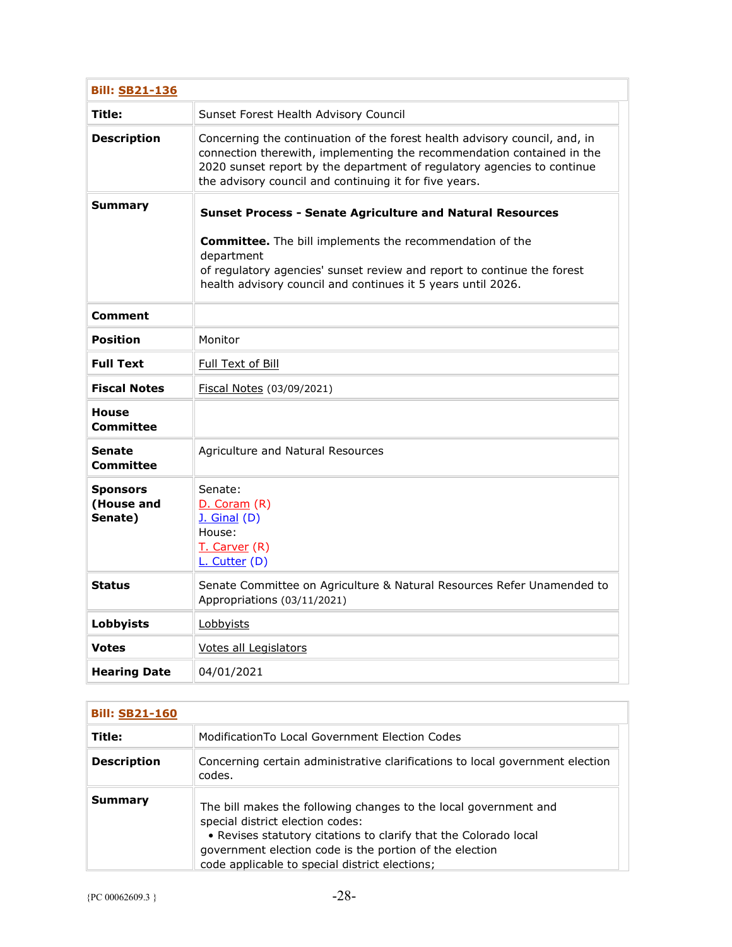| <b>Bill: SB21-136</b>                    |                                                                                                                                                                                                                                                                                           |
|------------------------------------------|-------------------------------------------------------------------------------------------------------------------------------------------------------------------------------------------------------------------------------------------------------------------------------------------|
| Title:                                   | Sunset Forest Health Advisory Council                                                                                                                                                                                                                                                     |
| <b>Description</b>                       | Concerning the continuation of the forest health advisory council, and, in<br>connection therewith, implementing the recommendation contained in the<br>2020 sunset report by the department of regulatory agencies to continue<br>the advisory council and continuing it for five years. |
| Summary                                  | <b>Sunset Process - Senate Agriculture and Natural Resources</b>                                                                                                                                                                                                                          |
|                                          | <b>Committee.</b> The bill implements the recommendation of the<br>department<br>of regulatory agencies' sunset review and report to continue the forest<br>health advisory council and continues it 5 years until 2026.                                                                  |
| Comment                                  |                                                                                                                                                                                                                                                                                           |
| <b>Position</b>                          | Monitor                                                                                                                                                                                                                                                                                   |
| <b>Full Text</b>                         | Full Text of Bill                                                                                                                                                                                                                                                                         |
| <b>Fiscal Notes</b>                      | Fiscal Notes (03/09/2021)                                                                                                                                                                                                                                                                 |
| <b>House</b><br>Committee                |                                                                                                                                                                                                                                                                                           |
| <b>Senate</b><br>Committee               | Agriculture and Natural Resources                                                                                                                                                                                                                                                         |
| <b>Sponsors</b><br>(House and<br>Senate) | Senate:<br>D. Coram(R)<br>$J.$ Ginal $(D)$<br>House:<br>T. Carver (R)<br>L. Cutter (D)                                                                                                                                                                                                    |
| <b>Status</b>                            | Senate Committee on Agriculture & Natural Resources Refer Unamended to<br>Appropriations (03/11/2021)                                                                                                                                                                                     |
| Lobbyists                                | Lobbyists                                                                                                                                                                                                                                                                                 |
| <b>Votes</b>                             | Votes all Legislators                                                                                                                                                                                                                                                                     |
| <b>Hearing Date</b>                      | 04/01/2021                                                                                                                                                                                                                                                                                |

| <b>Bill: SB21-160</b> |                                                                                                                                                                                                                                                                                       |
|-----------------------|---------------------------------------------------------------------------------------------------------------------------------------------------------------------------------------------------------------------------------------------------------------------------------------|
| Title:                | Modification To Local Government Election Codes                                                                                                                                                                                                                                       |
| <b>Description</b>    | Concerning certain administrative clarifications to local government election<br>codes.                                                                                                                                                                                               |
| Summary               | The bill makes the following changes to the local government and<br>special district election codes:<br>• Revises statutory citations to clarify that the Colorado local<br>government election code is the portion of the election<br>code applicable to special district elections; |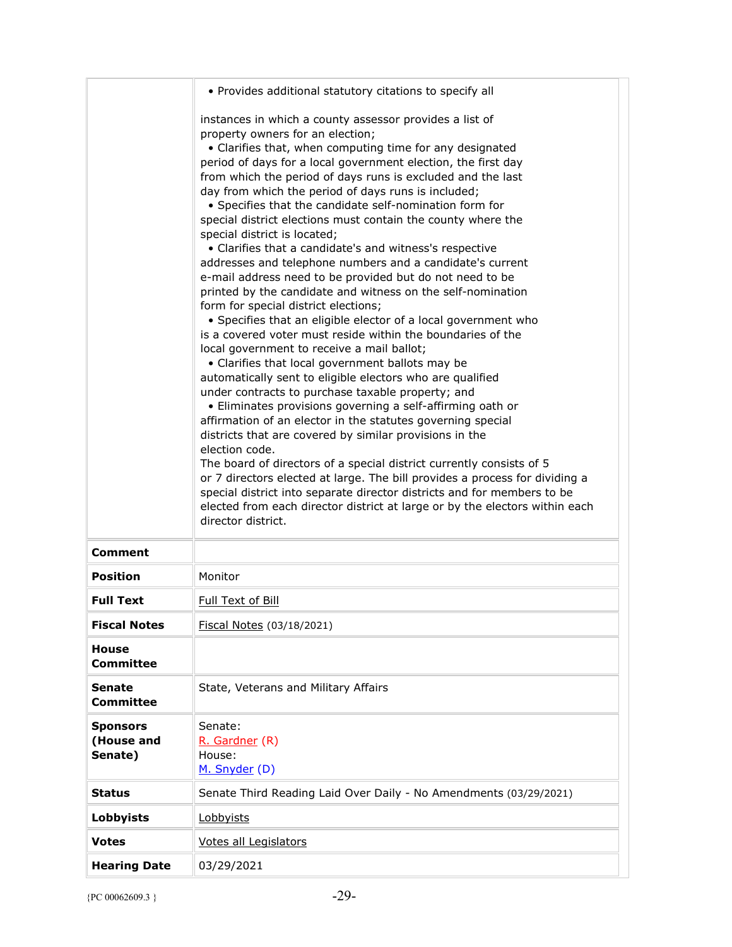|                                          | • Provides additional statutory citations to specify all                                                                                                                                                                                                                                                                                                                                                                                                                                                                                                                                                                                                                                                                                                                                                                                                                                                                                                                                                                                                                                                                                                                                                                                                                                                                                                                                                                                                                                                                                                                                                                                                                                                   |
|------------------------------------------|------------------------------------------------------------------------------------------------------------------------------------------------------------------------------------------------------------------------------------------------------------------------------------------------------------------------------------------------------------------------------------------------------------------------------------------------------------------------------------------------------------------------------------------------------------------------------------------------------------------------------------------------------------------------------------------------------------------------------------------------------------------------------------------------------------------------------------------------------------------------------------------------------------------------------------------------------------------------------------------------------------------------------------------------------------------------------------------------------------------------------------------------------------------------------------------------------------------------------------------------------------------------------------------------------------------------------------------------------------------------------------------------------------------------------------------------------------------------------------------------------------------------------------------------------------------------------------------------------------------------------------------------------------------------------------------------------------|
|                                          | instances in which a county assessor provides a list of<br>property owners for an election;<br>• Clarifies that, when computing time for any designated<br>period of days for a local government election, the first day<br>from which the period of days runs is excluded and the last<br>day from which the period of days runs is included;<br>• Specifies that the candidate self-nomination form for<br>special district elections must contain the county where the<br>special district is located;<br>• Clarifies that a candidate's and witness's respective<br>addresses and telephone numbers and a candidate's current<br>e-mail address need to be provided but do not need to be<br>printed by the candidate and witness on the self-nomination<br>form for special district elections;<br>• Specifies that an eligible elector of a local government who<br>is a covered voter must reside within the boundaries of the<br>local government to receive a mail ballot;<br>• Clarifies that local government ballots may be<br>automatically sent to eligible electors who are qualified<br>under contracts to purchase taxable property; and<br>• Eliminates provisions governing a self-affirming oath or<br>affirmation of an elector in the statutes governing special<br>districts that are covered by similar provisions in the<br>election code.<br>The board of directors of a special district currently consists of 5<br>or 7 directors elected at large. The bill provides a process for dividing a<br>special district into separate director districts and for members to be<br>elected from each director district at large or by the electors within each<br>director district. |
| Comment                                  |                                                                                                                                                                                                                                                                                                                                                                                                                                                                                                                                                                                                                                                                                                                                                                                                                                                                                                                                                                                                                                                                                                                                                                                                                                                                                                                                                                                                                                                                                                                                                                                                                                                                                                            |
| <b>Position</b>                          | Monitor                                                                                                                                                                                                                                                                                                                                                                                                                                                                                                                                                                                                                                                                                                                                                                                                                                                                                                                                                                                                                                                                                                                                                                                                                                                                                                                                                                                                                                                                                                                                                                                                                                                                                                    |
| <b>Full Text</b>                         | <b>Full Text of Bill</b>                                                                                                                                                                                                                                                                                                                                                                                                                                                                                                                                                                                                                                                                                                                                                                                                                                                                                                                                                                                                                                                                                                                                                                                                                                                                                                                                                                                                                                                                                                                                                                                                                                                                                   |
| <b>Fiscal Notes</b>                      | Fiscal Notes (03/18/2021)                                                                                                                                                                                                                                                                                                                                                                                                                                                                                                                                                                                                                                                                                                                                                                                                                                                                                                                                                                                                                                                                                                                                                                                                                                                                                                                                                                                                                                                                                                                                                                                                                                                                                  |
| <b>House</b><br><b>Committee</b>         |                                                                                                                                                                                                                                                                                                                                                                                                                                                                                                                                                                                                                                                                                                                                                                                                                                                                                                                                                                                                                                                                                                                                                                                                                                                                                                                                                                                                                                                                                                                                                                                                                                                                                                            |
| <b>Senate</b><br><b>Committee</b>        | State, Veterans and Military Affairs                                                                                                                                                                                                                                                                                                                                                                                                                                                                                                                                                                                                                                                                                                                                                                                                                                                                                                                                                                                                                                                                                                                                                                                                                                                                                                                                                                                                                                                                                                                                                                                                                                                                       |
| <b>Sponsors</b><br>(House and<br>Senate) | Senate:<br>R. Gardner (R)<br>House:<br>M. Snyder (D)                                                                                                                                                                                                                                                                                                                                                                                                                                                                                                                                                                                                                                                                                                                                                                                                                                                                                                                                                                                                                                                                                                                                                                                                                                                                                                                                                                                                                                                                                                                                                                                                                                                       |
| <b>Status</b>                            | Senate Third Reading Laid Over Daily - No Amendments (03/29/2021)                                                                                                                                                                                                                                                                                                                                                                                                                                                                                                                                                                                                                                                                                                                                                                                                                                                                                                                                                                                                                                                                                                                                                                                                                                                                                                                                                                                                                                                                                                                                                                                                                                          |
| <b>Lobbyists</b>                         | Lobbyists                                                                                                                                                                                                                                                                                                                                                                                                                                                                                                                                                                                                                                                                                                                                                                                                                                                                                                                                                                                                                                                                                                                                                                                                                                                                                                                                                                                                                                                                                                                                                                                                                                                                                                  |
| <b>Votes</b>                             | Votes all Legislators                                                                                                                                                                                                                                                                                                                                                                                                                                                                                                                                                                                                                                                                                                                                                                                                                                                                                                                                                                                                                                                                                                                                                                                                                                                                                                                                                                                                                                                                                                                                                                                                                                                                                      |
| <b>Hearing Date</b>                      | 03/29/2021                                                                                                                                                                                                                                                                                                                                                                                                                                                                                                                                                                                                                                                                                                                                                                                                                                                                                                                                                                                                                                                                                                                                                                                                                                                                                                                                                                                                                                                                                                                                                                                                                                                                                                 |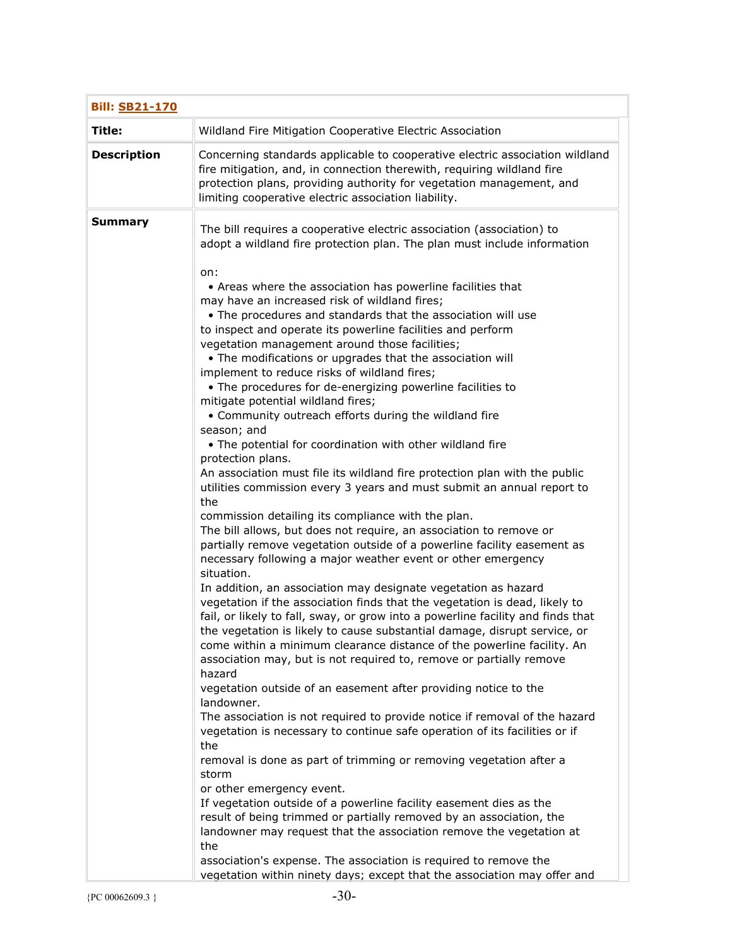| <b>Bill: SB21-170</b> |                                                                                                                                                                                                                                                                                                                                                                                                                                                                                                                                                                                                                                                                                                                                                                                                                                                                                                                                                                                                                                                                                                                                                                                                                                                                                                                                                                                                                                                                                                                                                                                                                                                                                                                                                                                                                                                                                                                                                                                                                                                                                                                                                                                                                                                                                                                                                                                                                                                                                                                |
|-----------------------|----------------------------------------------------------------------------------------------------------------------------------------------------------------------------------------------------------------------------------------------------------------------------------------------------------------------------------------------------------------------------------------------------------------------------------------------------------------------------------------------------------------------------------------------------------------------------------------------------------------------------------------------------------------------------------------------------------------------------------------------------------------------------------------------------------------------------------------------------------------------------------------------------------------------------------------------------------------------------------------------------------------------------------------------------------------------------------------------------------------------------------------------------------------------------------------------------------------------------------------------------------------------------------------------------------------------------------------------------------------------------------------------------------------------------------------------------------------------------------------------------------------------------------------------------------------------------------------------------------------------------------------------------------------------------------------------------------------------------------------------------------------------------------------------------------------------------------------------------------------------------------------------------------------------------------------------------------------------------------------------------------------------------------------------------------------------------------------------------------------------------------------------------------------------------------------------------------------------------------------------------------------------------------------------------------------------------------------------------------------------------------------------------------------------------------------------------------------------------------------------------------------|
| Title:                | Wildland Fire Mitigation Cooperative Electric Association                                                                                                                                                                                                                                                                                                                                                                                                                                                                                                                                                                                                                                                                                                                                                                                                                                                                                                                                                                                                                                                                                                                                                                                                                                                                                                                                                                                                                                                                                                                                                                                                                                                                                                                                                                                                                                                                                                                                                                                                                                                                                                                                                                                                                                                                                                                                                                                                                                                      |
| <b>Description</b>    | Concerning standards applicable to cooperative electric association wildland<br>fire mitigation, and, in connection therewith, requiring wildland fire<br>protection plans, providing authority for vegetation management, and<br>limiting cooperative electric association liability.                                                                                                                                                                                                                                                                                                                                                                                                                                                                                                                                                                                                                                                                                                                                                                                                                                                                                                                                                                                                                                                                                                                                                                                                                                                                                                                                                                                                                                                                                                                                                                                                                                                                                                                                                                                                                                                                                                                                                                                                                                                                                                                                                                                                                         |
| <b>Summary</b>        | The bill requires a cooperative electric association (association) to<br>adopt a wildland fire protection plan. The plan must include information<br>on:<br>• Areas where the association has powerline facilities that<br>may have an increased risk of wildland fires;<br>. The procedures and standards that the association will use<br>to inspect and operate its powerline facilities and perform<br>vegetation management around those facilities;<br>• The modifications or upgrades that the association will<br>implement to reduce risks of wildland fires;<br>• The procedures for de-energizing powerline facilities to<br>mitigate potential wildland fires;<br>• Community outreach efforts during the wildland fire<br>season; and<br>• The potential for coordination with other wildland fire<br>protection plans.<br>An association must file its wildland fire protection plan with the public<br>utilities commission every 3 years and must submit an annual report to<br>the<br>commission detailing its compliance with the plan.<br>The bill allows, but does not require, an association to remove or<br>partially remove vegetation outside of a powerline facility easement as<br>necessary following a major weather event or other emergency<br>situation.<br>In addition, an association may designate vegetation as hazard<br>vegetation if the association finds that the vegetation is dead, likely to<br>fail, or likely to fall, sway, or grow into a powerline facility and finds that<br>the vegetation is likely to cause substantial damage, disrupt service, or<br>come within a minimum clearance distance of the powerline facility. An<br>association may, but is not required to, remove or partially remove<br>hazard<br>vegetation outside of an easement after providing notice to the<br>landowner.<br>The association is not required to provide notice if removal of the hazard<br>vegetation is necessary to continue safe operation of its facilities or if<br>the<br>removal is done as part of trimming or removing vegetation after a<br>storm<br>or other emergency event.<br>If vegetation outside of a powerline facility easement dies as the<br>result of being trimmed or partially removed by an association, the<br>landowner may request that the association remove the vegetation at<br>the<br>association's expense. The association is required to remove the<br>vegetation within ninety days; except that the association may offer and |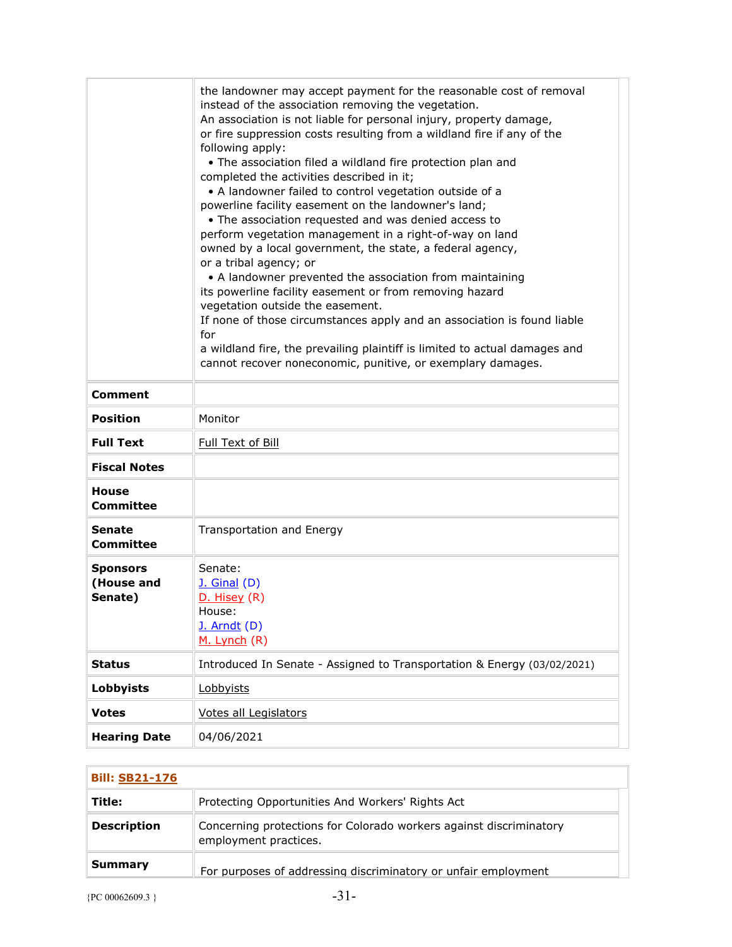|                                          | the landowner may accept payment for the reasonable cost of removal<br>instead of the association removing the vegetation.<br>An association is not liable for personal injury, property damage,<br>or fire suppression costs resulting from a wildland fire if any of the<br>following apply:<br>. The association filed a wildland fire protection plan and<br>completed the activities described in it;<br>• A landowner failed to control vegetation outside of a<br>powerline facility easement on the landowner's land;<br>. The association requested and was denied access to<br>perform vegetation management in a right-of-way on land<br>owned by a local government, the state, a federal agency,<br>or a tribal agency; or<br>• A landowner prevented the association from maintaining<br>its powerline facility easement or from removing hazard<br>vegetation outside the easement.<br>If none of those circumstances apply and an association is found liable<br>for<br>a wildland fire, the prevailing plaintiff is limited to actual damages and<br>cannot recover noneconomic, punitive, or exemplary damages. |
|------------------------------------------|-----------------------------------------------------------------------------------------------------------------------------------------------------------------------------------------------------------------------------------------------------------------------------------------------------------------------------------------------------------------------------------------------------------------------------------------------------------------------------------------------------------------------------------------------------------------------------------------------------------------------------------------------------------------------------------------------------------------------------------------------------------------------------------------------------------------------------------------------------------------------------------------------------------------------------------------------------------------------------------------------------------------------------------------------------------------------------------------------------------------------------------|
| <b>Comment</b>                           |                                                                                                                                                                                                                                                                                                                                                                                                                                                                                                                                                                                                                                                                                                                                                                                                                                                                                                                                                                                                                                                                                                                                   |
| <b>Position</b>                          | Monitor                                                                                                                                                                                                                                                                                                                                                                                                                                                                                                                                                                                                                                                                                                                                                                                                                                                                                                                                                                                                                                                                                                                           |
| <b>Full Text</b>                         | Full Text of Bill                                                                                                                                                                                                                                                                                                                                                                                                                                                                                                                                                                                                                                                                                                                                                                                                                                                                                                                                                                                                                                                                                                                 |
| <b>Fiscal Notes</b>                      |                                                                                                                                                                                                                                                                                                                                                                                                                                                                                                                                                                                                                                                                                                                                                                                                                                                                                                                                                                                                                                                                                                                                   |
| <b>House</b><br>Committee                |                                                                                                                                                                                                                                                                                                                                                                                                                                                                                                                                                                                                                                                                                                                                                                                                                                                                                                                                                                                                                                                                                                                                   |
| Senate<br><b>Committee</b>               | Transportation and Energy                                                                                                                                                                                                                                                                                                                                                                                                                                                                                                                                                                                                                                                                                                                                                                                                                                                                                                                                                                                                                                                                                                         |
| <b>Sponsors</b><br>(House and<br>Senate) | Senate:<br><b>J.</b> Ginal (D)<br>D. Hisey (R)<br>House:<br>$J.$ Arndt $(D)$<br>M. Lynch (R)                                                                                                                                                                                                                                                                                                                                                                                                                                                                                                                                                                                                                                                                                                                                                                                                                                                                                                                                                                                                                                      |
| <b>Status</b>                            | Introduced In Senate - Assigned to Transportation & Energy (03/02/2021)                                                                                                                                                                                                                                                                                                                                                                                                                                                                                                                                                                                                                                                                                                                                                                                                                                                                                                                                                                                                                                                           |
| <b>Lobbyists</b>                         | Lobbyists                                                                                                                                                                                                                                                                                                                                                                                                                                                                                                                                                                                                                                                                                                                                                                                                                                                                                                                                                                                                                                                                                                                         |
| <b>Votes</b>                             | Votes all Legislators                                                                                                                                                                                                                                                                                                                                                                                                                                                                                                                                                                                                                                                                                                                                                                                                                                                                                                                                                                                                                                                                                                             |
| <b>Hearing Date</b>                      | 04/06/2021                                                                                                                                                                                                                                                                                                                                                                                                                                                                                                                                                                                                                                                                                                                                                                                                                                                                                                                                                                                                                                                                                                                        |

| <b>Bill: SB21-176</b> |                                                                                             |
|-----------------------|---------------------------------------------------------------------------------------------|
| Title:                | Protecting Opportunities And Workers' Rights Act                                            |
| <b>Description</b>    | Concerning protections for Colorado workers against discriminatory<br>employment practices. |
| Summary               | For purposes of addressing discriminatory or unfair employment                              |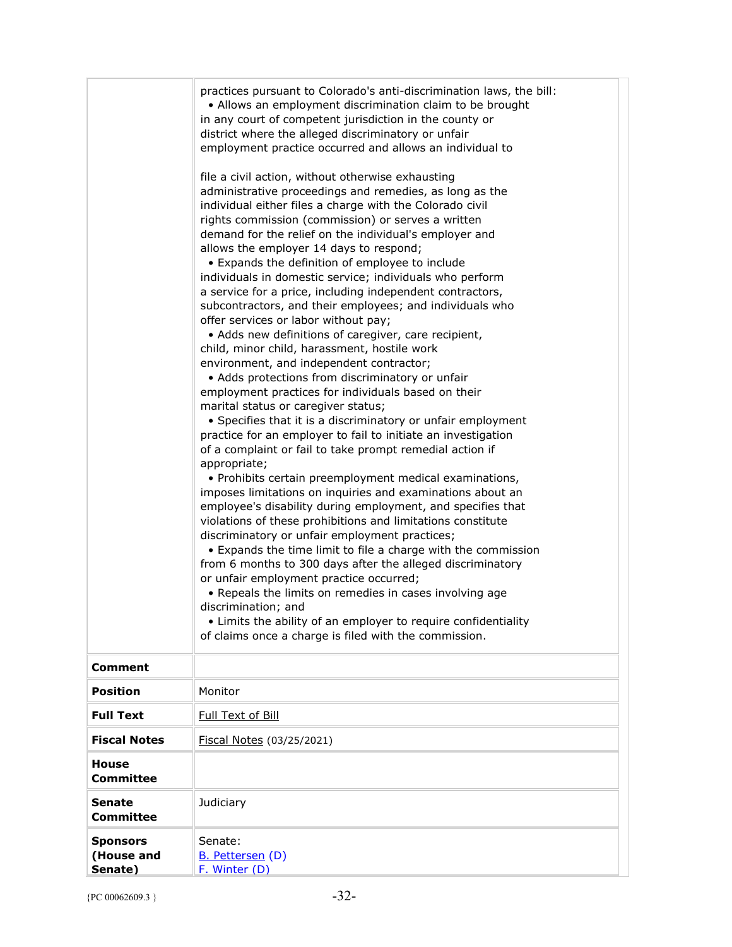|                                          | practices pursuant to Colorado's anti-discrimination laws, the bill:<br>• Allows an employment discrimination claim to be brought<br>in any court of competent jurisdiction in the county or<br>district where the alleged discriminatory or unfair<br>employment practice occurred and allows an individual to<br>file a civil action, without otherwise exhausting<br>administrative proceedings and remedies, as long as the<br>individual either files a charge with the Colorado civil<br>rights commission (commission) or serves a written<br>demand for the relief on the individual's employer and<br>allows the employer 14 days to respond;<br>• Expands the definition of employee to include<br>individuals in domestic service; individuals who perform<br>a service for a price, including independent contractors,<br>subcontractors, and their employees; and individuals who<br>offer services or labor without pay;<br>• Adds new definitions of caregiver, care recipient,<br>child, minor child, harassment, hostile work<br>environment, and independent contractor;<br>• Adds protections from discriminatory or unfair<br>employment practices for individuals based on their<br>marital status or caregiver status;<br>• Specifies that it is a discriminatory or unfair employment<br>practice for an employer to fail to initiate an investigation<br>of a complaint or fail to take prompt remedial action if<br>appropriate;<br>• Prohibits certain preemployment medical examinations,<br>imposes limitations on inquiries and examinations about an<br>employee's disability during employment, and specifies that<br>violations of these prohibitions and limitations constitute<br>discriminatory or unfair employment practices;<br>• Expands the time limit to file a charge with the commission<br>from 6 months to 300 days after the alleged discriminatory<br>or unfair employment practice occurred;<br>• Repeals the limits on remedies in cases involving age<br>discrimination: and<br>• Limits the ability of an employer to require confidentiality<br>of claims once a charge is filed with the commission. |
|------------------------------------------|-----------------------------------------------------------------------------------------------------------------------------------------------------------------------------------------------------------------------------------------------------------------------------------------------------------------------------------------------------------------------------------------------------------------------------------------------------------------------------------------------------------------------------------------------------------------------------------------------------------------------------------------------------------------------------------------------------------------------------------------------------------------------------------------------------------------------------------------------------------------------------------------------------------------------------------------------------------------------------------------------------------------------------------------------------------------------------------------------------------------------------------------------------------------------------------------------------------------------------------------------------------------------------------------------------------------------------------------------------------------------------------------------------------------------------------------------------------------------------------------------------------------------------------------------------------------------------------------------------------------------------------------------------------------------------------------------------------------------------------------------------------------------------------------------------------------------------------------------------------------------------------------------------------------------------------------------------------------------------------------------------------------------------------------------------------------------------------------------------------------------------------------------------------|
| Comment                                  |                                                                                                                                                                                                                                                                                                                                                                                                                                                                                                                                                                                                                                                                                                                                                                                                                                                                                                                                                                                                                                                                                                                                                                                                                                                                                                                                                                                                                                                                                                                                                                                                                                                                                                                                                                                                                                                                                                                                                                                                                                                                                                                                                           |
| <b>Position</b>                          | Monitor                                                                                                                                                                                                                                                                                                                                                                                                                                                                                                                                                                                                                                                                                                                                                                                                                                                                                                                                                                                                                                                                                                                                                                                                                                                                                                                                                                                                                                                                                                                                                                                                                                                                                                                                                                                                                                                                                                                                                                                                                                                                                                                                                   |
| <b>Full Text</b>                         | Full Text of Bill                                                                                                                                                                                                                                                                                                                                                                                                                                                                                                                                                                                                                                                                                                                                                                                                                                                                                                                                                                                                                                                                                                                                                                                                                                                                                                                                                                                                                                                                                                                                                                                                                                                                                                                                                                                                                                                                                                                                                                                                                                                                                                                                         |
| <b>Fiscal Notes</b>                      | Fiscal Notes (03/25/2021)                                                                                                                                                                                                                                                                                                                                                                                                                                                                                                                                                                                                                                                                                                                                                                                                                                                                                                                                                                                                                                                                                                                                                                                                                                                                                                                                                                                                                                                                                                                                                                                                                                                                                                                                                                                                                                                                                                                                                                                                                                                                                                                                 |
| <b>House</b><br><b>Committee</b>         |                                                                                                                                                                                                                                                                                                                                                                                                                                                                                                                                                                                                                                                                                                                                                                                                                                                                                                                                                                                                                                                                                                                                                                                                                                                                                                                                                                                                                                                                                                                                                                                                                                                                                                                                                                                                                                                                                                                                                                                                                                                                                                                                                           |
| <b>Senate</b><br><b>Committee</b>        | Judiciary                                                                                                                                                                                                                                                                                                                                                                                                                                                                                                                                                                                                                                                                                                                                                                                                                                                                                                                                                                                                                                                                                                                                                                                                                                                                                                                                                                                                                                                                                                                                                                                                                                                                                                                                                                                                                                                                                                                                                                                                                                                                                                                                                 |
| <b>Sponsors</b><br>(House and<br>Senate) | Senate:<br>B. Pettersen (D)<br>F. Winter (D)                                                                                                                                                                                                                                                                                                                                                                                                                                                                                                                                                                                                                                                                                                                                                                                                                                                                                                                                                                                                                                                                                                                                                                                                                                                                                                                                                                                                                                                                                                                                                                                                                                                                                                                                                                                                                                                                                                                                                                                                                                                                                                              |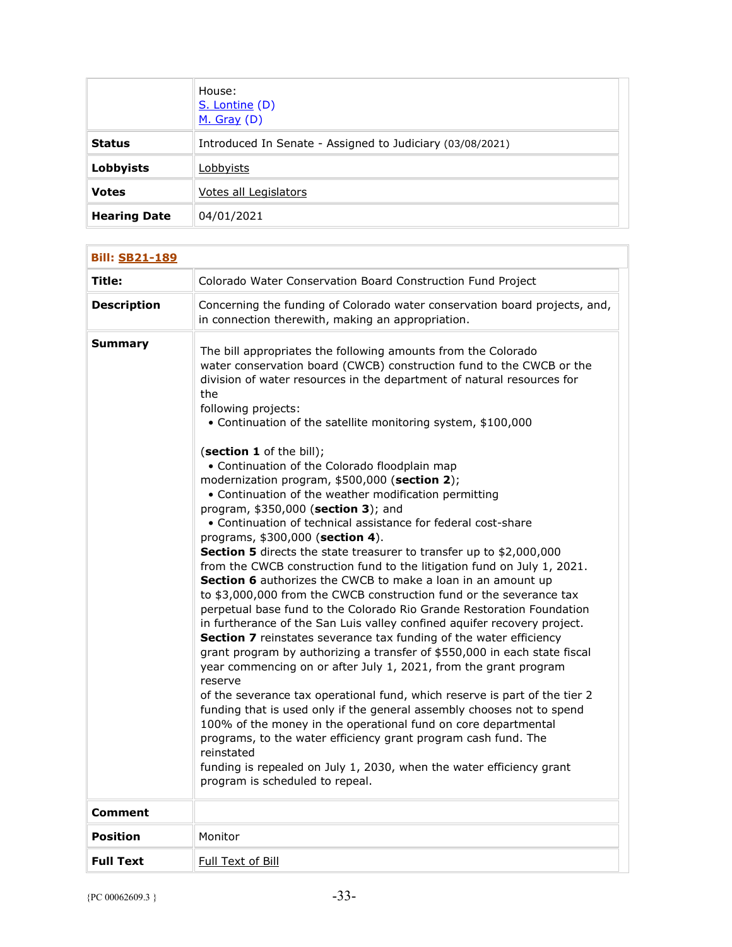|                     | House:<br>S. Lontine (D)<br>$M.$ Gray (D)                 |
|---------------------|-----------------------------------------------------------|
| <b>Status</b>       | Introduced In Senate - Assigned to Judiciary (03/08/2021) |
| <b>Lobbyists</b>    | Lobbyists                                                 |
| <b>Votes</b>        | Votes all Legislators                                     |
| <b>Hearing Date</b> | 04/01/2021                                                |

| <b>Bill: SB21-189</b> |                                                                                                                                                                                                                                                                                                                                                                                                                                                                                                                                                                                                                                                                                                                                                                                                                                                                                                                                                                                                                                                                                                                                                                                                                                                                                                                                                                                                                                                                                                                                                                                                                                                                                                                                                              |
|-----------------------|--------------------------------------------------------------------------------------------------------------------------------------------------------------------------------------------------------------------------------------------------------------------------------------------------------------------------------------------------------------------------------------------------------------------------------------------------------------------------------------------------------------------------------------------------------------------------------------------------------------------------------------------------------------------------------------------------------------------------------------------------------------------------------------------------------------------------------------------------------------------------------------------------------------------------------------------------------------------------------------------------------------------------------------------------------------------------------------------------------------------------------------------------------------------------------------------------------------------------------------------------------------------------------------------------------------------------------------------------------------------------------------------------------------------------------------------------------------------------------------------------------------------------------------------------------------------------------------------------------------------------------------------------------------------------------------------------------------------------------------------------------------|
| Title:                | Colorado Water Conservation Board Construction Fund Project                                                                                                                                                                                                                                                                                                                                                                                                                                                                                                                                                                                                                                                                                                                                                                                                                                                                                                                                                                                                                                                                                                                                                                                                                                                                                                                                                                                                                                                                                                                                                                                                                                                                                                  |
| <b>Description</b>    | Concerning the funding of Colorado water conservation board projects, and,<br>in connection therewith, making an appropriation.                                                                                                                                                                                                                                                                                                                                                                                                                                                                                                                                                                                                                                                                                                                                                                                                                                                                                                                                                                                                                                                                                                                                                                                                                                                                                                                                                                                                                                                                                                                                                                                                                              |
| Summary               | The bill appropriates the following amounts from the Colorado<br>water conservation board (CWCB) construction fund to the CWCB or the<br>division of water resources in the department of natural resources for<br>the<br>following projects:<br>• Continuation of the satellite monitoring system, \$100,000<br>(section 1 of the bill);<br>• Continuation of the Colorado floodplain map<br>modernization program, \$500,000 (section 2);<br>• Continuation of the weather modification permitting<br>program, \$350,000 (section 3); and<br>• Continuation of technical assistance for federal cost-share<br>programs, \$300,000 (section 4).<br>Section 5 directs the state treasurer to transfer up to \$2,000,000<br>from the CWCB construction fund to the litigation fund on July 1, 2021.<br><b>Section 6</b> authorizes the CWCB to make a loan in an amount up<br>to \$3,000,000 from the CWCB construction fund or the severance tax<br>perpetual base fund to the Colorado Rio Grande Restoration Foundation<br>in furtherance of the San Luis valley confined aquifer recovery project.<br>Section 7 reinstates severance tax funding of the water efficiency<br>grant program by authorizing a transfer of \$550,000 in each state fiscal<br>year commencing on or after July 1, 2021, from the grant program<br>reserve<br>of the severance tax operational fund, which reserve is part of the tier 2<br>funding that is used only if the general assembly chooses not to spend<br>100% of the money in the operational fund on core departmental<br>programs, to the water efficiency grant program cash fund. The<br>reinstated<br>funding is repealed on July 1, 2030, when the water efficiency grant<br>program is scheduled to repeal. |
| Comment               |                                                                                                                                                                                                                                                                                                                                                                                                                                                                                                                                                                                                                                                                                                                                                                                                                                                                                                                                                                                                                                                                                                                                                                                                                                                                                                                                                                                                                                                                                                                                                                                                                                                                                                                                                              |
| <b>Position</b>       | Monitor                                                                                                                                                                                                                                                                                                                                                                                                                                                                                                                                                                                                                                                                                                                                                                                                                                                                                                                                                                                                                                                                                                                                                                                                                                                                                                                                                                                                                                                                                                                                                                                                                                                                                                                                                      |
| <b>Full Text</b>      | Full Text of Bill                                                                                                                                                                                                                                                                                                                                                                                                                                                                                                                                                                                                                                                                                                                                                                                                                                                                                                                                                                                                                                                                                                                                                                                                                                                                                                                                                                                                                                                                                                                                                                                                                                                                                                                                            |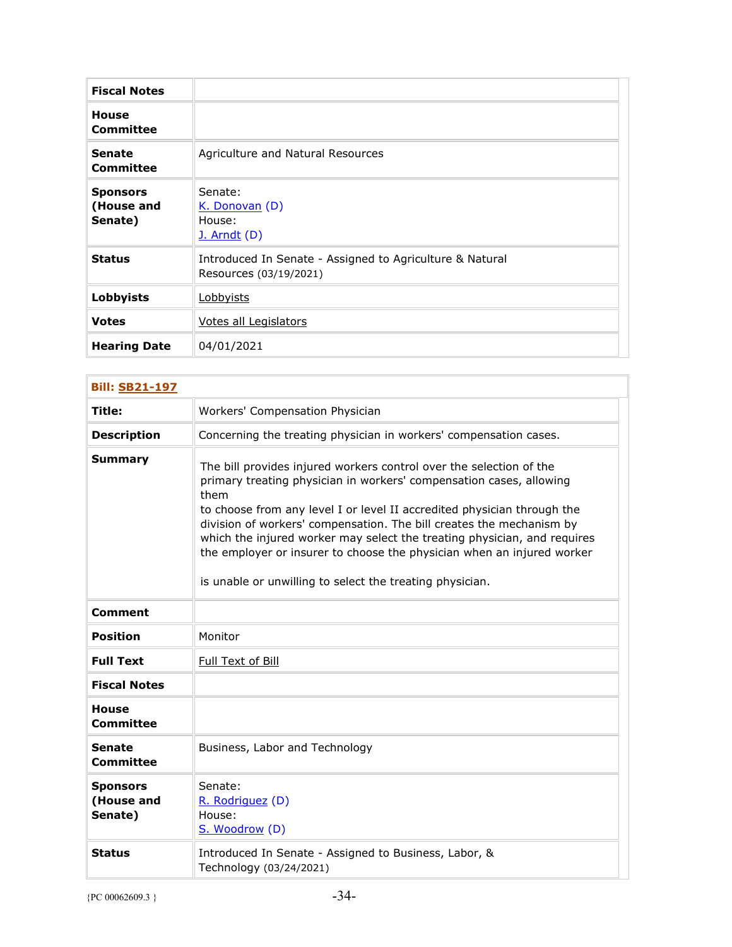| <b>Fiscal Notes</b>                      |                                                                                    |
|------------------------------------------|------------------------------------------------------------------------------------|
| <b>House</b><br>Committee                |                                                                                    |
| <b>Senate</b><br>Committee               | Agriculture and Natural Resources                                                  |
| <b>Sponsors</b><br>(House and<br>Senate) | Senate:<br>K. Donovan (D)<br>House:<br>$J.$ Arndt $(D)$                            |
| <b>Status</b>                            | Introduced In Senate - Assigned to Agriculture & Natural<br>Resources (03/19/2021) |
| Lobbyists                                | <u>Lobbyists</u>                                                                   |
| <b>Votes</b>                             | Votes all Legislators                                                              |
| <b>Hearing Date</b>                      | 04/01/2021                                                                         |

| <b>Bill: SB21-197</b>                    |                                                                                                                                                                                                                                                                                                                                                                                                                                                                                                                         |
|------------------------------------------|-------------------------------------------------------------------------------------------------------------------------------------------------------------------------------------------------------------------------------------------------------------------------------------------------------------------------------------------------------------------------------------------------------------------------------------------------------------------------------------------------------------------------|
| Title:                                   | Workers' Compensation Physician                                                                                                                                                                                                                                                                                                                                                                                                                                                                                         |
| <b>Description</b>                       | Concerning the treating physician in workers' compensation cases.                                                                                                                                                                                                                                                                                                                                                                                                                                                       |
| <b>Summary</b>                           | The bill provides injured workers control over the selection of the<br>primary treating physician in workers' compensation cases, allowing<br>them<br>to choose from any level I or level II accredited physician through the<br>division of workers' compensation. The bill creates the mechanism by<br>which the injured worker may select the treating physician, and requires<br>the employer or insurer to choose the physician when an injured worker<br>is unable or unwilling to select the treating physician. |
| <b>Comment</b>                           |                                                                                                                                                                                                                                                                                                                                                                                                                                                                                                                         |
| <b>Position</b>                          | Monitor                                                                                                                                                                                                                                                                                                                                                                                                                                                                                                                 |
| <b>Full Text</b>                         | Full Text of Bill                                                                                                                                                                                                                                                                                                                                                                                                                                                                                                       |
| <b>Fiscal Notes</b>                      |                                                                                                                                                                                                                                                                                                                                                                                                                                                                                                                         |
| <b>House</b><br><b>Committee</b>         |                                                                                                                                                                                                                                                                                                                                                                                                                                                                                                                         |
| <b>Senate</b><br>Committee               | Business, Labor and Technology                                                                                                                                                                                                                                                                                                                                                                                                                                                                                          |
| <b>Sponsors</b><br>(House and<br>Senate) | Senate:<br>R. Rodriguez (D)<br>House:<br>S. Woodrow (D)                                                                                                                                                                                                                                                                                                                                                                                                                                                                 |
| <b>Status</b>                            | Introduced In Senate - Assigned to Business, Labor, &<br>Technology (03/24/2021)                                                                                                                                                                                                                                                                                                                                                                                                                                        |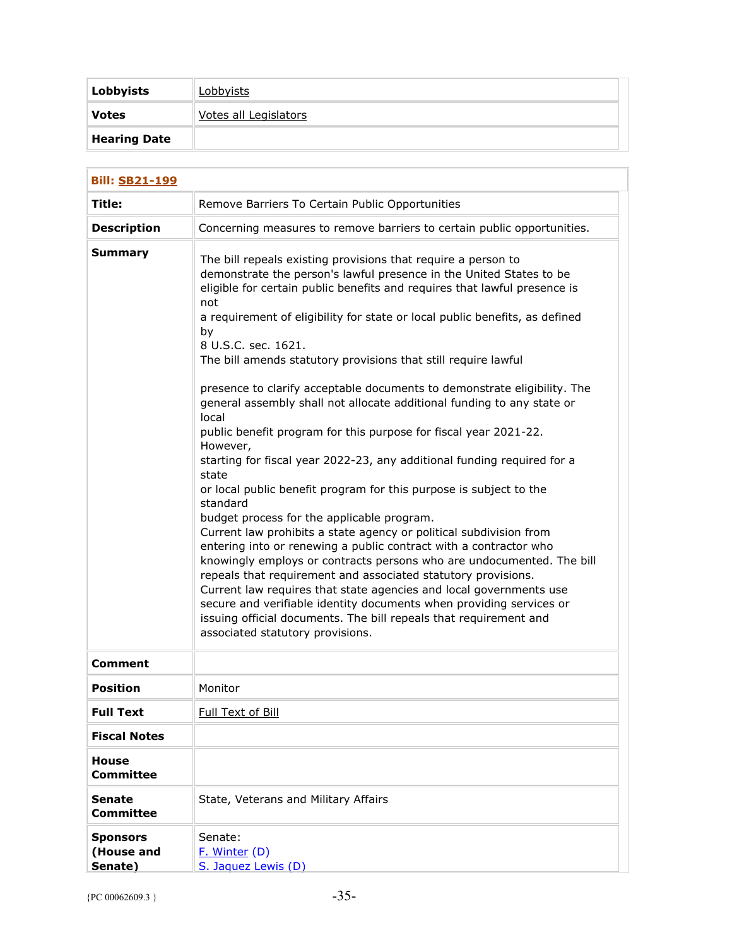| Lobbyists           | <u>Lobbyists</u>      |
|---------------------|-----------------------|
| <b>Votes</b>        | Votes all Legislators |
| <b>Hearing Date</b> |                       |

| <b>Bill: SB21-199</b>                    |                                                                                                                                                                                                                                                                                                                                                                                                                                                                                                                                                                                                                                                                                                                                                                                                                                                                                                                                                                                                                                                                                                                                                                                                                                                                                                                                                                                                                      |  |
|------------------------------------------|----------------------------------------------------------------------------------------------------------------------------------------------------------------------------------------------------------------------------------------------------------------------------------------------------------------------------------------------------------------------------------------------------------------------------------------------------------------------------------------------------------------------------------------------------------------------------------------------------------------------------------------------------------------------------------------------------------------------------------------------------------------------------------------------------------------------------------------------------------------------------------------------------------------------------------------------------------------------------------------------------------------------------------------------------------------------------------------------------------------------------------------------------------------------------------------------------------------------------------------------------------------------------------------------------------------------------------------------------------------------------------------------------------------------|--|
| Title:                                   | Remove Barriers To Certain Public Opportunities                                                                                                                                                                                                                                                                                                                                                                                                                                                                                                                                                                                                                                                                                                                                                                                                                                                                                                                                                                                                                                                                                                                                                                                                                                                                                                                                                                      |  |
| <b>Description</b>                       | Concerning measures to remove barriers to certain public opportunities.                                                                                                                                                                                                                                                                                                                                                                                                                                                                                                                                                                                                                                                                                                                                                                                                                                                                                                                                                                                                                                                                                                                                                                                                                                                                                                                                              |  |
| <b>Summary</b>                           | The bill repeals existing provisions that require a person to<br>demonstrate the person's lawful presence in the United States to be<br>eligible for certain public benefits and requires that lawful presence is<br>not<br>a requirement of eligibility for state or local public benefits, as defined<br>by<br>8 U.S.C. sec. 1621.<br>The bill amends statutory provisions that still require lawful<br>presence to clarify acceptable documents to demonstrate eligibility. The<br>general assembly shall not allocate additional funding to any state or<br>local<br>public benefit program for this purpose for fiscal year 2021-22.<br>However,<br>starting for fiscal year 2022-23, any additional funding required for a<br>state<br>or local public benefit program for this purpose is subject to the<br>standard<br>budget process for the applicable program.<br>Current law prohibits a state agency or political subdivision from<br>entering into or renewing a public contract with a contractor who<br>knowingly employs or contracts persons who are undocumented. The bill<br>repeals that requirement and associated statutory provisions.<br>Current law requires that state agencies and local governments use<br>secure and verifiable identity documents when providing services or<br>issuing official documents. The bill repeals that requirement and<br>associated statutory provisions. |  |
| <b>Comment</b>                           |                                                                                                                                                                                                                                                                                                                                                                                                                                                                                                                                                                                                                                                                                                                                                                                                                                                                                                                                                                                                                                                                                                                                                                                                                                                                                                                                                                                                                      |  |
| <b>Position</b>                          | Monitor                                                                                                                                                                                                                                                                                                                                                                                                                                                                                                                                                                                                                                                                                                                                                                                                                                                                                                                                                                                                                                                                                                                                                                                                                                                                                                                                                                                                              |  |
| <b>Full Text</b>                         | Full Text of Bill                                                                                                                                                                                                                                                                                                                                                                                                                                                                                                                                                                                                                                                                                                                                                                                                                                                                                                                                                                                                                                                                                                                                                                                                                                                                                                                                                                                                    |  |
| <b>Fiscal Notes</b>                      |                                                                                                                                                                                                                                                                                                                                                                                                                                                                                                                                                                                                                                                                                                                                                                                                                                                                                                                                                                                                                                                                                                                                                                                                                                                                                                                                                                                                                      |  |
| <b>House</b><br><b>Committee</b>         |                                                                                                                                                                                                                                                                                                                                                                                                                                                                                                                                                                                                                                                                                                                                                                                                                                                                                                                                                                                                                                                                                                                                                                                                                                                                                                                                                                                                                      |  |
| <b>Senate</b><br><b>Committee</b>        | State, Veterans and Military Affairs                                                                                                                                                                                                                                                                                                                                                                                                                                                                                                                                                                                                                                                                                                                                                                                                                                                                                                                                                                                                                                                                                                                                                                                                                                                                                                                                                                                 |  |
| <b>Sponsors</b><br>(House and<br>Senate) | Senate:<br>F. Winter (D)<br>S. Jaquez Lewis (D)                                                                                                                                                                                                                                                                                                                                                                                                                                                                                                                                                                                                                                                                                                                                                                                                                                                                                                                                                                                                                                                                                                                                                                                                                                                                                                                                                                      |  |